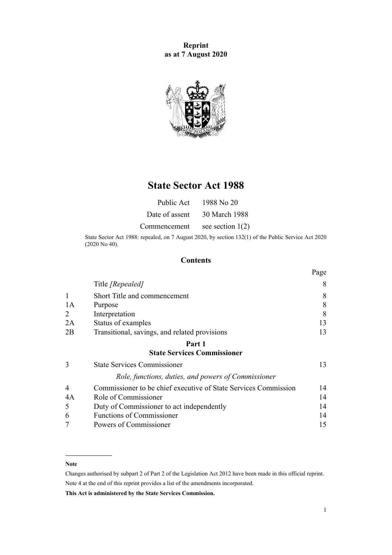**Reprint as at 7 August 2020**



## **State Sector Act 1988**

| Public Act     | 1988 No 20         |
|----------------|--------------------|
| Date of assent | 30 March 1988      |
| Commencement   | see section $1(2)$ |

State Sector Act 1988: repealed, on 7 August 2020, by [section 132\(1\)](http://legislation.govt.nz/pdflink.aspx?id=LMS176958) of the Public Service Act 2020 (2020 No 40).

## **Contents**

|                |                                                                 | Page |
|----------------|-----------------------------------------------------------------|------|
|                | Title [Repealed]                                                | 8    |
|                | Short Title and commencement                                    | 8    |
| 1A             | Purpose                                                         | 8    |
| 2              | Interpretation                                                  | 8    |
| 2A             | Status of examples                                              | 13   |
| 2B             | Transitional, savings, and related provisions                   | 13   |
|                | Part 1                                                          |      |
|                | <b>State Services Commissioner</b>                              |      |
| 3              | <b>State Services Commissioner</b>                              | 13   |
|                | Role, functions, duties, and powers of Commissioner             |      |
| $\overline{4}$ | Commissioner to be chief executive of State Services Commission | 14   |
| 4A             | Role of Commissioner                                            | 14   |
| 5              | Duty of Commissioner to act independently                       | 14   |
| 6              | Functions of Commissioner                                       | 14   |
|                | Powers of Commissioner                                          | 15   |

#### **Note**

Changes authorised by [subpart 2](http://legislation.govt.nz/pdflink.aspx?id=DLM2998524) of Part 2 of the Legislation Act 2012 have been made in this official reprint. Note 4 at the end of this reprint provides a list of the amendments incorporated.

**This Act is administered by the State Services Commission.**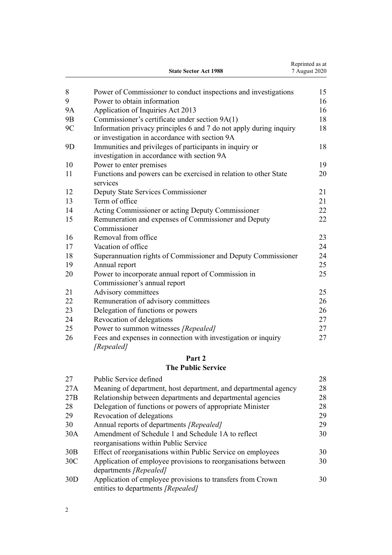|                | <b>State Sector Act 1988</b>                                                                                         | Reprinted as at<br>7 August 2020 |
|----------------|----------------------------------------------------------------------------------------------------------------------|----------------------------------|
| 8              | Power of Commissioner to conduct inspections and investigations                                                      | 15                               |
| 9              | Power to obtain information                                                                                          | 16                               |
| <b>9A</b>      | Application of Inquiries Act 2013                                                                                    | 16                               |
| 9 <sub>B</sub> | Commissioner's certificate under section 9A(1)                                                                       | 18                               |
| 9C             | Information privacy principles 6 and 7 do not apply during inquiry<br>or investigation in accordance with section 9A | 18                               |
| 9D             | Immunities and privileges of participants in inquiry or<br>investigation in accordance with section 9A               | 18                               |
| 10             | Power to enter premises                                                                                              | 19                               |
| 11             | Functions and powers can be exercised in relation to other State<br>services                                         | 20                               |
| 12             | Deputy State Services Commissioner                                                                                   | 21                               |
| 13             | Term of office                                                                                                       | 21                               |
| 14             | Acting Commissioner or acting Deputy Commissioner                                                                    | 22                               |
| 15             | Remuneration and expenses of Commissioner and Deputy<br>Commissioner                                                 | 22                               |
| 16             | Removal from office                                                                                                  | 23                               |
| 17             | Vacation of office                                                                                                   | 24                               |
| 18             | Superannuation rights of Commissioner and Deputy Commissioner                                                        | 24                               |
| 19             | Annual report                                                                                                        | 25                               |
| 20             | Power to incorporate annual report of Commission in<br>Commissioner's annual report                                  | 25                               |
| 21             | Advisory committees                                                                                                  | 25                               |
| 22             | Remuneration of advisory committees                                                                                  | 26                               |
| 23             | Delegation of functions or powers                                                                                    | 26                               |
| 24             | Revocation of delegations                                                                                            | 27                               |
| 25             | Power to summon witnesses [Repealed]                                                                                 | 27                               |
| 26             | Fees and expenses in connection with investigation or inquiry<br>[Repealed]                                          | 27                               |
|                | Part 2                                                                                                               |                                  |
|                | <b>The Public Service</b>                                                                                            |                                  |
| 27             | Public Service defined                                                                                               | 28                               |
| 27A            | Meaning of department, host department, and departmental agency                                                      | 28                               |
| 27B            | Relationship between departments and departmental agencies                                                           | 28                               |
| 28             | Delegation of functions or powers of appropriate Minister                                                            | 28                               |
| 29             | Revocation of delegations                                                                                            | 29                               |
| 30             | Annual reports of departments [Repealed]                                                                             | 29                               |

[30A](#page-29-0) [Amendment of Schedule 1 and Schedule 1A to reflect](#page-29-0) [reorganisations within Public Service](#page-29-0) [30](#page-29-0) [30B](#page-29-0) [Effect of reorganisations within Public Service on employees](#page-29-0) [30](#page-29-0) [30C](#page-29-0) [Application of employee provisions to reorganisations between](#page-29-0) [departments](#page-29-0) *[Repealed]* [30](#page-29-0) [30D](#page-29-0) [Application of employee provisions to transfers from Crown](#page-29-0) [entities to departments](#page-29-0) *[Repealed]* [30](#page-29-0)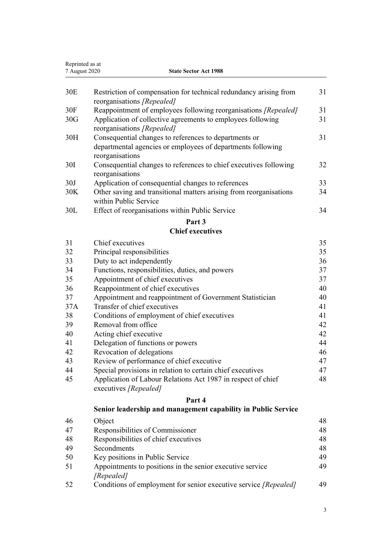| Reprinted as at<br>7 August 2020 | <b>State Sector Act 1988</b>                                                                  |          |
|----------------------------------|-----------------------------------------------------------------------------------------------|----------|
|                                  |                                                                                               |          |
| 30 <sub>E</sub>                  | Restriction of compensation for technical redundancy arising from                             | 31       |
| 30F                              | reorganisations [Repealed]<br>Reappointment of employees following reorganisations [Repealed] | 31       |
| 30G                              | Application of collective agreements to employees following                                   | 31       |
|                                  | reorganisations [Repealed]                                                                    |          |
| 30H                              | Consequential changes to references to departments or                                         | 31       |
|                                  | departmental agencies or employees of departments following                                   |          |
|                                  | reorganisations                                                                               |          |
| 30I                              | Consequential changes to references to chief executives following                             | 32       |
|                                  | reorganisations                                                                               |          |
| 30J                              | Application of consequential changes to references                                            | 33       |
| 30K                              | Other saving and transitional matters arising from reorganisations                            | 34       |
|                                  | within Public Service                                                                         |          |
| 30L                              | Effect of reorganisations within Public Service                                               | 34       |
|                                  | Part 3                                                                                        |          |
|                                  | <b>Chief executives</b>                                                                       |          |
| 31                               | Chief executives                                                                              | 35       |
| 32                               | Principal responsibilities                                                                    | 35       |
| 33                               | Duty to act independently                                                                     | 36       |
| 34                               | Functions, responsibilities, duties, and powers                                               | 37       |
| 35                               | Appointment of chief executives                                                               | 37       |
| 36                               | Reappointment of chief executives                                                             | 40       |
| 37                               | Appointment and reappointment of Government Statistician                                      | 40       |
| 37A                              | Transfer of chief executives                                                                  | 41       |
| 38                               | Conditions of employment of chief executives<br>Removal from office                           | 41       |
| 39<br>40                         | Acting chief executive                                                                        | 42<br>42 |
| 41                               | Delegation of functions or powers                                                             | 44       |
| 42                               | Revocation of delegations                                                                     | 46       |
| 43                               | Review of performance of chief executive                                                      | 47       |
| 44                               | Special provisions in relation to certain chief executives                                    | 47       |
| 45                               | Application of Labour Relations Act 1987 in respect of chief                                  | 48       |
|                                  | executives [Repealed]                                                                         |          |
|                                  | Part 4                                                                                        |          |
|                                  | Senior leadership and management capability in Public Service                                 |          |
| 46                               | Object                                                                                        | 48       |
| 47                               | Responsibilities of Commissioner                                                              | 48       |
| 48                               | Responsibilities of chief executives                                                          | 48       |
| 49                               | Secondments                                                                                   | 48       |
| 50                               | Key positions in Public Service                                                               | 49       |
| 51                               | Appointments to positions in the senior executive service                                     | 49       |
|                                  | [Repealed]                                                                                    |          |
| 52                               | Conditions of employment for senior executive service [Repealed]                              | 49       |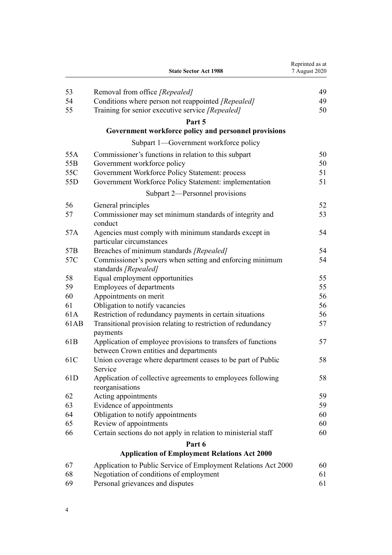|                 | <b>State Sector Act 1988</b>                                                                           | Reprinted as at<br>7 August 2020 |
|-----------------|--------------------------------------------------------------------------------------------------------|----------------------------------|
| 53              | Removal from office [Repealed]                                                                         | 49                               |
| 54              | Conditions where person not reappointed [Repealed]                                                     | 49                               |
| 55              | Training for senior executive service [Repealed]                                                       | 50                               |
|                 | Part 5                                                                                                 |                                  |
|                 | Government workforce policy and personnel provisions                                                   |                                  |
|                 | Subpart 1—Government workforce policy                                                                  |                                  |
| 55A             | Commissioner's functions in relation to this subpart                                                   | 50                               |
| 55 <sub>B</sub> | Government workforce policy                                                                            | 50                               |
| 55C             | Government Workforce Policy Statement: process                                                         | 51                               |
| 55 <sub>D</sub> | Government Workforce Policy Statement: implementation                                                  | 51                               |
|                 | Subpart 2—Personnel provisions                                                                         |                                  |
| 56              | General principles                                                                                     | 52                               |
| 57              | Commissioner may set minimum standards of integrity and<br>conduct                                     | 53                               |
| 57A             | Agencies must comply with minimum standards except in<br>particular circumstances                      | 54                               |
| 57B             | Breaches of minimum standards [Repealed]                                                               | 54                               |
| 57C             | Commissioner's powers when setting and enforcing minimum<br>standards [Repealed]                       | 54                               |
| 58              | Equal employment opportunities                                                                         | 55                               |
| 59              | <b>Employees of departments</b>                                                                        | 55                               |
| 60              | Appointments on merit                                                                                  | 56                               |
| 61              | Obligation to notify vacancies                                                                         | 56                               |
| 61A             | Restriction of redundancy payments in certain situations                                               | 56                               |
| 61AB            | Transitional provision relating to restriction of redundancy<br>payments                               | 57                               |
| 61 <sub>B</sub> | Application of employee provisions to transfers of functions<br>between Crown entities and departments | 57                               |
| 61C             | Union coverage where department ceases to be part of Public<br>Service                                 | 58                               |
| 61 <sub>D</sub> | Application of collective agreements to employees following<br>reorganisations                         | 58                               |
| 62              | Acting appointments                                                                                    | 59                               |
| 63              | Evidence of appointments                                                                               | 59                               |
| 64              | Obligation to notify appointments                                                                      | 60                               |
| 65              | Review of appointments                                                                                 | 60                               |
| 66              | Certain sections do not apply in relation to ministerial staff                                         | 60                               |
|                 | Part 6                                                                                                 |                                  |
|                 | <b>Application of Employment Relations Act 2000</b>                                                    |                                  |
| 67              | Application to Public Service of Employment Relations Act 2000                                         | 60                               |
| 68              | Negotiation of conditions of employment                                                                | 61                               |
| 69              | Personal grievances and disputes                                                                       | 61                               |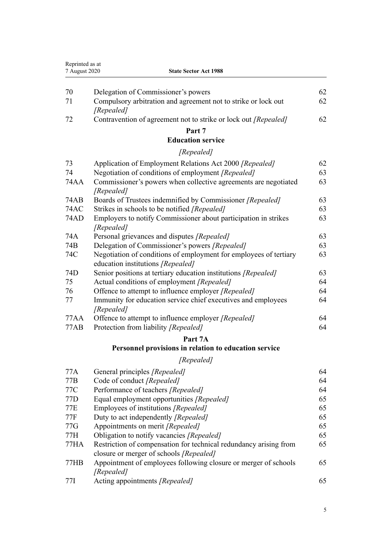| 7 August 2020 | <b>State Sector Act 1988</b>                                                                                 |    |
|---------------|--------------------------------------------------------------------------------------------------------------|----|
| 70            | Delegation of Commissioner's powers                                                                          | 62 |
| 71            | Compulsory arbitration and agreement not to strike or lock out<br>[Repealed]                                 | 62 |
| 72            | Contravention of agreement not to strike or lock out [Repealed]                                              | 62 |
|               | Part 7<br><b>Education service</b>                                                                           |    |
|               | [Repealed]                                                                                                   |    |
| 73            | Application of Employment Relations Act 2000 [Repealed]                                                      | 62 |
| 74            |                                                                                                              |    |
|               | Negotiation of conditions of employment [Repealed]                                                           | 63 |
| 74AA          | Commissioner's powers when collective agreements are negotiated<br>[Repealed]                                | 63 |
| 74AB          | Boards of Trustees indemnified by Commissioner [Repealed]                                                    | 63 |
| 74AC          | Strikes in schools to be notified [Repealed]                                                                 | 63 |
| <b>74AD</b>   | Employers to notify Commissioner about participation in strikes<br>[Repealed]                                | 63 |
| 74A           | Personal grievances and disputes [Repealed]                                                                  | 63 |
| 74B           | Delegation of Commissioner's powers [Repealed]                                                               | 63 |
| 74C           | Negotiation of conditions of employment for employees of tertiary<br>education institutions [Repealed]       | 63 |
| 74D           | Senior positions at tertiary education institutions [Repealed]                                               | 63 |
| 75            | Actual conditions of employment [Repealed]                                                                   | 64 |
| 76            | Offence to attempt to influence employer [Repealed]                                                          | 64 |
| 77            | Immunity for education service chief executives and employees<br>[Repealed]                                  | 64 |
| 77AA          | Offence to attempt to influence employer [Repealed]                                                          | 64 |
| 77AB          | Protection from liability [Repealed]                                                                         | 64 |
|               | Part 7A                                                                                                      |    |
|               | Personnel provisions in relation to education service                                                        |    |
|               | [Repealed]                                                                                                   |    |
| 77A           | General principles [Repealed]                                                                                | 64 |
| 77B           | Code of conduct [Repealed]                                                                                   | 64 |
| 77C           | Performance of teachers [Repealed]                                                                           | 64 |
| 77D           | Equal employment opportunities [Repealed]                                                                    | 65 |
| 77E           | Employees of institutions [Repealed]                                                                         | 65 |
| 77F           | Duty to act independently [Repealed]                                                                         | 65 |
| 77G           | Appointments on merit [Repealed]                                                                             | 65 |
| 77H           | Obligation to notify vacancies [Repealed]                                                                    | 65 |
| 77HA          | Restriction of compensation for technical redundancy arising from<br>closure or merger of schools [Repealed] | 65 |
| 77HB          | Appointment of employees following closure or merger of schools                                              | 65 |
|               | [Repealed]                                                                                                   |    |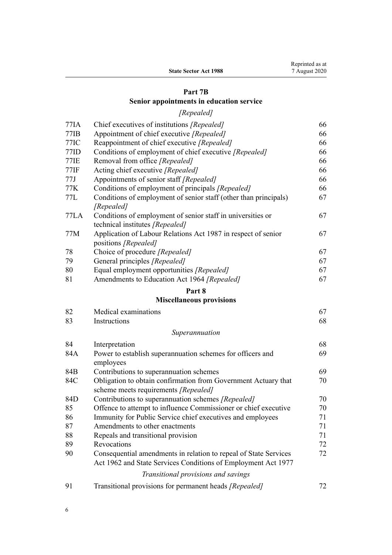# **[Part 7B](#page-65-0)**

## **[Senior appointments in education service](#page-65-0)**

*[Repealed]*

| 77IA        | Chief executives of institutions [Repealed]                                                                                       | 66 |
|-------------|-----------------------------------------------------------------------------------------------------------------------------------|----|
| 77IB        | Appointment of chief executive [Repealed]                                                                                         | 66 |
| 77IC        | Reappointment of chief executive [Repealed]                                                                                       | 66 |
| 77ID        | Conditions of employment of chief executive [Repealed]                                                                            | 66 |
| <b>77IE</b> | Removal from office [Repealed]                                                                                                    | 66 |
| $77$ IF     | Acting chief executive [Repealed]                                                                                                 | 66 |
| 77J         | Appointments of senior staff [Repealed]                                                                                           | 66 |
| 77K         | Conditions of employment of principals [Repealed]                                                                                 | 66 |
| 77L         | Conditions of employment of senior staff (other than principals)<br>[Repealed]                                                    | 67 |
| 77LA        | Conditions of employment of senior staff in universities or<br>technical institutes [Repealed]                                    | 67 |
| 77M         | Application of Labour Relations Act 1987 in respect of senior<br>positions [Repealed]                                             | 67 |
| 78          | Choice of procedure [Repealed]                                                                                                    | 67 |
| 79          | General principles [Repealed]                                                                                                     | 67 |
| 80          | Equal employment opportunities [Repealed]                                                                                         | 67 |
| 81          | Amendments to Education Act 1964 [Repealed]                                                                                       | 67 |
|             | Part 8                                                                                                                            |    |
|             | <b>Miscellaneous provisions</b>                                                                                                   |    |
| 82          | Medical examinations                                                                                                              | 67 |
| 83          | Instructions                                                                                                                      | 68 |
|             | Superannuation                                                                                                                    |    |
| 84          | Interpretation                                                                                                                    | 68 |
| 84A         | Power to establish superannuation schemes for officers and<br>employees                                                           | 69 |
| 84B         | Contributions to superannuation schemes                                                                                           | 69 |
| 84C         | Obligation to obtain confirmation from Government Actuary that<br>scheme meets requirements [Repealed]                            | 70 |
| 84D         | Contributions to superannuation schemes [Repealed]                                                                                | 70 |
| 85          | Offence to attempt to influence Commissioner or chief executive                                                                   | 70 |
| 86          | Immunity for Public Service chief executives and employees                                                                        | 71 |
| 87          | Amendments to other enactments                                                                                                    | 71 |
| 88          | Repeals and transitional provision                                                                                                | 71 |
| 89          | Revocations                                                                                                                       | 72 |
| 90          | Consequential amendments in relation to repeal of State Services<br>Act 1962 and State Services Conditions of Employment Act 1977 | 72 |
|             | Transitional provisions and savings                                                                                               |    |
| 91          | Transitional provisions for permanent heads [Repealed]                                                                            | 72 |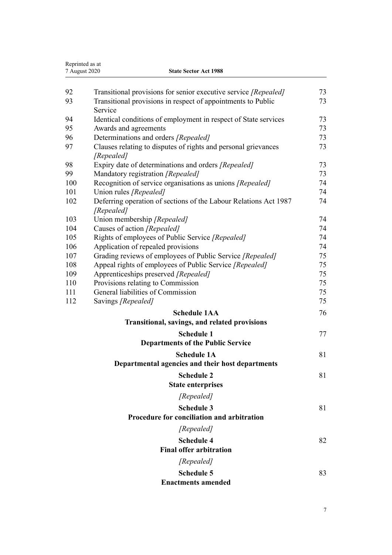| Reprinted as at<br>7 August 2020 | <b>State Sector Act 1988</b>                                                   |    |
|----------------------------------|--------------------------------------------------------------------------------|----|
|                                  |                                                                                |    |
| 92                               | Transitional provisions for senior executive service [Repealed]                | 73 |
| 93                               | Transitional provisions in respect of appointments to Public<br>Service        | 73 |
| 94                               | Identical conditions of employment in respect of State services                | 73 |
| 95                               | Awards and agreements                                                          | 73 |
| 96                               | Determinations and orders [Repealed]                                           | 73 |
| 97                               | Clauses relating to disputes of rights and personal grievances<br>[Repealed]   | 73 |
| 98                               | Expiry date of determinations and orders [Repealed]                            | 73 |
| 99                               | Mandatory registration [Repealed]                                              | 73 |
| 100                              | Recognition of service organisations as unions [Repealed]                      | 74 |
| 101                              | Union rules [Repealed]                                                         | 74 |
| 102                              | Deferring operation of sections of the Labour Relations Act 1987<br>[Repealed] | 74 |
| 103                              | Union membership [Repealed]                                                    | 74 |
| 104                              | Causes of action [Repealed]                                                    | 74 |
| 105                              | Rights of employees of Public Service [Repealed]                               | 74 |
| 106                              | Application of repealed provisions                                             | 74 |
| 107                              | Grading reviews of employees of Public Service [Repealed]                      | 75 |
| 108                              | Appeal rights of employees of Public Service [Repealed]                        | 75 |
| 109                              | Apprenticeships preserved [Repealed]                                           | 75 |
| 110                              | Provisions relating to Commission                                              | 75 |
| 111                              | General liabilities of Commission                                              | 75 |
| 112                              | Savings [Repealed]                                                             | 75 |
|                                  | <b>Schedule 1AA</b><br>Transitional, savings, and related provisions           | 76 |
|                                  |                                                                                |    |
|                                  | <b>Schedule 1</b>                                                              | 77 |
|                                  | <b>Departments of the Public Service</b>                                       |    |
|                                  | <b>Schedule 1A</b>                                                             | 81 |
|                                  | Departmental agencies and their host departments                               |    |
|                                  | <b>Schedule 2</b>                                                              | 81 |
|                                  | <b>State enterprises</b>                                                       |    |
|                                  | [Repealed]                                                                     |    |
|                                  | <b>Schedule 3</b>                                                              | 81 |
|                                  | Procedure for conciliation and arbitration                                     |    |
|                                  | [Repealed]                                                                     |    |
|                                  | <b>Schedule 4</b>                                                              | 82 |
|                                  | <b>Final offer arbitration</b>                                                 |    |
|                                  | [Repealed]                                                                     |    |
|                                  | <b>Schedule 5</b>                                                              | 83 |
|                                  | <b>Enactments amended</b>                                                      |    |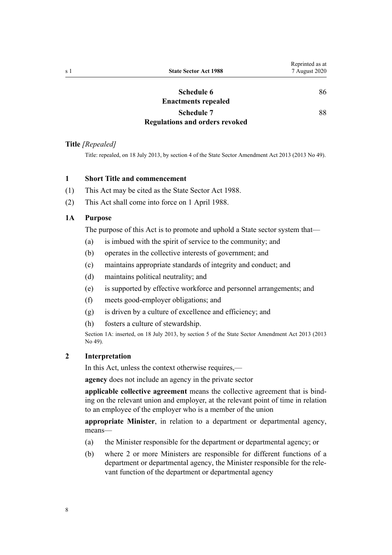[86](#page-85-0)

[88](#page-87-0)

## **[Enactments repealed](#page-85-0) [Schedule 7](#page-87-0) [Regulations and orders revoked](#page-87-0)**

**[Schedule 6](#page-85-0)**

## <span id="page-7-0"></span>**Title** *[Repealed]*

Title: repealed, on 18 July 2013, by [section 4](http://legislation.govt.nz/pdflink.aspx?id=DLM4598812) of the State Sector Amendment Act 2013 (2013 No 49).

## **1 Short Title and commencement**

- (1) This Act may be cited as the State Sector Act 1988.
- (2) This Act shall come into force on 1 April 1988.

## **1A Purpose**

The purpose of this Act is to promote and uphold a State sector system that—

- (a) is imbued with the spirit of service to the community; and
- (b) operates in the collective interests of government; and
- (c) maintains appropriate standards of integrity and conduct; and
- (d) maintains political neutrality; and
- (e) is supported by effective workforce and personnel arrangements; and
- (f) meets good-employer obligations; and
- (g) is driven by a culture of excellence and efficiency; and
- (h) fosters a culture of stewardship.

Section 1A: inserted, on 18 July 2013, by [section 5](http://legislation.govt.nz/pdflink.aspx?id=DLM4598813) of the State Sector Amendment Act 2013 (2013 No 49).

## **2 Interpretation**

In this Act, unless the context otherwise requires,—

**agency** does not include an agency in the private sector

**applicable collective agreement** means the collective agreement that is binding on the relevant union and employer, at the relevant point of time in relation to an employee of the employer who is a member of the union

**appropriate Minister**, in relation to a department or departmental agency, means—

- (a) the Minister responsible for the department or departmental agency; or
- (b) where 2 or more Ministers are responsible for different functions of a department or departmental agency, the Minister responsible for the relevant function of the department or departmental agency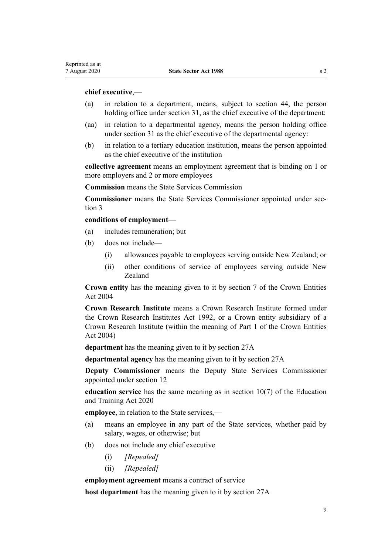#### **chief executive**,—

- (a) in relation to a department, means, subject to [section 44,](#page-46-0) the person holding office under [section 31,](#page-34-0) as the chief executive of the department:
- (aa) in relation to a departmental agency, means the person holding office under [section 31](#page-34-0) as the chief executive of the departmental agency:
- (b) in relation to a tertiary education institution, means the person appointed as the chief executive of the institution

**collective agreement** means an employment agreement that is binding on 1 or more employers and 2 or more employees

**Commission** means the State Services Commission

**Commissioner** means the State Services Commissioner appointed under [sec](#page-12-0)[tion 3](#page-12-0)

## **conditions of employment**—

- (a) includes remuneration; but
- (b) does not include—
	- (i) allowances payable to employees serving outside New Zealand; or
	- (ii) other conditions of service of employees serving outside New Zealand

**Crown entity** has the meaning given to it by [section 7](http://legislation.govt.nz/pdflink.aspx?id=DLM329641) of the Crown Entities Act 2004

**Crown Research Institute** means a Crown Research Institute formed under the [Crown Research Institutes Act 1992,](http://legislation.govt.nz/pdflink.aspx?id=DLM264291) or a Crown entity subsidiary of a Crown Research Institute (within the meaning of [Part 1](http://legislation.govt.nz/pdflink.aspx?id=DLM329636) of the Crown Entities Act 2004)

**department** has the meaning given to it by [section 27A](#page-27-0)

**departmental agency** has the meaning given to it by [section 27A](#page-27-0)

**Deputy Commissioner** means the Deputy State Services Commissioner appointed under [section 12](#page-20-0)

**education service** has the same meaning as in [section 10\(7\)](http://legislation.govt.nz/pdflink.aspx?id=LMS171311) of the Education and Training Act 2020

**employee**, in relation to the State services,—

- (a) means an employee in any part of the State services, whether paid by salary, wages, or otherwise; but
- (b) does not include any chief executive
	- (i) *[Repealed]*
	- (ii) *[Repealed]*

**employment agreement** means a contract of service

**host department** has the meaning given to it by [section 27A](#page-27-0)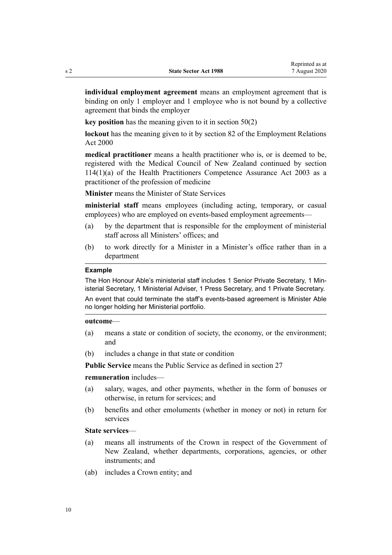**individual employment agreement** means an employment agreement that is binding on only 1 employer and 1 employee who is not bound by a collective agreement that binds the employer

**key position** has the meaning given to it in [section 50\(2\)](#page-48-0)

**lockout** has the meaning given to it by [section 82](http://legislation.govt.nz/pdflink.aspx?id=DLM59970) of the Employment Relations Act 2000

**medical practitioner** means a health practitioner who is, or is deemed to be, registered with the Medical Council of New Zealand continued by [section](http://legislation.govt.nz/pdflink.aspx?id=DLM204329) [114\(1\)\(a\)](http://legislation.govt.nz/pdflink.aspx?id=DLM204329) of the Health Practitioners Competence Assurance Act 2003 as a practitioner of the profession of medicine

**Minister** means the Minister of State Services

**ministerial staff** means employees (including acting, temporary, or casual employees) who are employed on events-based employment agreements—

- (a) by the department that is responsible for the employment of ministerial staff across all Ministers' offices; and
- (b) to work directly for a Minister in a Minister's office rather than in a department

#### **Example**

The Hon Honour Able's ministerial staff includes 1 Senior Private Secretary, 1 Ministerial Secretary, 1 Ministerial Adviser, 1 Press Secretary, and 1 Private Secretary.

An event that could terminate the staff's events-based agreement is Minister Able no longer holding her Ministerial portfolio.

#### **outcome**—

- (a) means a state or condition of society, the economy, or the environment; and
- (b) includes a change in that state or condition

**Public Service** means the Public Service as defined in [section 27](#page-27-0)

#### **remuneration** includes—

- (a) salary, wages, and other payments, whether in the form of bonuses or otherwise, in return for services; and
- (b) benefits and other emoluments (whether in money or not) in return for services

#### **State services**—

- (a) means all instruments of the Crown in respect of the Government of New Zealand, whether departments, corporations, agencies, or other instruments; and
- (ab) includes a Crown entity; and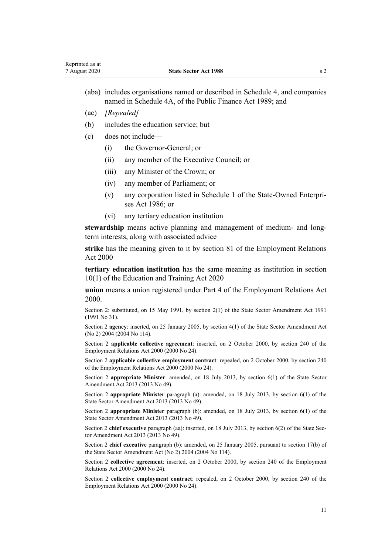- (aba) includes organisations named or described in [Schedule 4](http://legislation.govt.nz/pdflink.aspx?id=DLM163544), and companies named in [Schedule 4A,](http://legislation.govt.nz/pdflink.aspx?id=DLM5466801) of the Public Finance Act 1989; and
- (ac) *[Repealed]*
- (b) includes the education service; but
- (c) does not include—
	- (i) the Governor-General; or
	- (ii) any member of the Executive Council; or
	- (iii) any Minister of the Crown; or
	- (iv) any member of Parliament; or
	- (v) any corporation listed in [Schedule 1](http://legislation.govt.nz/pdflink.aspx?id=DLM98444) of the State-Owned Enterprises Act 1986; or
	- (vi) any tertiary education institution

**stewardship** means active planning and management of medium- and longterm interests, along with associated advice

**strike** has the meaning given to it by [section 81](http://legislation.govt.nz/pdflink.aspx?id=DLM59966) of the Employment Relations Act 2000

**tertiary education institution** has the same meaning as institution in [section](http://legislation.govt.nz/pdflink.aspx?id=LMS171311) [10\(1\)](http://legislation.govt.nz/pdflink.aspx?id=LMS171311) of the Education and Training Act 2020

**union** means a union registered under [Part 4](http://legislation.govt.nz/pdflink.aspx?id=DLM58631) of the Employment Relations Act 2000.

Section 2: substituted, on 15 May 1991, by section 2(1) of the State Sector Amendment Act 1991 (1991 No 31).

Section 2 **agency**: inserted, on 25 January 2005, by [section 4\(1\)](http://legislation.govt.nz/pdflink.aspx?id=DLM329151) of the State Sector Amendment Act (No 2) 2004 (2004 No 114).

Section 2 **applicable collective agreement**: inserted, on 2 October 2000, by [section 240](http://legislation.govt.nz/pdflink.aspx?id=DLM61487) of the Employment Relations Act 2000 (2000 No 24).

Section 2 **applicable collective employment contract**: repealed, on 2 October 2000, by [section 240](http://legislation.govt.nz/pdflink.aspx?id=DLM61487) of the Employment Relations Act 2000 (2000 No 24).

Section 2 **appropriate Minister**: amended, on 18 July 2013, by [section 6\(1\)](http://legislation.govt.nz/pdflink.aspx?id=DLM4598815) of the State Sector Amendment Act 2013 (2013 No 49).

Section 2 **appropriate Minister** paragraph (a): amended, on 18 July 2013, by [section 6\(1\)](http://legislation.govt.nz/pdflink.aspx?id=DLM4598815) of the State Sector Amendment Act 2013 (2013 No 49).

Section 2 **appropriate Minister** paragraph (b): amended, on 18 July 2013, by [section 6\(1\)](http://legislation.govt.nz/pdflink.aspx?id=DLM4598815) of the State Sector Amendment Act 2013 (2013 No 49).

Section 2 **chief executive** paragraph (aa): inserted, on 18 July 2013, by [section 6\(2\)](http://legislation.govt.nz/pdflink.aspx?id=DLM4598815) of the State Sector Amendment Act 2013 (2013 No 49).

Section 2 **chief executive** paragraph (b): amended, on 25 January 2005, pursuant to [section 17\(b\)](http://legislation.govt.nz/pdflink.aspx?id=DLM329198) of the State Sector Amendment Act (No 2) 2004 (2004 No 114).

Section 2 **collective agreement**: inserted, on 2 October 2000, by [section 240](http://legislation.govt.nz/pdflink.aspx?id=DLM61487) of the Employment Relations Act 2000 (2000 No 24).

Section 2 **collective employment contract**: repealed, on 2 October 2000, by [section 240](http://legislation.govt.nz/pdflink.aspx?id=DLM61487) of the Employment Relations Act 2000 (2000 No 24).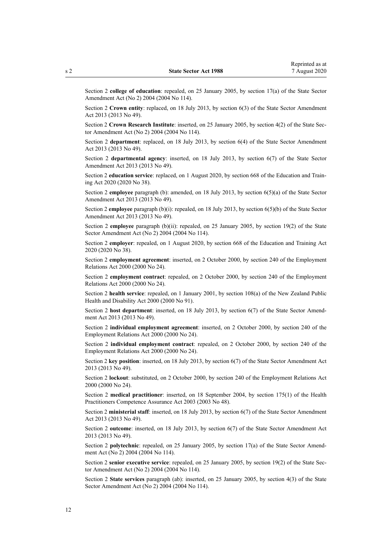Section 2 **college of education**: repealed, on 25 January 2005, by [section 17\(a\)](http://legislation.govt.nz/pdflink.aspx?id=DLM329198) of the State Sector Amendment Act (No 2) 2004 (2004 No 114).

Section 2 **Crown entity**: replaced, on 18 July 2013, by [section 6\(3\)](http://legislation.govt.nz/pdflink.aspx?id=DLM4598815) of the State Sector Amendment Act 2013 (2013 No 49).

Section 2 **Crown Research Institute**: inserted, on 25 January 2005, by [section 4\(2\)](http://legislation.govt.nz/pdflink.aspx?id=DLM329151) of the State Sector Amendment Act (No 2) 2004 (2004 No 114).

Section 2 **department**: replaced, on 18 July 2013, by [section 6\(4\)](http://legislation.govt.nz/pdflink.aspx?id=DLM4598815) of the State Sector Amendment Act 2013 (2013 No 49).

Section 2 **departmental agency**: inserted, on 18 July 2013, by [section 6\(7\)](http://legislation.govt.nz/pdflink.aspx?id=DLM4598815) of the State Sector Amendment Act 2013 (2013 No 49).

Section 2 **education service**: replaced, on 1 August 2020, by [section 668](http://legislation.govt.nz/pdflink.aspx?id=LMS367713) of the Education and Training Act 2020 (2020 No 38).

Section 2 **employee** paragraph (b): amended, on 18 July 2013, by [section 6\(5\)\(a\)](http://legislation.govt.nz/pdflink.aspx?id=DLM4598815) of the State Sector Amendment Act 2013 (2013 No 49).

Section 2 **employee** paragraph (b)(i): repealed, on 18 July 2013, by [section 6\(5\)\(b\)](http://legislation.govt.nz/pdflink.aspx?id=DLM4598815) of the State Sector Amendment Act 2013 (2013 No 49).

Section 2 **employee** paragraph (b)(ii): repealed, on 25 January 2005, by [section 19\(2\)](http://legislation.govt.nz/pdflink.aspx?id=DLM329600) of the State Sector Amendment Act (No 2) 2004 (2004 No 114).

Section 2 **employer**: repealed, on 1 August 2020, by [section 668](http://legislation.govt.nz/pdflink.aspx?id=LMS367713) of the Education and Training Act 2020 (2020 No 38).

Section 2 **employment agreement**: inserted, on 2 October 2000, by [section 240](http://legislation.govt.nz/pdflink.aspx?id=DLM61487) of the Employment Relations Act 2000 (2000 No 24).

Section 2 **employment contract**: repealed, on 2 October 2000, by [section 240](http://legislation.govt.nz/pdflink.aspx?id=DLM61487) of the Employment Relations Act 2000 (2000 No 24).

Section 2 **health service**: repealed, on 1 January 2001, by [section 108\(a\)](http://legislation.govt.nz/pdflink.aspx?id=DLM81640) of the New Zealand Public Health and Disability Act 2000 (2000 No 91).

Section 2 **host department**: inserted, on 18 July 2013, by [section 6\(7\)](http://legislation.govt.nz/pdflink.aspx?id=DLM4598815) of the State Sector Amendment Act 2013 (2013 No 49).

Section 2 **individual employment agreement**: inserted, on 2 October 2000, by [section 240](http://legislation.govt.nz/pdflink.aspx?id=DLM61487) of the Employment Relations Act 2000 (2000 No 24).

Section 2 **individual employment contract**: repealed, on 2 October 2000, by [section 240](http://legislation.govt.nz/pdflink.aspx?id=DLM61487) of the Employment Relations Act 2000 (2000 No 24).

Section 2 **key position**: inserted, on 18 July 2013, by [section 6\(7\)](http://legislation.govt.nz/pdflink.aspx?id=DLM4598815) of the State Sector Amendment Act 2013 (2013 No 49).

Section 2 **lockout**: substituted, on 2 October 2000, by [section 240](http://legislation.govt.nz/pdflink.aspx?id=DLM61487) of the Employment Relations Act 2000 (2000 No 24).

Section 2 **medical practitioner**: inserted, on 18 September 2004, by [section 175\(1\)](http://legislation.govt.nz/pdflink.aspx?id=DLM205009) of the Health Practitioners Competence Assurance Act 2003 (2003 No 48).

Section 2 **ministerial staff**: inserted, on 18 July 2013, by [section 6\(7\)](http://legislation.govt.nz/pdflink.aspx?id=DLM4598815) of the State Sector Amendment Act 2013 (2013 No 49).

Section 2 **outcome**: inserted, on 18 July 2013, by [section 6\(7\)](http://legislation.govt.nz/pdflink.aspx?id=DLM4598815) of the State Sector Amendment Act 2013 (2013 No 49).

Section 2 **polytechnic**: repealed, on 25 January 2005, by [section 17\(a\)](http://legislation.govt.nz/pdflink.aspx?id=DLM329198) of the State Sector Amendment Act (No 2) 2004 (2004 No 114).

Section 2 **senior executive service**: repealed, on 25 January 2005, by [section 19\(2\)](http://legislation.govt.nz/pdflink.aspx?id=DLM329600) of the State Sector Amendment Act (No 2) 2004 (2004 No 114).

Section 2 **State services** paragraph (ab): inserted, on 25 January 2005, by [section 4\(3\)](http://legislation.govt.nz/pdflink.aspx?id=DLM329151) of the State Sector Amendment Act (No 2) 2004 (2004 No 114).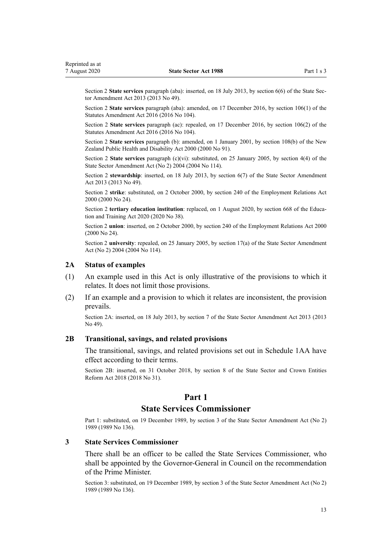<span id="page-12-0"></span>Section 2 **State services** paragraph (aba): inserted, on 18 July 2013, by [section 6\(6\)](http://legislation.govt.nz/pdflink.aspx?id=DLM4598815) of the State Sector Amendment Act 2013 (2013 No 49).

Section 2 **State services** paragraph (aba): amended, on 17 December 2016, by [section 106\(1\)](http://legislation.govt.nz/pdflink.aspx?id=DLM6623902) of the Statutes Amendment Act 2016 (2016 No 104).

Section 2 **State services** paragraph (ac): repealed, on 17 December 2016, by [section 106\(2\)](http://legislation.govt.nz/pdflink.aspx?id=DLM6623902) of the Statutes Amendment Act 2016 (2016 No 104).

Section 2 **State services** paragraph (b): amended, on 1 January 2001, by [section 108\(b\)](http://legislation.govt.nz/pdflink.aspx?id=DLM81640) of the New Zealand Public Health and Disability Act 2000 (2000 No 91).

Section 2 **State services** paragraph (c)(vi): substituted, on 25 January 2005, by [section 4\(4\)](http://legislation.govt.nz/pdflink.aspx?id=DLM329151) of the State Sector Amendment Act (No 2) 2004 (2004 No 114).

Section 2 **stewardship**: inserted, on 18 July 2013, by [section 6\(7\)](http://legislation.govt.nz/pdflink.aspx?id=DLM4598815) of the State Sector Amendment Act 2013 (2013 No 49).

Section 2 **strike**: substituted, on 2 October 2000, by [section 240](http://legislation.govt.nz/pdflink.aspx?id=DLM61487) of the Employment Relations Act 2000 (2000 No 24).

Section 2 **tertiary education institution**: replaced, on 1 August 2020, by [section 668](http://legislation.govt.nz/pdflink.aspx?id=LMS367713) of the Education and Training Act 2020 (2020 No 38).

Section 2 **union**: inserted, on 2 October 2000, by [section 240](http://legislation.govt.nz/pdflink.aspx?id=DLM61487) of the Employment Relations Act 2000 (2000 No 24).

Section 2 **university**: repealed, on 25 January 2005, by [section 17\(a\)](http://legislation.govt.nz/pdflink.aspx?id=DLM329198) of the State Sector Amendment Act (No 2) 2004 (2004 No 114).

#### **2A Status of examples**

- (1) An example used in this Act is only illustrative of the provisions to which it relates. It does not limit those provisions.
- (2) If an example and a provision to which it relates are inconsistent, the provision prevails.

Section 2A: inserted, on 18 July 2013, by [section 7](http://legislation.govt.nz/pdflink.aspx?id=DLM4598827) of the State Sector Amendment Act 2013 (2013 No 49).

#### **2B Transitional, savings, and related provisions**

The transitional, savings, and related provisions set out in [Schedule 1AA](#page-75-0) have effect according to their terms.

Section 2B: inserted, on 31 October 2018, by [section 8](http://legislation.govt.nz/pdflink.aspx?id=LMS11211) of the State Sector and Crown Entities Reform Act 2018 (2018 No 31).

### **Part 1**

## **State Services Commissioner**

Part 1: substituted, on 19 December 1989, by [section 3](http://legislation.govt.nz/pdflink.aspx?id=DLM194704) of the State Sector Amendment Act (No 2) 1989 (1989 No 136).

#### **3 State Services Commissioner**

There shall be an officer to be called the State Services Commissioner, who shall be appointed by the Governor-General in Council on the recommendation of the Prime Minister.

Section 3: substituted, on 19 December 1989, by [section 3](http://legislation.govt.nz/pdflink.aspx?id=DLM194704) of the State Sector Amendment Act (No 2) 1989 (1989 No 136).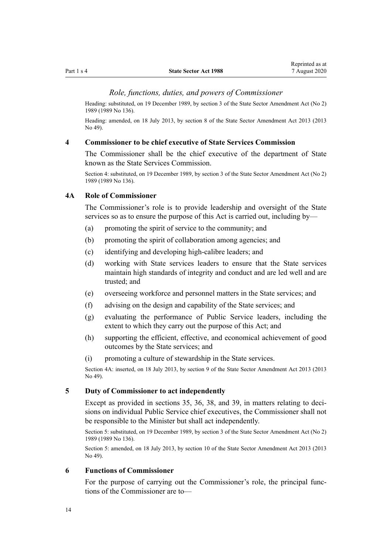#### *Role, functions, duties, and powers of Commissioner*

<span id="page-13-0"></span>Heading: substituted, on 19 December 1989, by [section 3](http://legislation.govt.nz/pdflink.aspx?id=DLM194704) of the State Sector Amendment Act (No 2) 1989 (1989 No 136).

Heading: amended, on 18 July 2013, by [section 8](http://legislation.govt.nz/pdflink.aspx?id=DLM4598830) of the State Sector Amendment Act 2013 (2013 No 49).

#### **4 Commissioner to be chief executive of State Services Commission**

The Commissioner shall be the chief executive of the department of State known as the State Services Commission.

Section 4: substituted, on 19 December 1989, by [section 3](http://legislation.govt.nz/pdflink.aspx?id=DLM194704) of the State Sector Amendment Act (No 2) 1989 (1989 No 136).

#### **4A Role of Commissioner**

The Commissioner's role is to provide leadership and oversight of the State services so as to ensure the purpose of this Act is carried out, including by—

- (a) promoting the spirit of service to the community; and
- (b) promoting the spirit of collaboration among agencies; and
- (c) identifying and developing high-calibre leaders; and
- (d) working with State services leaders to ensure that the State services maintain high standards of integrity and conduct and are led well and are trusted; and
- (e) overseeing workforce and personnel matters in the State services; and
- (f) advising on the design and capability of the State services; and
- (g) evaluating the performance of Public Service leaders, including the extent to which they carry out the purpose of this Act; and
- (h) supporting the efficient, effective, and economical achievement of good outcomes by the State services; and
- (i) promoting a culture of stewardship in the State services.

Section 4A: inserted, on 18 July 2013, by [section 9](http://legislation.govt.nz/pdflink.aspx?id=DLM4598831) of the State Sector Amendment Act 2013 (2013 No 49).

#### **5 Duty of Commissioner to act independently**

Except as provided in [sections 35,](#page-36-0) [36,](#page-39-0) [38](#page-40-0), and [39,](#page-41-0) in matters relating to decisions on individual Public Service chief executives, the Commissioner shall not be responsible to the Minister but shall act independently.

Section 5: substituted, on 19 December 1989, by [section 3](http://legislation.govt.nz/pdflink.aspx?id=DLM194704) of the State Sector Amendment Act (No 2) 1989 (1989 No 136).

Section 5: amended, on 18 July 2013, by [section 10](http://legislation.govt.nz/pdflink.aspx?id=DLM4681617) of the State Sector Amendment Act 2013 (2013 No 49).

#### **6 Functions of Commissioner**

For the purpose of carrying out the Commissioner's role, the principal functions of the Commissioner are to—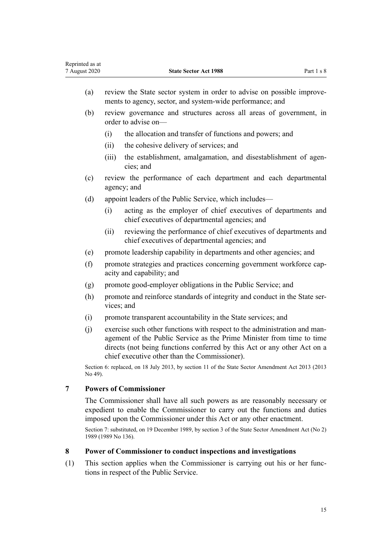|     | order to advise on-                                                                                                                                                                                                              |                     |                                                                                                                                                                                                                                                                                 |  |
|-----|----------------------------------------------------------------------------------------------------------------------------------------------------------------------------------------------------------------------------------|---------------------|---------------------------------------------------------------------------------------------------------------------------------------------------------------------------------------------------------------------------------------------------------------------------------|--|
|     |                                                                                                                                                                                                                                  | (i)                 | the allocation and transfer of functions and powers; and                                                                                                                                                                                                                        |  |
|     |                                                                                                                                                                                                                                  | (ii)                | the cohesive delivery of services; and                                                                                                                                                                                                                                          |  |
|     |                                                                                                                                                                                                                                  | (iii)               | the establishment, amalgamation, and disestablishment of agen-<br>cies; and                                                                                                                                                                                                     |  |
|     | (c)                                                                                                                                                                                                                              |                     | review the performance of each department and each departmental<br>agency; and                                                                                                                                                                                                  |  |
|     | (d)                                                                                                                                                                                                                              |                     | appoint leaders of the Public Service, which includes—                                                                                                                                                                                                                          |  |
|     |                                                                                                                                                                                                                                  | (i)                 | acting as the employer of chief executives of departments and<br>chief executives of departmental agencies; and                                                                                                                                                                 |  |
|     |                                                                                                                                                                                                                                  | (ii)                | reviewing the performance of chief executives of departments and<br>chief executives of departmental agencies; and                                                                                                                                                              |  |
|     | (e)                                                                                                                                                                                                                              |                     | promote leadership capability in departments and other agencies; and                                                                                                                                                                                                            |  |
|     | (f)                                                                                                                                                                                                                              |                     | promote strategies and practices concerning government workforce cap-<br>acity and capability; and                                                                                                                                                                              |  |
|     | promote good-employer obligations in the Public Service; and<br>(g)                                                                                                                                                              |                     |                                                                                                                                                                                                                                                                                 |  |
|     | (h)<br>promote and reinforce standards of integrity and conduct in the State ser-<br>vices; and                                                                                                                                  |                     |                                                                                                                                                                                                                                                                                 |  |
|     | (i)                                                                                                                                                                                                                              |                     | promote transparent accountability in the State services; and                                                                                                                                                                                                                   |  |
|     | (j)                                                                                                                                                                                                                              |                     | exercise such other functions with respect to the administration and man-<br>agement of the Public Service as the Prime Minister from time to time<br>directs (not being functions conferred by this Act or any other Act on a<br>chief executive other than the Commissioner). |  |
|     | Section 6: replaced, on 18 July 2013, by section 11 of the State Sector Amendment Act 2013 (2013<br>No 49).                                                                                                                      |                     |                                                                                                                                                                                                                                                                                 |  |
| 7   | <b>Powers of Commissioner</b>                                                                                                                                                                                                    |                     |                                                                                                                                                                                                                                                                                 |  |
|     | The Commissioner shall have all such powers as are reasonably necessary or<br>expedient to enable the Commissioner to carry out the functions and duties<br>imposed upon the Commissioner under this Act or any other enactment. |                     |                                                                                                                                                                                                                                                                                 |  |
|     |                                                                                                                                                                                                                                  | 1989 (1989 No 136). | Section 7: substituted, on 19 December 1989, by section 3 of the State Sector Amendment Act (No 2)                                                                                                                                                                              |  |
| 8   |                                                                                                                                                                                                                                  |                     | Power of Commissioner to conduct inspections and investigations                                                                                                                                                                                                                 |  |
| (1) |                                                                                                                                                                                                                                  |                     | This section applies when the Commissioner is carrying out his or her func-<br>tions in respect of the Public Service.                                                                                                                                                          |  |
|     |                                                                                                                                                                                                                                  |                     |                                                                                                                                                                                                                                                                                 |  |

ments to agency, sector, and system-wide performance; and

<span id="page-14-0"></span>(a) review the State sector system in order to advise on possible improve-

(b) review governance and structures across all areas of government, in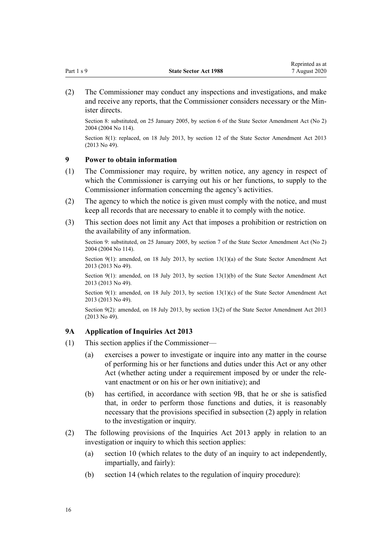<span id="page-15-0"></span>(2) The Commissioner may conduct any inspections and investigations, and make and receive any reports, that the Commissioner considers necessary or the Minister directs.

Section 8: substituted, on 25 January 2005, by [section 6](http://legislation.govt.nz/pdflink.aspx?id=DLM329161) of the State Sector Amendment Act (No 2) 2004 (2004 No 114).

Section 8(1): replaced, on 18 July 2013, by [section 12](http://legislation.govt.nz/pdflink.aspx?id=DLM4598835) of the State Sector Amendment Act 2013 (2013 No 49).

#### **9 Power to obtain information**

- (1) The Commissioner may require, by written notice, any agency in respect of which the Commissioner is carrying out his or her functions, to supply to the Commissioner information concerning the agency's activities.
- (2) The agency to which the notice is given must comply with the notice, and must keep all records that are necessary to enable it to comply with the notice.
- (3) This section does not limit any Act that imposes a prohibition or restriction on the availability of any information.

Section 9: substituted, on 25 January 2005, by [section 7](http://legislation.govt.nz/pdflink.aspx?id=DLM329163) of the State Sector Amendment Act (No 2) 2004 (2004 No 114).

Section 9(1): amended, on 18 July 2013, by [section 13\(1\)\(a\)](http://legislation.govt.nz/pdflink.aspx?id=DLM4598836) of the State Sector Amendment Act 2013 (2013 No 49).

Section 9(1): amended, on 18 July 2013, by [section 13\(1\)\(b\)](http://legislation.govt.nz/pdflink.aspx?id=DLM4598836) of the State Sector Amendment Act 2013 (2013 No 49).

Section 9(1): amended, on 18 July 2013, by [section 13\(1\)\(c\)](http://legislation.govt.nz/pdflink.aspx?id=DLM4598836) of the State Sector Amendment Act 2013 (2013 No 49).

Section 9(2): amended, on 18 July 2013, by [section 13\(2\)](http://legislation.govt.nz/pdflink.aspx?id=DLM4598836) of the State Sector Amendment Act 2013 (2013 No 49).

#### **9A Application of Inquiries Act 2013**

- (1) This section applies if the Commissioner—
	- (a) exercises a power to investigate or inquire into any matter in the course of performing his or her functions and duties under this Act or any other Act (whether acting under a requirement imposed by or under the relevant enactment or on his or her own initiative); and
	- (b) has certified, in accordance with [section 9B](#page-17-0), that he or she is satisfied that, in order to perform those functions and duties, it is reasonably necessary that the provisions specified in subsection (2) apply in relation to the investigation or inquiry.
- (2) The following provisions of the [Inquiries Act 2013](http://legislation.govt.nz/pdflink.aspx?id=DLM1566100) apply in relation to an investigation or inquiry to which this section applies:
	- (a) [section 10](http://legislation.govt.nz/pdflink.aspx?id=DLM1566142) (which relates to the duty of an inquiry to act independently, impartially, and fairly):
	- (b) [section 14](http://legislation.govt.nz/pdflink.aspx?id=DLM1566149) (which relates to the regulation of inquiry procedure):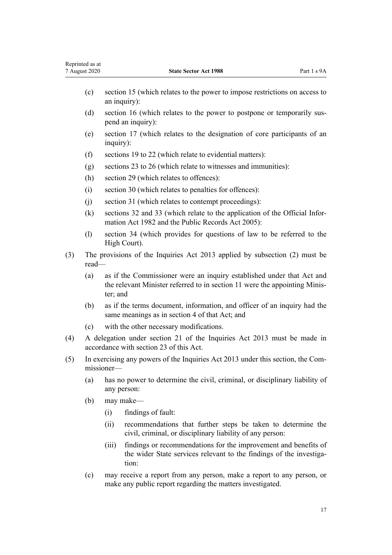|                                                                                                                                                                        | (c)                                                                                           | section 15 (which relates to the power to impose restrictions on access to<br>an inquiry):                         |                                                                                                                                                 |  |  |
|------------------------------------------------------------------------------------------------------------------------------------------------------------------------|-----------------------------------------------------------------------------------------------|--------------------------------------------------------------------------------------------------------------------|-------------------------------------------------------------------------------------------------------------------------------------------------|--|--|
|                                                                                                                                                                        | (d)                                                                                           |                                                                                                                    | section 16 (which relates to the power to postpone or temporarily sus-<br>pend an inquiry):                                                     |  |  |
|                                                                                                                                                                        | (e)                                                                                           | inquiry):                                                                                                          | section 17 (which relates to the designation of core participants of an                                                                         |  |  |
|                                                                                                                                                                        | (f)                                                                                           |                                                                                                                    | sections 19 to 22 (which relate to evidential matters):                                                                                         |  |  |
|                                                                                                                                                                        | (g)                                                                                           |                                                                                                                    | sections 23 to 26 (which relate to witnesses and immunities):                                                                                   |  |  |
|                                                                                                                                                                        | (h)                                                                                           |                                                                                                                    | section 29 (which relates to offences):                                                                                                         |  |  |
|                                                                                                                                                                        | (i)                                                                                           |                                                                                                                    | section 30 (which relates to penalties for offences):                                                                                           |  |  |
|                                                                                                                                                                        | (j)                                                                                           |                                                                                                                    | section 31 (which relates to contempt proceedings):                                                                                             |  |  |
|                                                                                                                                                                        | (k)                                                                                           |                                                                                                                    | sections 32 and 33 (which relate to the application of the Official Infor-<br>mation Act 1982 and the Public Records Act 2005):                 |  |  |
|                                                                                                                                                                        | (1)                                                                                           |                                                                                                                    | section 34 (which provides for questions of law to be referred to the<br>High Court).                                                           |  |  |
| (3)<br>read-                                                                                                                                                           |                                                                                               |                                                                                                                    | The provisions of the Inquiries Act 2013 applied by subsection (2) must be                                                                      |  |  |
| as if the Commissioner were an inquiry established under that Act and<br>(a)<br>the relevant Minister referred to in section 11 were the appointing Minis-<br>ter; and |                                                                                               |                                                                                                                    |                                                                                                                                                 |  |  |
| (b)                                                                                                                                                                    |                                                                                               |                                                                                                                    | as if the terms document, information, and officer of an inquiry had the<br>same meanings as in section 4 of that Act; and                      |  |  |
| (c)<br>with the other necessary modifications.                                                                                                                         |                                                                                               |                                                                                                                    |                                                                                                                                                 |  |  |
| (4)                                                                                                                                                                    |                                                                                               | A delegation under section 21 of the Inquiries Act 2013 must be made in<br>accordance with section 23 of this Act. |                                                                                                                                                 |  |  |
| (5)                                                                                                                                                                    | In exercising any powers of the Inquiries Act 2013 under this section, the Com-<br>missioner- |                                                                                                                    |                                                                                                                                                 |  |  |
|                                                                                                                                                                        |                                                                                               |                                                                                                                    | (a) has no power to determine the civil, criminal, or disciplinary liability of<br>any person:                                                  |  |  |
|                                                                                                                                                                        | (b)                                                                                           |                                                                                                                    | may make—                                                                                                                                       |  |  |
|                                                                                                                                                                        |                                                                                               | (i)                                                                                                                | findings of fault:                                                                                                                              |  |  |
|                                                                                                                                                                        |                                                                                               | (ii)                                                                                                               | recommendations that further steps be taken to determine the<br>civil, criminal, or disciplinary liability of any person:                       |  |  |
|                                                                                                                                                                        |                                                                                               | (iii)                                                                                                              | findings or recommendations for the improvement and benefits of<br>the wider State services relevant to the findings of the investiga-<br>tion: |  |  |
|                                                                                                                                                                        | (c)                                                                                           |                                                                                                                    | may receive a report from any person, make a report to any person, or<br>make any public report regarding the matters investigated.             |  |  |

Reprinted as at<br>7 August 2020

**7 State Sector Act 1988** Part 1 s 9A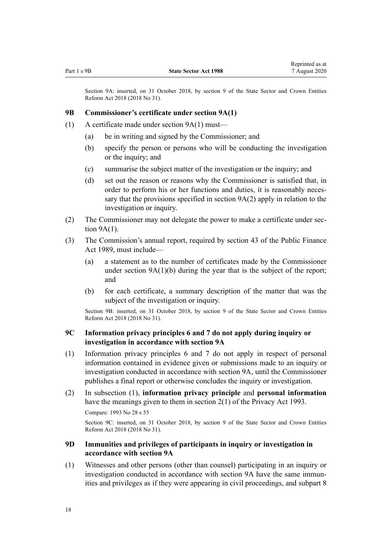<span id="page-17-0"></span>Section 9A: inserted, on 31 October 2018, by [section 9](http://legislation.govt.nz/pdflink.aspx?id=LMS11213) of the State Sector and Crown Entities Reform Act 2018 (2018 No 31).

#### **9B Commissioner's certificate under section 9A(1)**

- (1) A certificate made under [section 9A\(1\)](#page-15-0) must—
	- (a) be in writing and signed by the Commissioner; and
	- (b) specify the person or persons who will be conducting the investigation or the inquiry; and
	- (c) summarise the subject matter of the investigation or the inquiry; and
	- (d) set out the reason or reasons why the Commissioner is satisfied that, in order to perform his or her functions and duties, it is reasonably necessary that the provisions specified in [section 9A\(2\)](#page-15-0) apply in relation to the investigation or inquiry.
- (2) The Commissioner may not delegate the power to make a certificate under [sec](#page-15-0)[tion 9A\(1\)](#page-15-0).
- (3) The Commission's annual report, required by [section 43](http://legislation.govt.nz/pdflink.aspx?id=DLM162464) of the Public Finance Act 1989, must include—
	- (a) a statement as to the number of certificates made by the Commissioner under section  $9A(1)(b)$  during the year that is the subject of the report; and
	- (b) for each certificate, a summary description of the matter that was the subject of the investigation or inquiry.

Section 9B: inserted, on 31 October 2018, by [section 9](http://legislation.govt.nz/pdflink.aspx?id=LMS11213) of the State Sector and Crown Entities Reform Act 2018 (2018 No 31).

## **9C Information privacy principles 6 and 7 do not apply during inquiry or investigation in accordance with section 9A**

- (1) Information privacy principles 6 and 7 do not apply in respect of personal information contained in evidence given or submissions made to an inquiry or investigation conducted in accordance with [section 9A,](#page-15-0) until the Commissioner publishes a final report or otherwise concludes the inquiry or investigation.
- (2) In subsection (1), **information privacy principle** and **personal information** have the meanings given to them in [section 2\(1\)](http://legislation.govt.nz/pdflink.aspx?id=DLM296645) of the Privacy Act 1993. Compare: 1993 No 28 [s 55](http://legislation.govt.nz/pdflink.aspx?id=DLM297420)

Section 9C: inserted, on 31 October 2018, by [section 9](http://legislation.govt.nz/pdflink.aspx?id=LMS11213) of the State Sector and Crown Entities Reform Act 2018 (2018 No 31).

#### **9D Immunities and privileges of participants in inquiry or investigation in accordance with section 9A**

(1) Witnesses and other persons (other than counsel) participating in an inquiry or investigation conducted in accordance with [section 9A](#page-15-0) have the same immunities and privileges as if they were appearing in civil proceedings, and [subpart 8](http://legislation.govt.nz/pdflink.aspx?id=DLM393646)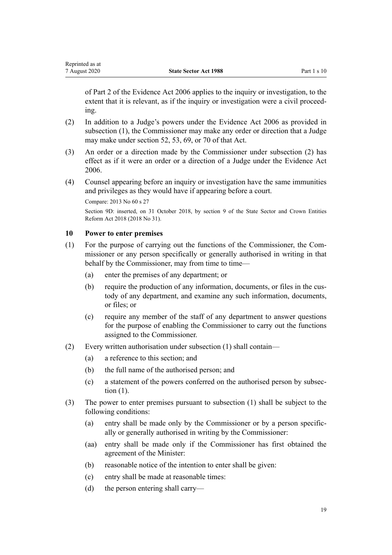<span id="page-18-0"></span>of Part 2 of the Evidence Act 2006 applies to the inquiry or investigation, to the extent that it is relevant, as if the inquiry or investigation were a civil proceeding.

- (2) In addition to a Judge's powers under the [Evidence Act 2006](http://legislation.govt.nz/pdflink.aspx?id=DLM393462) as provided in subsection (1), the Commissioner may make any order or direction that a Judge may make under [section 52,](http://legislation.govt.nz/pdflink.aspx?id=DLM393656) [53,](http://legislation.govt.nz/pdflink.aspx?id=DLM393658) [69](http://legislation.govt.nz/pdflink.aspx?id=DLM393690), or [70](http://legislation.govt.nz/pdflink.aspx?id=DLM393692) of that Act.
- (3) An order or a direction made by the Commissioner under subsection (2) has effect as if it were an order or a direction of a Judge under the [Evidence Act](http://legislation.govt.nz/pdflink.aspx?id=DLM393462) [2006](http://legislation.govt.nz/pdflink.aspx?id=DLM393462).
- (4) Counsel appearing before an inquiry or investigation have the same immunities and privileges as they would have if appearing before a court.

Compare: 2013 No 60 [s 27](http://legislation.govt.nz/pdflink.aspx?id=DLM1566168)

Section 9D: inserted, on 31 October 2018, by [section 9](http://legislation.govt.nz/pdflink.aspx?id=LMS11213) of the State Sector and Crown Entities Reform Act 2018 (2018 No 31).

#### **10 Power to enter premises**

- (1) For the purpose of carrying out the functions of the Commissioner, the Commissioner or any person specifically or generally authorised in writing in that behalf by the Commissioner, may from time to time—
	- (a) enter the premises of any department; or
	- (b) require the production of any information, documents, or files in the custody of any department, and examine any such information, documents, or files; or
	- (c) require any member of the staff of any department to answer questions for the purpose of enabling the Commissioner to carry out the functions assigned to the Commissioner.
- (2) Every written authorisation under subsection (1) shall contain—
	- (a) a reference to this section; and
	- (b) the full name of the authorised person; and
	- (c) a statement of the powers conferred on the authorised person by subsection (1).
- (3) The power to enter premises pursuant to subsection (1) shall be subject to the following conditions:
	- (a) entry shall be made only by the Commissioner or by a person specifically or generally authorised in writing by the Commissioner:
	- (aa) entry shall be made only if the Commissioner has first obtained the agreement of the Minister:
	- (b) reasonable notice of the intention to enter shall be given:
	- (c) entry shall be made at reasonable times:
	- (d) the person entering shall carry—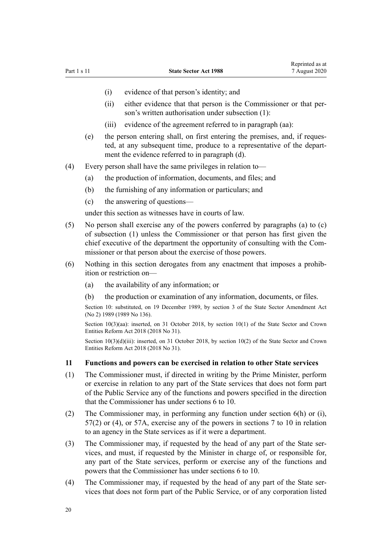- <span id="page-19-0"></span>(i) evidence of that person's identity; and
- (ii) either evidence that that person is the Commissioner or that person's written authorisation under subsection (1):
- (iii) evidence of the agreement referred to in paragraph (aa):
- (e) the person entering shall, on first entering the premises, and, if requested, at any subsequent time, produce to a representative of the department the evidence referred to in paragraph (d).
- (4) Every person shall have the same privileges in relation to—
	- (a) the production of information, documents, and files; and
	- (b) the furnishing of any information or particulars; and
	- (c) the answering of questions—

under this section as witnesses have in courts of law.

- (5) No person shall exercise any of the powers conferred by paragraphs (a) to (c) of subsection (1) unless the Commissioner or that person has first given the chief executive of the department the opportunity of consulting with the Commissioner or that person about the exercise of those powers.
- (6) Nothing in this section derogates from any enactment that imposes a prohibition or restriction on—
	- (a) the availability of any information; or
	- (b) the production or examination of any information, documents, or files.

Section 10: substituted, on 19 December 1989, by [section 3](http://legislation.govt.nz/pdflink.aspx?id=DLM194704) of the State Sector Amendment Act (No 2) 1989 (1989 No 136).

Section 10(3)(aa): inserted, on 31 October 2018, by [section 10\(1\)](http://legislation.govt.nz/pdflink.aspx?id=LMS55107) of the State Sector and Crown Entities Reform Act 2018 (2018 No 31).

Section  $10(3)(d)(iii)$ : inserted, on 31 October 2018, by [section 10\(2\)](http://legislation.govt.nz/pdflink.aspx?id=LMS55107) of the State Sector and Crown Entities Reform Act 2018 (2018 No 31).

#### **11 Functions and powers can be exercised in relation to other State services**

- (1) The Commissioner must, if directed in writing by the Prime Minister, perform or exercise in relation to any part of the State services that does not form part of the Public Service any of the functions and powers specified in the direction that the Commissioner has under [sections 6 to 10](#page-13-0).
- (2) The Commissioner may, in performing any function under [section 6\(h\) or \(i\)](#page-13-0), [57\(2\) or \(4\)](#page-52-0), or [57A](#page-53-0), exercise any of the powers in [sections 7 to 10](#page-14-0) in relation to an agency in the State services as if it were a department.
- (3) The Commissioner may, if requested by the head of any part of the State services, and must, if requested by the Minister in charge of, or responsible for, any part of the State services, perform or exercise any of the functions and powers that the Commissioner has under [sections 6 to 10](#page-13-0).
- (4) The Commissioner may, if requested by the head of any part of the State services that does not form part of the Public Service, or of any corporation listed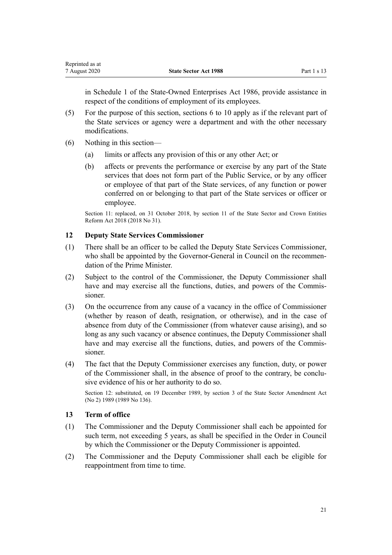<span id="page-20-0"></span>in [Schedule 1](http://legislation.govt.nz/pdflink.aspx?id=DLM98444) of the State-Owned Enterprises Act 1986, provide assistance in respect of the conditions of employment of its employees.

- (5) For the purpose of this section, [sections 6 to 10](#page-13-0) apply as if the relevant part of the State services or agency were a department and with the other necessary modifications.
- (6) Nothing in this section—
	- (a) limits or affects any provision of this or any other Act; or
	- (b) affects or prevents the performance or exercise by any part of the State services that does not form part of the Public Service, or by any officer or employee of that part of the State services, of any function or power conferred on or belonging to that part of the State services or officer or employee.

Section 11: replaced, on 31 October 2018, by [section 11](http://legislation.govt.nz/pdflink.aspx?id=LMS11215) of the State Sector and Crown Entities Reform Act 2018 (2018 No 31).

## **12 Deputy State Services Commissioner**

- (1) There shall be an officer to be called the Deputy State Services Commissioner, who shall be appointed by the Governor-General in Council on the recommendation of the Prime Minister.
- (2) Subject to the control of the Commissioner, the Deputy Commissioner shall have and may exercise all the functions, duties, and powers of the Commissioner.
- (3) On the occurrence from any cause of a vacancy in the office of Commissioner (whether by reason of death, resignation, or otherwise), and in the case of absence from duty of the Commissioner (from whatever cause arising), and so long as any such vacancy or absence continues, the Deputy Commissioner shall have and may exercise all the functions, duties, and powers of the Commissioner.
- (4) The fact that the Deputy Commissioner exercises any function, duty, or power of the Commissioner shall, in the absence of proof to the contrary, be conclusive evidence of his or her authority to do so.

Section 12: substituted, on 19 December 1989, by [section 3](http://legislation.govt.nz/pdflink.aspx?id=DLM194704) of the State Sector Amendment Act (No 2) 1989 (1989 No 136).

#### **13 Term of office**

- (1) The Commissioner and the Deputy Commissioner shall each be appointed for such term, not exceeding 5 years, as shall be specified in the Order in Council by which the Commissioner or the Deputy Commissioner is appointed.
- (2) The Commissioner and the Deputy Commissioner shall each be eligible for reappointment from time to time.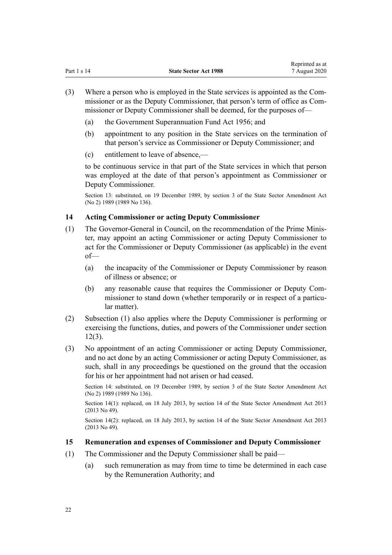- <span id="page-21-0"></span>(3) Where a person who is employed in the State services is appointed as the Commissioner or as the Deputy Commissioner, that person's term of office as Commissioner or Deputy Commissioner shall be deemed, for the purposes of—
	- (a) the [Government Superannuation Fund Act 1956;](http://legislation.govt.nz/pdflink.aspx?id=DLM446000) and
	- (b) appointment to any position in the State services on the termination of that person's service as Commissioner or Deputy Commissioner; and
	- (c) entitlement to leave of absence,—

to be continuous service in that part of the State services in which that person was employed at the date of that person's appointment as Commissioner or Deputy Commissioner.

Section 13: substituted, on 19 December 1989, by [section 3](http://legislation.govt.nz/pdflink.aspx?id=DLM194704) of the State Sector Amendment Act (No 2) 1989 (1989 No 136).

## **14 Acting Commissioner or acting Deputy Commissioner**

- (1) The Governor-General in Council, on the recommendation of the Prime Minister, may appoint an acting Commissioner or acting Deputy Commissioner to act for the Commissioner or Deputy Commissioner (as applicable) in the event of—
	- (a) the incapacity of the Commissioner or Deputy Commissioner by reason of illness or absence; or
	- (b) any reasonable cause that requires the Commissioner or Deputy Commissioner to stand down (whether temporarily or in respect of a particular matter).
- (2) Subsection (1) also applies where the Deputy Commissioner is performing or exercising the functions, duties, and powers of the Commissioner under [section](#page-20-0) [12\(3\)](#page-20-0).
- (3) No appointment of an acting Commissioner or acting Deputy Commissioner, and no act done by an acting Commissioner or acting Deputy Commissioner, as such, shall in any proceedings be questioned on the ground that the occasion for his or her appointment had not arisen or had ceased.

Section 14: substituted, on 19 December 1989, by [section 3](http://legislation.govt.nz/pdflink.aspx?id=DLM194704) of the State Sector Amendment Act (No 2) 1989 (1989 No 136).

Section 14(1): replaced, on 18 July 2013, by [section 14](http://legislation.govt.nz/pdflink.aspx?id=DLM4598837) of the State Sector Amendment Act 2013 (2013 No 49).

Section 14(2): replaced, on 18 July 2013, by [section 14](http://legislation.govt.nz/pdflink.aspx?id=DLM4598837) of the State Sector Amendment Act 2013 (2013 No 49).

#### **15 Remuneration and expenses of Commissioner and Deputy Commissioner**

- (1) The Commissioner and the Deputy Commissioner shall be paid—
	- (a) such remuneration as may from time to time be determined in each case by the Remuneration Authority; and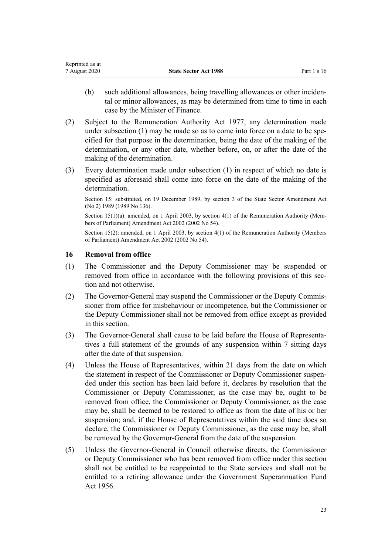<span id="page-22-0"></span>

| Reprinted as at |                              |             |
|-----------------|------------------------------|-------------|
| 7 August 2020   | <b>State Sector Act 1988</b> | Part 1 s 16 |

- (b) such additional allowances, being travelling allowances or other incidental or minor allowances, as may be determined from time to time in each case by the Minister of Finance.
- (2) Subject to the [Remuneration Authority Act 1977,](http://legislation.govt.nz/pdflink.aspx?id=DLM15636) any determination made under subsection (1) may be made so as to come into force on a date to be specified for that purpose in the determination, being the date of the making of the determination, or any other date, whether before, on, or after the date of the making of the determination.
- (3) Every determination made under subsection (1) in respect of which no date is specified as aforesaid shall come into force on the date of the making of the determination.

Section 15: substituted, on 19 December 1989, by [section 3](http://legislation.govt.nz/pdflink.aspx?id=DLM194704) of the State Sector Amendment Act (No 2) 1989 (1989 No 136).

Section 15(1)(a): amended, on 1 April 2003, by [section 4\(1\)](http://legislation.govt.nz/pdflink.aspx?id=DLM167443) of the Remuneration Authority (Members of Parliament) Amendment Act 2002 (2002 No 54).

Section 15(2): amended, on 1 April 2003, by [section 4\(1\)](http://legislation.govt.nz/pdflink.aspx?id=DLM167443) of the Remuneration Authority (Members of Parliament) Amendment Act 2002 (2002 No 54).

#### **16 Removal from office**

- (1) The Commissioner and the Deputy Commissioner may be suspended or removed from office in accordance with the following provisions of this section and not otherwise.
- (2) The Governor-General may suspend the Commissioner or the Deputy Commissioner from office for misbehaviour or incompetence, but the Commissioner or the Deputy Commissioner shall not be removed from office except as provided in this section.
- (3) The Governor-General shall cause to be laid before the House of Representatives a full statement of the grounds of any suspension within 7 sitting days after the date of that suspension.
- (4) Unless the House of Representatives, within 21 days from the date on which the statement in respect of the Commissioner or Deputy Commissioner suspended under this section has been laid before it, declares by resolution that the Commissioner or Deputy Commissioner, as the case may be, ought to be removed from office, the Commissioner or Deputy Commissioner, as the case may be, shall be deemed to be restored to office as from the date of his or her suspension; and, if the House of Representatives within the said time does so declare, the Commissioner or Deputy Commissioner, as the case may be, shall be removed by the Governor-General from the date of the suspension.
- (5) Unless the Governor-General in Council otherwise directs, the Commissioner or Deputy Commissioner who has been removed from office under this section shall not be entitled to be reappointed to the State services and shall not be entitled to a retiring allowance under the [Government Superannuation Fund](http://legislation.govt.nz/pdflink.aspx?id=DLM446000) [Act 1956.](http://legislation.govt.nz/pdflink.aspx?id=DLM446000)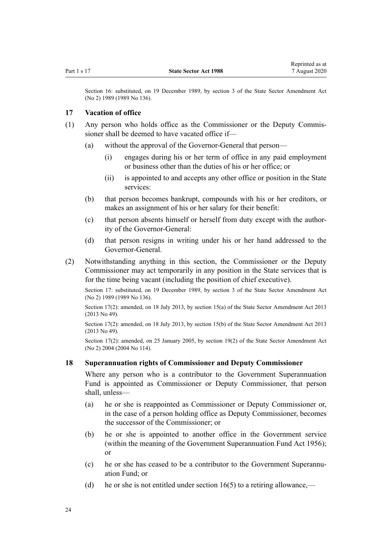<span id="page-23-0"></span>Section 16: substituted, on 19 December 1989, by [section 3](http://legislation.govt.nz/pdflink.aspx?id=DLM194704) of the State Sector Amendment Act (No 2) 1989 (1989 No 136).

#### **17 Vacation of office**

- (1) Any person who holds office as the Commissioner or the Deputy Commissioner shall be deemed to have vacated office if—
	- (a) without the approval of the Governor-General that person—
		- (i) engages during his or her term of office in any paid employment or business other than the duties of his or her office; or
		- (ii) is appointed to and accepts any other office or position in the State services:
	- (b) that person becomes bankrupt, compounds with his or her creditors, or makes an assignment of his or her salary for their benefit:
	- (c) that person absents himself or herself from duty except with the authority of the Governor-General:
	- (d) that person resigns in writing under his or her hand addressed to the Governor-General.
- (2) Notwithstanding anything in this section, the Commissioner or the Deputy Commissioner may act temporarily in any position in the State services that is for the time being vacant (including the position of chief executive).

Section 17: substituted, on 19 December 1989, by [section 3](http://legislation.govt.nz/pdflink.aspx?id=DLM194704) of the State Sector Amendment Act (No 2) 1989 (1989 No 136).

Section 17(2): amended, on 18 July 2013, by [section 15\(a\)](http://legislation.govt.nz/pdflink.aspx?id=DLM4598838) of the State Sector Amendment Act 2013 (2013 No 49).

Section 17(2): amended, on 18 July 2013, by [section 15\(b\)](http://legislation.govt.nz/pdflink.aspx?id=DLM4598838) of the State Sector Amendment Act 2013 (2013 No 49).

Section 17(2): amended, on 25 January 2005, by [section 19\(2\)](http://legislation.govt.nz/pdflink.aspx?id=DLM329600) of the State Sector Amendment Act (No 2) 2004 (2004 No 114).

#### **18 Superannuation rights of Commissioner and Deputy Commissioner**

Where any person who is a contributor to the Government Superannuation Fund is appointed as Commissioner or Deputy Commissioner, that person shall, unless—

- (a) he or she is reappointed as Commissioner or Deputy Commissioner or, in the case of a person holding office as Deputy Commissioner, becomes the successor of the Commissioner; or
- (b) he or she is appointed to another office in the Government service (within the meaning of the [Government Superannuation Fund Act 1956](http://legislation.govt.nz/pdflink.aspx?id=DLM446000)); or
- (c) he or she has ceased to be a contributor to the Government Superannuation Fund; or
- (d) he or she is not entitled under section  $16(5)$  to a retiring allowance,—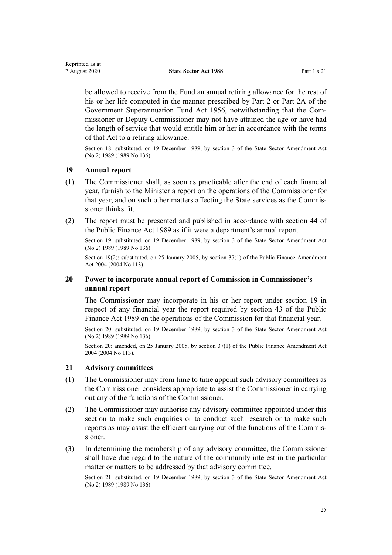<span id="page-24-0"></span>be allowed to receive from the Fund an annual retiring allowance for the rest of his or her life computed in the manner prescribed by [Part 2](http://legislation.govt.nz/pdflink.aspx?id=DLM446395) or [Part 2A](http://legislation.govt.nz/pdflink.aspx?id=DLM446842) of the Government Superannuation Fund Act 1956, notwithstanding that the Commissioner or Deputy Commissioner may not have attained the age or have had the length of service that would entitle him or her in accordance with the terms of that Act to a retiring allowance.

Section 18: substituted, on 19 December 1989, by [section 3](http://legislation.govt.nz/pdflink.aspx?id=DLM194704) of the State Sector Amendment Act (No 2) 1989 (1989 No 136).

## **19 Annual report**

- (1) The Commissioner shall, as soon as practicable after the end of each financial year, furnish to the Minister a report on the operations of the Commissioner for that year, and on such other matters affecting the State services as the Commissioner thinks fit.
- (2) The report must be presented and published in accordance with [section 44](http://legislation.govt.nz/pdflink.aspx?id=DLM162468) of the Public Finance Act 1989 as if it were a department's annual report.

Section 19: substituted, on 19 December 1989, by [section 3](http://legislation.govt.nz/pdflink.aspx?id=DLM194704) of the State Sector Amendment Act (No 2) 1989 (1989 No 136).

Section 19(2): substituted, on 25 January 2005, by [section 37\(1\)](http://legislation.govt.nz/pdflink.aspx?id=DLM328867) of the Public Finance Amendment Act 2004 (2004 No 113).

## **20 Power to incorporate annual report of Commission in Commissioner's annual report**

The Commissioner may incorporate in his or her report under section 19 in respect of any financial year the report required by [section 43](http://legislation.govt.nz/pdflink.aspx?id=DLM162464) of the Public Finance Act 1989 on the operations of the Commission for that financial year.

Section 20: substituted, on 19 December 1989, by [section 3](http://legislation.govt.nz/pdflink.aspx?id=DLM194704) of the State Sector Amendment Act (No 2) 1989 (1989 No 136).

Section 20: amended, on 25 January 2005, by [section 37\(1\)](http://legislation.govt.nz/pdflink.aspx?id=DLM328867) of the Public Finance Amendment Act 2004 (2004 No 113).

#### **21 Advisory committees**

- (1) The Commissioner may from time to time appoint such advisory committees as the Commissioner considers appropriate to assist the Commissioner in carrying out any of the functions of the Commissioner.
- (2) The Commissioner may authorise any advisory committee appointed under this section to make such enquiries or to conduct such research or to make such reports as may assist the efficient carrying out of the functions of the Commissioner.
- (3) In determining the membership of any advisory committee, the Commissioner shall have due regard to the nature of the community interest in the particular matter or matters to be addressed by that advisory committee.

Section 21: substituted, on 19 December 1989, by [section 3](http://legislation.govt.nz/pdflink.aspx?id=DLM194704) of the State Sector Amendment Act (No 2) 1989 (1989 No 136).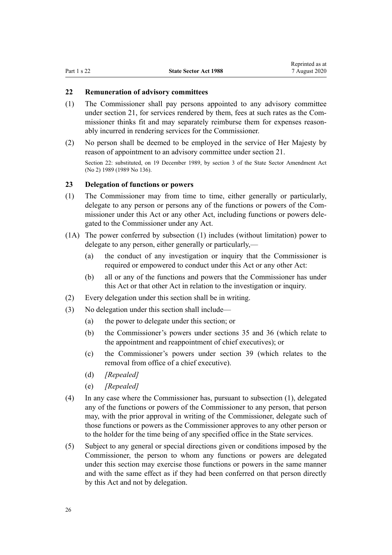## <span id="page-25-0"></span>**22 Remuneration of advisory committees**

- (1) The Commissioner shall pay persons appointed to any advisory committee under [section 21](#page-24-0), for services rendered by them, fees at such rates as the Commissioner thinks fit and may separately reimburse them for expenses reasonably incurred in rendering services for the Commissioner.
- (2) No person shall be deemed to be employed in the service of Her Majesty by reason of appointment to an advisory committee under [section 21](#page-24-0).

Section 22: substituted, on 19 December 1989, by [section 3](http://legislation.govt.nz/pdflink.aspx?id=DLM194704) of the State Sector Amendment Act (No 2) 1989 (1989 No 136).

## **23 Delegation of functions or powers**

- (1) The Commissioner may from time to time, either generally or particularly, delegate to any person or persons any of the functions or powers of the Commissioner under this Act or any other Act, including functions or powers delegated to the Commissioner under any Act.
- (1A) The power conferred by subsection (1) includes (without limitation) power to delegate to any person, either generally or particularly,—
	- (a) the conduct of any investigation or inquiry that the Commissioner is required or empowered to conduct under this Act or any other Act:
	- (b) all or any of the functions and powers that the Commissioner has under this Act or that other Act in relation to the investigation or inquiry.
- (2) Every delegation under this section shall be in writing.
- (3) No delegation under this section shall include—
	- (a) the power to delegate under this section; or
	- (b) the Commissioner's powers under [sections 35](#page-36-0) and [36](#page-39-0) (which relate to the appointment and reappointment of chief executives); or
	- (c) the Commissioner's powers under [section 39](#page-41-0) (which relates to the removal from office of a chief executive).
	- (d) *[Repealed]*
	- (e) *[Repealed]*
- (4) In any case where the Commissioner has, pursuant to subsection (1), delegated any of the functions or powers of the Commissioner to any person, that person may, with the prior approval in writing of the Commissioner, delegate such of those functions or powers as the Commissioner approves to any other person or to the holder for the time being of any specified office in the State services.
- (5) Subject to any general or special directions given or conditions imposed by the Commissioner, the person to whom any functions or powers are delegated under this section may exercise those functions or powers in the same manner and with the same effect as if they had been conferred on that person directly by this Act and not by delegation.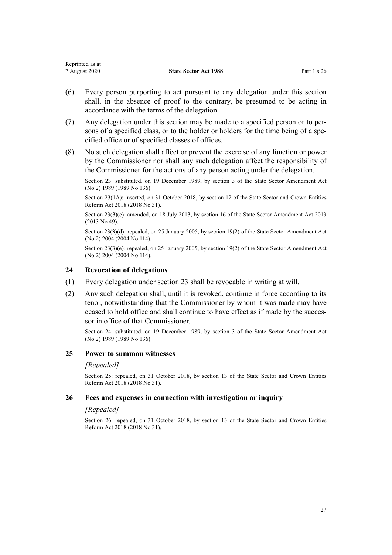<span id="page-26-0"></span>

| Reprinted as at |                              |               |
|-----------------|------------------------------|---------------|
| 7 August 2020   | <b>State Sector Act 1988</b> | Part $1 s 26$ |

- (6) Every person purporting to act pursuant to any delegation under this section shall, in the absence of proof to the contrary, be presumed to be acting in accordance with the terms of the delegation.
- (7) Any delegation under this section may be made to a specified person or to persons of a specified class, or to the holder or holders for the time being of a specified office or of specified classes of offices.
- (8) No such delegation shall affect or prevent the exercise of any function or power by the Commissioner nor shall any such delegation affect the responsibility of the Commissioner for the actions of any person acting under the delegation.

Section 23: substituted, on 19 December 1989, by [section 3](http://legislation.govt.nz/pdflink.aspx?id=DLM194704) of the State Sector Amendment Act (No 2) 1989 (1989 No 136).

Section 23(1A): inserted, on 31 October 2018, by [section 12](http://legislation.govt.nz/pdflink.aspx?id=LMS11216) of the State Sector and Crown Entities Reform Act 2018 (2018 No 31).

Section 23(3)(c): amended, on 18 July 2013, by [section 16](http://legislation.govt.nz/pdflink.aspx?id=DLM4598839) of the State Sector Amendment Act 2013 (2013 No 49).

Section 23(3)(d): repealed, on 25 January 2005, by [section 19\(2\)](http://legislation.govt.nz/pdflink.aspx?id=DLM329600) of the State Sector Amendment Act (No 2) 2004 (2004 No 114).

Section 23(3)(e): repealed, on 25 January 2005, by [section 19\(2\)](http://legislation.govt.nz/pdflink.aspx?id=DLM329600) of the State Sector Amendment Act (No 2) 2004 (2004 No 114).

## **24 Revocation of delegations**

- (1) Every delegation under [section 23](#page-25-0) shall be revocable in writing at will.
- (2) Any such delegation shall, until it is revoked, continue in force according to its tenor, notwithstanding that the Commissioner by whom it was made may have ceased to hold office and shall continue to have effect as if made by the successor in office of that Commissioner.

Section 24: substituted, on 19 December 1989, by [section 3](http://legislation.govt.nz/pdflink.aspx?id=DLM194704) of the State Sector Amendment Act (No 2) 1989 (1989 No 136).

#### **25 Power to summon witnesses**

#### *[Repealed]*

Section 25: repealed, on 31 October 2018, by [section 13](http://legislation.govt.nz/pdflink.aspx?id=LMS11217) of the State Sector and Crown Entities Reform Act 2018 (2018 No 31).

#### **26 Fees and expenses in connection with investigation or inquiry**

#### *[Repealed]*

Section 26: repealed, on 31 October 2018, by [section 13](http://legislation.govt.nz/pdflink.aspx?id=LMS11217) of the State Sector and Crown Entities Reform Act 2018 (2018 No 31).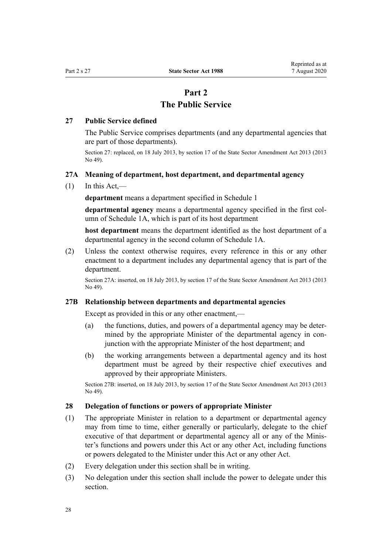## **Part 2 The Public Service**

## <span id="page-27-0"></span>**27 Public Service defined**

The Public Service comprises departments (and any departmental agencies that are part of those departments).

Section 27: replaced, on 18 July 2013, by [section 17](http://legislation.govt.nz/pdflink.aspx?id=DLM4598840) of the State Sector Amendment Act 2013 (2013 No 49).

## **27A Meaning of department, host department, and departmental agency**

 $(1)$  In this Act,—

**department** means a department specified in [Schedule 1](#page-76-0)

**departmental agency** means a departmental agency specified in the first column of [Schedule 1A](#page-80-0), which is part of its host department

**host department** means the department identified as the host department of a departmental agency in the second column of [Schedule 1A](#page-80-0).

(2) Unless the context otherwise requires, every reference in this or any other enactment to a department includes any departmental agency that is part of the department.

Section 27A: inserted, on 18 July 2013, by [section 17](http://legislation.govt.nz/pdflink.aspx?id=DLM4598840) of the State Sector Amendment Act 2013 (2013 No 49).

## **27B Relationship between departments and departmental agencies**

Except as provided in this or any other enactment,—

- (a) the functions, duties, and powers of a departmental agency may be determined by the appropriate Minister of the departmental agency in conjunction with the appropriate Minister of the host department; and
- (b) the working arrangements between a departmental agency and its host department must be agreed by their respective chief executives and approved by their appropriate Ministers.

Section 27B: inserted, on 18 July 2013, by [section 17](http://legislation.govt.nz/pdflink.aspx?id=DLM4598840) of the State Sector Amendment Act 2013 (2013 No 49).

#### **28 Delegation of functions or powers of appropriate Minister**

- (1) The appropriate Minister in relation to a department or departmental agency may from time to time, either generally or particularly, delegate to the chief executive of that department or departmental agency all or any of the Minister's functions and powers under this Act or any other Act, including functions or powers delegated to the Minister under this Act or any other Act.
- (2) Every delegation under this section shall be in writing.
- (3) No delegation under this section shall include the power to delegate under this section.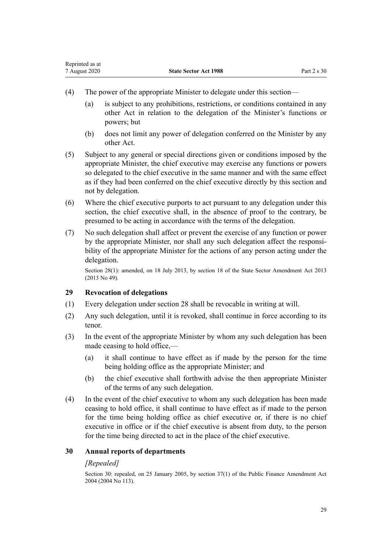| Reprinted as at |                              |             |
|-----------------|------------------------------|-------------|
| 7 August 2020   | <b>State Sector Act 1988</b> | Part 2 s 30 |

- (4) The power of the appropriate Minister to delegate under this section—
	- (a) is subject to any prohibitions, restrictions, or conditions contained in any other Act in relation to the delegation of the Minister's functions or powers; but
	- (b) does not limit any power of delegation conferred on the Minister by any other Act.
- (5) Subject to any general or special directions given or conditions imposed by the appropriate Minister, the chief executive may exercise any functions or powers so delegated to the chief executive in the same manner and with the same effect as if they had been conferred on the chief executive directly by this section and not by delegation.
- (6) Where the chief executive purports to act pursuant to any delegation under this section, the chief executive shall, in the absence of proof to the contrary, be presumed to be acting in accordance with the terms of the delegation.
- (7) No such delegation shall affect or prevent the exercise of any function or power by the appropriate Minister, nor shall any such delegation affect the responsibility of the appropriate Minister for the actions of any person acting under the delegation.

Section 28(1): amended, on 18 July 2013, by [section 18](http://legislation.govt.nz/pdflink.aspx?id=DLM4598842) of the State Sector Amendment Act 2013 (2013 No 49).

#### **29 Revocation of delegations**

<span id="page-28-0"></span>Representative as a set of the set of the set of the set of the set of the set of the set of the set of the set of the set of the set of the set of the set of the set of the set of the set of the set of the set of the set

- (1) Every delegation under [section 28](#page-27-0) shall be revocable in writing at will.
- (2) Any such delegation, until it is revoked, shall continue in force according to its tenor.
- (3) In the event of the appropriate Minister by whom any such delegation has been made ceasing to hold office,—
	- (a) it shall continue to have effect as if made by the person for the time being holding office as the appropriate Minister; and
	- (b) the chief executive shall forthwith advise the then appropriate Minister of the terms of any such delegation.
- (4) In the event of the chief executive to whom any such delegation has been made ceasing to hold office, it shall continue to have effect as if made to the person for the time being holding office as chief executive or, if there is no chief executive in office or if the chief executive is absent from duty, to the person for the time being directed to act in the place of the chief executive.

#### **30 Annual reports of departments**

#### *[Repealed]*

Section 30: repealed, on 25 January 2005, by [section 37\(1\)](http://legislation.govt.nz/pdflink.aspx?id=DLM328867) of the Public Finance Amendment Act 2004 (2004 No 113).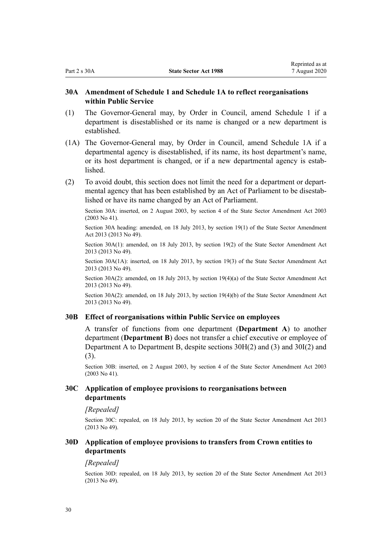## <span id="page-29-0"></span>**30A Amendment of Schedule 1 and Schedule 1A to reflect reorganisations within Public Service**

- (1) The Governor-General may, by Order in Council, amend [Schedule 1](#page-76-0) if a department is disestablished or its name is changed or a new department is established.
- (1A) The Governor-General may, by Order in Council, amend [Schedule 1A](#page-80-0) if a departmental agency is disestablished, if its name, its host department's name, or its host department is changed, or if a new departmental agency is established.
- (2) To avoid doubt, this section does not limit the need for a department or departmental agency that has been established by an Act of Parliament to be disestablished or have its name changed by an Act of Parliament.

Section 30A: inserted, on 2 August 2003, by [section 4](http://legislation.govt.nz/pdflink.aspx?id=DLM201340) of the State Sector Amendment Act 2003 (2003 No 41).

Section 30A heading: amended, on 18 July 2013, by [section 19\(1\)](http://legislation.govt.nz/pdflink.aspx?id=DLM4598843) of the State Sector Amendment Act 2013 (2013 No 49).

Section 30A(1): amended, on 18 July 2013, by [section 19\(2\)](http://legislation.govt.nz/pdflink.aspx?id=DLM4598843) of the State Sector Amendment Act 2013 (2013 No 49).

Section 30A(1A): inserted, on 18 July 2013, by [section 19\(3\)](http://legislation.govt.nz/pdflink.aspx?id=DLM4598843) of the State Sector Amendment Act 2013 (2013 No 49).

Section 30A(2): amended, on 18 July 2013, by [section 19\(4\)\(a\)](http://legislation.govt.nz/pdflink.aspx?id=DLM4598843) of the State Sector Amendment Act 2013 (2013 No 49).

Section 30A(2): amended, on 18 July 2013, by [section 19\(4\)\(b\)](http://legislation.govt.nz/pdflink.aspx?id=DLM4598843) of the State Sector Amendment Act 2013 (2013 No 49).

#### **30B Effect of reorganisations within Public Service on employees**

A transfer of functions from one department (**Department A**) to another department (**Department B**) does not transfer a chief executive or employee of Department A to Department B, despite [sections 30H\(2\) and \(3\)](#page-30-0) and [30I\(2\) and](#page-31-0) [\(3\).](#page-31-0)

Section 30B: inserted, on 2 August 2003, by [section 4](http://legislation.govt.nz/pdflink.aspx?id=DLM201340) of the State Sector Amendment Act 2003 (2003 No 41).

### **30C Application of employee provisions to reorganisations between departments**

#### *[Repealed]*

Section 30C: repealed, on 18 July 2013, by [section 20](http://legislation.govt.nz/pdflink.aspx?id=DLM4598844) of the State Sector Amendment Act 2013 (2013 No 49).

## **30D Application of employee provisions to transfers from Crown entities to departments**

#### *[Repealed]*

Section 30D: repealed, on 18 July 2013, by [section 20](http://legislation.govt.nz/pdflink.aspx?id=DLM4598844) of the State Sector Amendment Act 2013 (2013 No 49).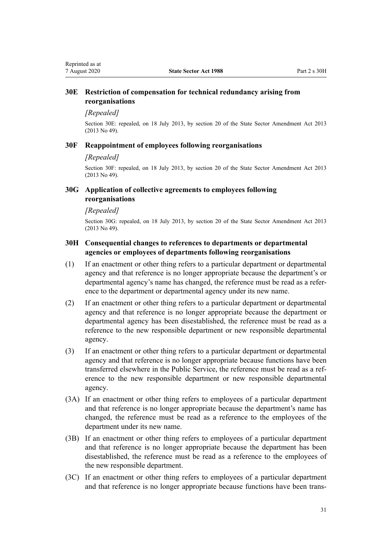## <span id="page-30-0"></span>**30E Restriction of compensation for technical redundancy arising from reorganisations**

#### *[Repealed]*

Section 30E: repealed, on 18 July 2013, by [section 20](http://legislation.govt.nz/pdflink.aspx?id=DLM4598844) of the State Sector Amendment Act 2013 (2013 No 49).

#### **30F Reappointment of employees following reorganisations**

#### *[Repealed]*

Section 30F: repealed, on 18 July 2013, by [section 20](http://legislation.govt.nz/pdflink.aspx?id=DLM4598844) of the State Sector Amendment Act 2013 (2013 No 49).

#### **30G Application of collective agreements to employees following reorganisations**

#### *[Repealed]*

Section 30G: repealed, on 18 July 2013, by [section 20](http://legislation.govt.nz/pdflink.aspx?id=DLM4598844) of the State Sector Amendment Act 2013 (2013 No 49).

## **30H Consequential changes to references to departments or departmental agencies or employees of departments following reorganisations**

- (1) If an enactment or other thing refers to a particular department or departmental agency and that reference is no longer appropriate because the department's or departmental agency's name has changed, the reference must be read as a reference to the department or departmental agency under its new name.
- (2) If an enactment or other thing refers to a particular department or departmental agency and that reference is no longer appropriate because the department or departmental agency has been disestablished, the reference must be read as a reference to the new responsible department or new responsible departmental agency.
- (3) If an enactment or other thing refers to a particular department or departmental agency and that reference is no longer appropriate because functions have been transferred elsewhere in the Public Service, the reference must be read as a reference to the new responsible department or new responsible departmental agency.
- (3A) If an enactment or other thing refers to employees of a particular department and that reference is no longer appropriate because the department's name has changed, the reference must be read as a reference to the employees of the department under its new name.
- (3B) If an enactment or other thing refers to employees of a particular department and that reference is no longer appropriate because the department has been disestablished, the reference must be read as a reference to the employees of the new responsible department.
- (3C) If an enactment or other thing refers to employees of a particular department and that reference is no longer appropriate because functions have been trans-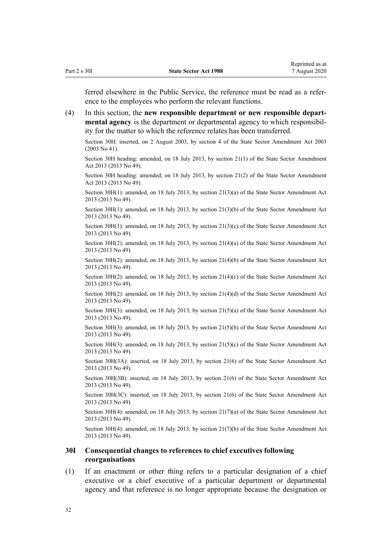<span id="page-31-0"></span>ferred elsewhere in the Public Service, the reference must be read as a reference to the employees who perform the relevant functions.

(4) In this section, the **new responsible department or new responsible departmental agency** is the department or departmental agency to which responsibility for the matter to which the reference relates has been transferred.

Section 30H: inserted, on 2 August 2003, by [section 4](http://legislation.govt.nz/pdflink.aspx?id=DLM201340) of the State Sector Amendment Act 2003 (2003 No 41).

Section 30H heading: amended, on 18 July 2013, by [section 21\(1\)](http://legislation.govt.nz/pdflink.aspx?id=DLM4598845) of the State Sector Amendment Act 2013 (2013 No 49).

Section 30H heading: amended, on 18 July 2013, by [section 21\(2\)](http://legislation.govt.nz/pdflink.aspx?id=DLM4598845) of the State Sector Amendment Act 2013 (2013 No 49).

Section 30H(1): amended, on 18 July 2013, by [section 21\(3\)\(a\)](http://legislation.govt.nz/pdflink.aspx?id=DLM4598845) of the State Sector Amendment Act 2013 (2013 No 49).

Section 30H(1): amended, on 18 July 2013, by [section 21\(3\)\(b\)](http://legislation.govt.nz/pdflink.aspx?id=DLM4598845) of the State Sector Amendment Act 2013 (2013 No 49).

Section 30H(1): amended, on 18 July 2013, by [section 21\(3\)\(c\)](http://legislation.govt.nz/pdflink.aspx?id=DLM4598845) of the State Sector Amendment Act 2013 (2013 No 49).

Section 30H(2): amended, on 18 July 2013, by [section 21\(4\)\(a\)](http://legislation.govt.nz/pdflink.aspx?id=DLM4598845) of the State Sector Amendment Act 2013 (2013 No 49).

Section 30H(2): amended, on 18 July 2013, by [section 21\(4\)\(b\)](http://legislation.govt.nz/pdflink.aspx?id=DLM4598845) of the State Sector Amendment Act 2013 (2013 No 49).

Section 30H(2): amended, on 18 July 2013, by [section 21\(4\)\(c\)](http://legislation.govt.nz/pdflink.aspx?id=DLM4598845) of the State Sector Amendment Act 2013 (2013 No 49).

Section 30H(2): amended, on 18 July 2013, by [section 21\(4\)\(d\)](http://legislation.govt.nz/pdflink.aspx?id=DLM4598845) of the State Sector Amendment Act 2013 (2013 No 49).

Section 30H(3): amended, on 18 July 2013, by [section 21\(5\)\(a\)](http://legislation.govt.nz/pdflink.aspx?id=DLM4598845) of the State Sector Amendment Act 2013 (2013 No 49).

Section 30H(3): amended, on 18 July 2013, by [section 21\(5\)\(b\)](http://legislation.govt.nz/pdflink.aspx?id=DLM4598845) of the State Sector Amendment Act 2013 (2013 No 49).

Section 30H(3): amended, on 18 July 2013, by [section 21\(5\)\(c\)](http://legislation.govt.nz/pdflink.aspx?id=DLM4598845) of the State Sector Amendment Act 2013 (2013 No 49).

Section 30H(3A): inserted, on 18 July 2013, by [section 21\(6\)](http://legislation.govt.nz/pdflink.aspx?id=DLM4598845) of the State Sector Amendment Act 2013 (2013 No 49).

Section 30H(3B): inserted, on 18 July 2013, by [section 21\(6\)](http://legislation.govt.nz/pdflink.aspx?id=DLM4598845) of the State Sector Amendment Act 2013 (2013 No 49).

Section 30H(3C): inserted, on 18 July 2013, by [section 21\(6\)](http://legislation.govt.nz/pdflink.aspx?id=DLM4598845) of the State Sector Amendment Act 2013 (2013 No 49).

Section 30H(4): amended, on 18 July 2013, by [section 21\(7\)\(a\)](http://legislation.govt.nz/pdflink.aspx?id=DLM4598845) of the State Sector Amendment Act 2013 (2013 No 49).

Section 30H(4): amended, on 18 July 2013, by [section 21\(7\)\(b\)](http://legislation.govt.nz/pdflink.aspx?id=DLM4598845) of the State Sector Amendment Act 2013 (2013 No 49).

#### **30I Consequential changes to references to chief executives following reorganisations**

(1) If an enactment or other thing refers to a particular designation of a chief executive or a chief executive of a particular department or departmental agency and that reference is no longer appropriate because the designation or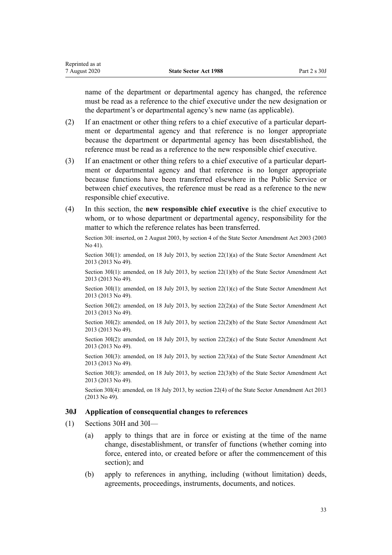<span id="page-32-0"></span>name of the department or departmental agency has changed, the reference must be read as a reference to the chief executive under the new designation or the department's or departmental agency's new name (as applicable).

- (2) If an enactment or other thing refers to a chief executive of a particular department or departmental agency and that reference is no longer appropriate because the department or departmental agency has been disestablished, the reference must be read as a reference to the new responsible chief executive.
- (3) If an enactment or other thing refers to a chief executive of a particular department or departmental agency and that reference is no longer appropriate because functions have been transferred elsewhere in the Public Service or between chief executives, the reference must be read as a reference to the new responsible chief executive.
- (4) In this section, the **new responsible chief executive** is the chief executive to whom, or to whose department or departmental agency, responsibility for the matter to which the reference relates has been transferred.

Section 30I: inserted, on 2 August 2003, by [section 4](http://legislation.govt.nz/pdflink.aspx?id=DLM201340) of the State Sector Amendment Act 2003 (2003 No 41).

Section 30I(1): amended, on 18 July 2013, by [section 22\(1\)\(a\)](http://legislation.govt.nz/pdflink.aspx?id=DLM4598846) of the State Sector Amendment Act 2013 (2013 No 49).

Section 30I(1): amended, on 18 July 2013, by [section 22\(1\)\(b\)](http://legislation.govt.nz/pdflink.aspx?id=DLM4598846) of the State Sector Amendment Act 2013 (2013 No 49).

Section 30I(1): amended, on 18 July 2013, by [section 22\(1\)\(c\)](http://legislation.govt.nz/pdflink.aspx?id=DLM4598846) of the State Sector Amendment Act 2013 (2013 No 49).

Section 30I(2): amended, on 18 July 2013, by [section 22\(2\)\(a\)](http://legislation.govt.nz/pdflink.aspx?id=DLM4598846) of the State Sector Amendment Act 2013 (2013 No 49).

Section 30I(2): amended, on 18 July 2013, by [section 22\(2\)\(b\)](http://legislation.govt.nz/pdflink.aspx?id=DLM4598846) of the State Sector Amendment Act 2013 (2013 No 49).

Section 30I(2): amended, on 18 July 2013, by [section 22\(2\)\(c\)](http://legislation.govt.nz/pdflink.aspx?id=DLM4598846) of the State Sector Amendment Act 2013 (2013 No 49).

Section 30I(3): amended, on 18 July 2013, by [section 22\(3\)\(a\)](http://legislation.govt.nz/pdflink.aspx?id=DLM4598846) of the State Sector Amendment Act 2013 (2013 No 49).

Section 30I(3): amended, on 18 July 2013, by [section 22\(3\)\(b\)](http://legislation.govt.nz/pdflink.aspx?id=DLM4598846) of the State Sector Amendment Act 2013 (2013 No 49).

Section 30I(4): amended, on 18 July 2013, by [section 22\(4\)](http://legislation.govt.nz/pdflink.aspx?id=DLM4598846) of the State Sector Amendment Act 2013 (2013 No 49).

## **30J Application of consequential changes to references**

- (1) [Sections 30H](#page-30-0) and [30I—](#page-31-0)
	- (a) apply to things that are in force or existing at the time of the name change, disestablishment, or transfer of functions (whether coming into force, entered into, or created before or after the commencement of this section); and
	- (b) apply to references in anything, including (without limitation) deeds, agreements, proceedings, instruments, documents, and notices.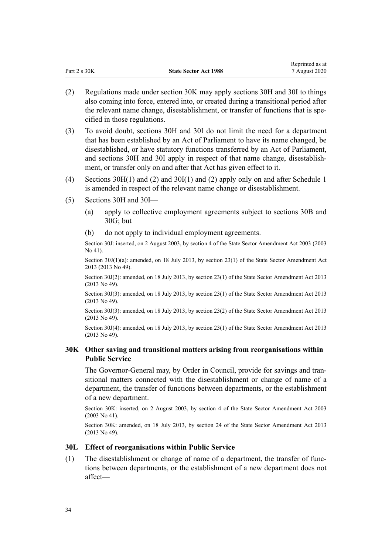<span id="page-33-0"></span>

| <b>State Sector Act 1988</b> | websined as a<br>7 August 2020 |
|------------------------------|--------------------------------|
|                              |                                |

Reprinted as at

- (2) Regulations made under section 30K may apply [sections 30H](#page-30-0) and [30I](#page-31-0) to things also coming into force, entered into, or created during a transitional period after the relevant name change, disestablishment, or transfer of functions that is specified in those regulations.
- (3) To avoid doubt, [sections 30H](#page-30-0) and [30I](#page-31-0) do not limit the need for a department that has been established by an Act of Parliament to have its name changed, be disestablished, or have statutory functions transferred by an Act of Parliament, and [sections 30H](#page-30-0) and [30I](#page-31-0) apply in respect of that name change, disestablishment, or transfer only on and after that Act has given effect to it.
- (4) [Sections 30H\(1\) and \(2\)](#page-30-0) and [30I\(1\) and \(2\)](#page-31-0) apply only on and after [Schedule 1](#page-76-0) is amended in respect of the relevant name change or disestablishment.
- (5) [Sections 30H](#page-30-0) and [30I—](#page-31-0)
	- (a) apply to collective employment agreements subject to [sections 30B](#page-29-0) and [30G](#page-30-0); but
	- (b) do not apply to individual employment agreements.

Section 30J: inserted, on 2 August 2003, by [section 4](http://legislation.govt.nz/pdflink.aspx?id=DLM201340) of the State Sector Amendment Act 2003 (2003 No 41).

Section 30J(1)(a): amended, on 18 July 2013, by [section 23\(1\)](http://legislation.govt.nz/pdflink.aspx?id=DLM4598847) of the State Sector Amendment Act 2013 (2013 No 49).

Section 30J(2): amended, on 18 July 2013, by [section 23\(1\)](http://legislation.govt.nz/pdflink.aspx?id=DLM4598847) of the State Sector Amendment Act 2013 (2013 No 49).

Section 30J(3): amended, on 18 July 2013, by [section 23\(1\)](http://legislation.govt.nz/pdflink.aspx?id=DLM4598847) of the State Sector Amendment Act 2013 (2013 No 49).

Section 30J(3): amended, on 18 July 2013, by [section 23\(2\)](http://legislation.govt.nz/pdflink.aspx?id=DLM4598847) of the State Sector Amendment Act 2013 (2013 No 49).

Section 30J(4): amended, on 18 July 2013, by [section 23\(1\)](http://legislation.govt.nz/pdflink.aspx?id=DLM4598847) of the State Sector Amendment Act 2013 (2013 No 49).

## **30K Other saving and transitional matters arising from reorganisations within Public Service**

The Governor-General may, by Order in Council, provide for savings and transitional matters connected with the disestablishment or change of name of a department, the transfer of functions between departments, or the establishment of a new department.

Section 30K: inserted, on 2 August 2003, by [section 4](http://legislation.govt.nz/pdflink.aspx?id=DLM201340) of the State Sector Amendment Act 2003 (2003 No 41).

Section 30K: amended, on 18 July 2013, by [section 24](http://legislation.govt.nz/pdflink.aspx?id=DLM5307500) of the State Sector Amendment Act 2013 (2013 No 49).

## **30L Effect of reorganisations within Public Service**

(1) The disestablishment or change of name of a department, the transfer of functions between departments, or the establishment of a new department does not affect—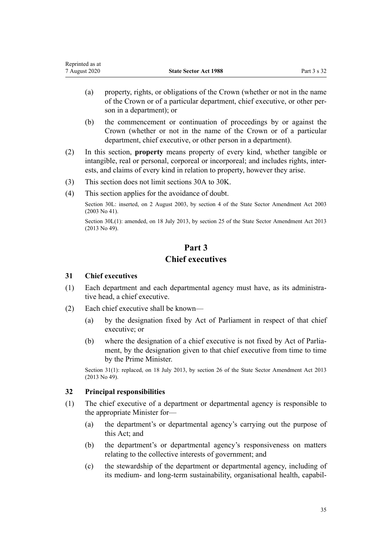<span id="page-34-0"></span>

| Reprinted as at |                              |             |
|-----------------|------------------------------|-------------|
| 7 August 2020   | <b>State Sector Act 1988</b> | Part 3 s 32 |

- (a) property, rights, or obligations of the Crown (whether or not in the name of the Crown or of a particular department, chief executive, or other person in a department); or
- (b) the commencement or continuation of proceedings by or against the Crown (whether or not in the name of the Crown or of a particular department, chief executive, or other person in a department).
- (2) In this section, **property** means property of every kind, whether tangible or intangible, real or personal, corporeal or incorporeal; and includes rights, interests, and claims of every kind in relation to property, however they arise.
- (3) This section does not limit [sections 30A to 30K](#page-29-0).
- (4) This section applies for the avoidance of doubt.

Section 30L: inserted, on 2 August 2003, by [section 4](http://legislation.govt.nz/pdflink.aspx?id=DLM201340) of the State Sector Amendment Act 2003 (2003 No 41).

Section 30L(1): amended, on 18 July 2013, by [section 25](http://legislation.govt.nz/pdflink.aspx?id=DLM5307501) of the State Sector Amendment Act 2013 (2013 No 49).

## **Part 3 Chief executives**

#### **31 Chief executives**

- (1) Each department and each departmental agency must have, as its administrative head, a chief executive.
- (2) Each chief executive shall be known—
	- (a) by the designation fixed by Act of Parliament in respect of that chief executive; or
	- (b) where the designation of a chief executive is not fixed by Act of Parliament, by the designation given to that chief executive from time to time by the Prime Minister.

Section 31(1): replaced, on 18 July 2013, by [section 26](http://legislation.govt.nz/pdflink.aspx?id=DLM4598848) of the State Sector Amendment Act 2013 (2013 No 49).

#### **32 Principal responsibilities**

- (1) The chief executive of a department or departmental agency is responsible to the appropriate Minister for—
	- (a) the department's or departmental agency's carrying out the purpose of this Act; and
	- (b) the department's or departmental agency's responsiveness on matters relating to the collective interests of government; and
	- (c) the stewardship of the department or departmental agency, including of its medium- and long-term sustainability, organisational health, capabil-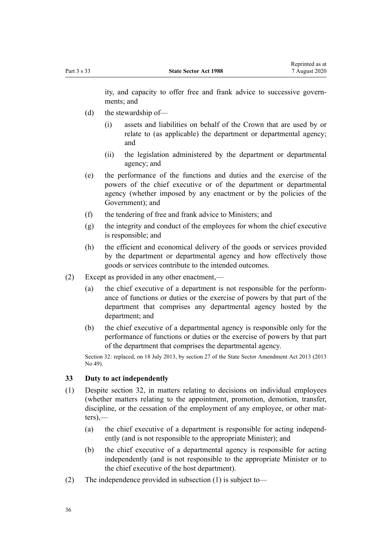<span id="page-35-0"></span>ity, and capacity to offer free and frank advice to successive governments; and

- (d) the stewardship of—
	- (i) assets and liabilities on behalf of the Crown that are used by or relate to (as applicable) the department or departmental agency; and
	- (ii) the legislation administered by the department or departmental agency; and
- (e) the performance of the functions and duties and the exercise of the powers of the chief executive or of the department or departmental agency (whether imposed by any enactment or by the policies of the Government); and
- (f) the tendering of free and frank advice to Ministers; and
- (g) the integrity and conduct of the employees for whom the chief executive is responsible; and
- (h) the efficient and economical delivery of the goods or services provided by the department or departmental agency and how effectively those goods or services contribute to the intended outcomes.
- (2) Except as provided in any other enactment,—
	- (a) the chief executive of a department is not responsible for the performance of functions or duties or the exercise of powers by that part of the department that comprises any departmental agency hosted by the department; and
	- (b) the chief executive of a departmental agency is responsible only for the performance of functions or duties or the exercise of powers by that part of the department that comprises the departmental agency.

Section 32: replaced, on 18 July 2013, by [section 27](http://legislation.govt.nz/pdflink.aspx?id=DLM4598849) of the State Sector Amendment Act 2013 (2013 No 49).

#### **33 Duty to act independently**

- (1) Despite [section 32,](#page-34-0) in matters relating to decisions on individual employees (whether matters relating to the appointment, promotion, demotion, transfer, discipline, or the cessation of the employment of any employee, or other matters),—
	- (a) the chief executive of a department is responsible for acting independently (and is not responsible to the appropriate Minister); and
	- (b) the chief executive of a departmental agency is responsible for acting independently (and is not responsible to the appropriate Minister or to the chief executive of the host department).
- (2) The independence provided in subsection (1) is subject to—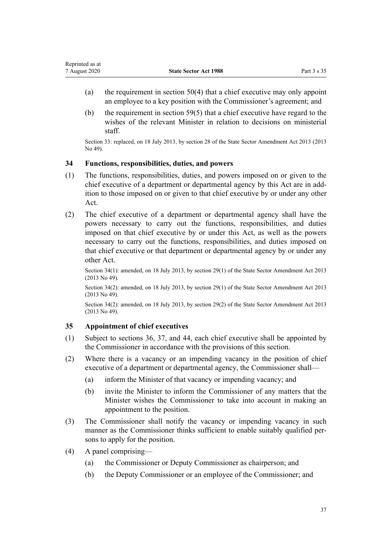- <span id="page-36-0"></span>(a) the requirement in [section 50\(4\)](#page-48-0) that a chief executive may only appoint an employee to a key position with the Commissioner's agreement; and
- (b) the requirement in [section 59\(5\)](#page-54-0) that a chief executive have regard to the wishes of the relevant Minister in relation to decisions on ministerial staff.

Section 33: replaced, on 18 July 2013, by [section 28](http://legislation.govt.nz/pdflink.aspx?id=DLM4598851) of the State Sector Amendment Act 2013 (2013 No 49).

# **34 Functions, responsibilities, duties, and powers**

- (1) The functions, responsibilities, duties, and powers imposed on or given to the chief executive of a department or departmental agency by this Act are in addition to those imposed on or given to that chief executive by or under any other Act.
- (2) The chief executive of a department or departmental agency shall have the powers necessary to carry out the functions, responsibilities, and duties imposed on that chief executive by or under this Act, as well as the powers necessary to carry out the functions, responsibilities, and duties imposed on that chief executive or that department or departmental agency by or under any other Act.

Section 34(1): amended, on 18 July 2013, by [section 29\(1\)](http://legislation.govt.nz/pdflink.aspx?id=DLM4598853) of the State Sector Amendment Act 2013 (2013 No 49).

Section 34(2): amended, on 18 July 2013, by [section 29\(1\)](http://legislation.govt.nz/pdflink.aspx?id=DLM4598853) of the State Sector Amendment Act 2013 (2013 No 49).

Section 34(2): amended, on 18 July 2013, by [section 29\(2\)](http://legislation.govt.nz/pdflink.aspx?id=DLM4598853) of the State Sector Amendment Act 2013 (2013 No 49).

# **35 Appointment of chief executives**

- (1) Subject to [sections 36,](#page-39-0) [37,](#page-39-0) and [44](#page-46-0), each chief executive shall be appointed by the Commissioner in accordance with the provisions of this section.
- (2) Where there is a vacancy or an impending vacancy in the position of chief executive of a department or departmental agency, the Commissioner shall—
	- (a) inform the Minister of that vacancy or impending vacancy; and
	- (b) invite the Minister to inform the Commissioner of any matters that the Minister wishes the Commissioner to take into account in making an appointment to the position.
- (3) The Commissioner shall notify the vacancy or impending vacancy in such manner as the Commissioner thinks sufficient to enable suitably qualified persons to apply for the position.
- (4) A panel comprising—
	- (a) the Commissioner or Deputy Commissioner as chairperson; and
	- (b) the Deputy Commissioner or an employee of the Commissioner; and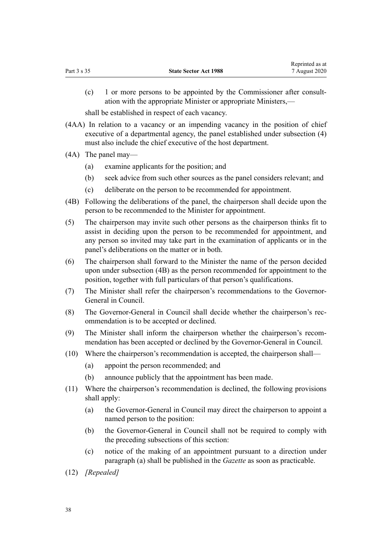(c) 1 or more persons to be appointed by the Commissioner after consultation with the appropriate Minister or appropriate Ministers,—

shall be established in respect of each vacancy.

- (4AA) In relation to a vacancy or an impending vacancy in the position of chief executive of a departmental agency, the panel established under subsection (4) must also include the chief executive of the host department.
- (4A) The panel may—
	- (a) examine applicants for the position; and
	- (b) seek advice from such other sources as the panel considers relevant; and
	- (c) deliberate on the person to be recommended for appointment.
- (4B) Following the deliberations of the panel, the chairperson shall decide upon the person to be recommended to the Minister for appointment.
- (5) The chairperson may invite such other persons as the chairperson thinks fit to assist in deciding upon the person to be recommended for appointment, and any person so invited may take part in the examination of applicants or in the panel's deliberations on the matter or in both.
- (6) The chairperson shall forward to the Minister the name of the person decided upon under subsection (4B) as the person recommended for appointment to the position, together with full particulars of that person's qualifications.
- (7) The Minister shall refer the chairperson's recommendations to the Governor-General in Council.
- (8) The Governor-General in Council shall decide whether the chairperson's recommendation is to be accepted or declined.
- (9) The Minister shall inform the chairperson whether the chairperson's recommendation has been accepted or declined by the Governor-General in Council.
- (10) Where the chairperson's recommendation is accepted, the chairperson shall—
	- (a) appoint the person recommended; and
	- (b) announce publicly that the appointment has been made.
- (11) Where the chairperson's recommendation is declined, the following provisions shall apply:
	- (a) the Governor-General in Council may direct the chairperson to appoint a named person to the position:
	- (b) the Governor-General in Council shall not be required to comply with the preceding subsections of this section:
	- (c) notice of the making of an appointment pursuant to a direction under paragraph (a) shall be published in the *Gazette* as soon as practicable.
- (12) *[Repealed]*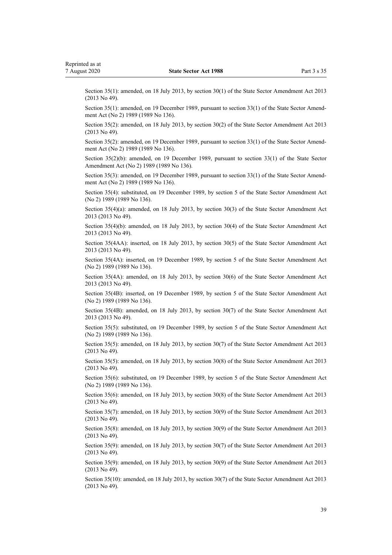Section 35(1): amended, on 18 July 2013, by [section 30\(1\)](http://legislation.govt.nz/pdflink.aspx?id=DLM4598854) of the State Sector Amendment Act 2013 (2013 No 49).

Section 35(1): amended, on 19 December 1989, pursuant to [section 33\(1\)](http://legislation.govt.nz/pdflink.aspx?id=DLM194742) of the State Sector Amendment Act (No 2) 1989 (1989 No 136).

Section 35(2): amended, on 18 July 2013, by [section 30\(2\)](http://legislation.govt.nz/pdflink.aspx?id=DLM4598854) of the State Sector Amendment Act 2013 (2013 No 49).

Section 35(2): amended, on 19 December 1989, pursuant to [section 33\(1\)](http://legislation.govt.nz/pdflink.aspx?id=DLM194742) of the State Sector Amendment Act (No 2) 1989 (1989 No 136).

Section 35(2)(b): amended, on 19 December 1989, pursuant to [section 33\(1\)](http://legislation.govt.nz/pdflink.aspx?id=DLM194742) of the State Sector Amendment Act (No 2) 1989 (1989 No 136).

Section 35(3): amended, on 19 December 1989, pursuant to [section 33\(1\)](http://legislation.govt.nz/pdflink.aspx?id=DLM194742) of the State Sector Amendment Act (No 2) 1989 (1989 No 136).

Section 35(4): substituted, on 19 December 1989, by [section 5](http://legislation.govt.nz/pdflink.aspx?id=DLM194706) of the State Sector Amendment Act (No 2) 1989 (1989 No 136).

Section 35(4)(a): amended, on 18 July 2013, by [section 30\(3\)](http://legislation.govt.nz/pdflink.aspx?id=DLM4598854) of the State Sector Amendment Act 2013 (2013 No 49).

Section 35(4)(b): amended, on 18 July 2013, by [section 30\(4\)](http://legislation.govt.nz/pdflink.aspx?id=DLM4598854) of the State Sector Amendment Act 2013 (2013 No 49).

Section 35(4AA): inserted, on 18 July 2013, by [section 30\(5\)](http://legislation.govt.nz/pdflink.aspx?id=DLM4598854) of the State Sector Amendment Act 2013 (2013 No 49).

Section 35(4A): inserted, on 19 December 1989, by [section 5](http://legislation.govt.nz/pdflink.aspx?id=DLM194706) of the State Sector Amendment Act (No 2) 1989 (1989 No 136).

Section 35(4A): amended, on 18 July 2013, by [section 30\(6\)](http://legislation.govt.nz/pdflink.aspx?id=DLM4598854) of the State Sector Amendment Act 2013 (2013 No 49).

Section 35(4B): inserted, on 19 December 1989, by [section 5](http://legislation.govt.nz/pdflink.aspx?id=DLM194706) of the State Sector Amendment Act (No 2) 1989 (1989 No 136).

Section 35(4B): amended, on 18 July 2013, by [section 30\(7\)](http://legislation.govt.nz/pdflink.aspx?id=DLM4598854) of the State Sector Amendment Act 2013 (2013 No 49).

Section 35(5): substituted, on 19 December 1989, by [section 5](http://legislation.govt.nz/pdflink.aspx?id=DLM194706) of the State Sector Amendment Act (No 2) 1989 (1989 No 136).

Section 35(5): amended, on 18 July 2013, by [section 30\(7\)](http://legislation.govt.nz/pdflink.aspx?id=DLM4598854) of the State Sector Amendment Act 2013 (2013 No 49).

Section 35(5): amended, on 18 July 2013, by [section 30\(8\)](http://legislation.govt.nz/pdflink.aspx?id=DLM4598854) of the State Sector Amendment Act 2013 (2013 No 49).

Section 35(6): substituted, on 19 December 1989, by [section 5](http://legislation.govt.nz/pdflink.aspx?id=DLM194706) of the State Sector Amendment Act (No 2) 1989 (1989 No 136).

Section 35(6): amended, on 18 July 2013, by [section 30\(8\)](http://legislation.govt.nz/pdflink.aspx?id=DLM4598854) of the State Sector Amendment Act 2013 (2013 No 49).

Section 35(7): amended, on 18 July 2013, by [section 30\(9\)](http://legislation.govt.nz/pdflink.aspx?id=DLM4598854) of the State Sector Amendment Act 2013 (2013 No 49).

Section 35(8): amended, on 18 July 2013, by [section 30\(9\)](http://legislation.govt.nz/pdflink.aspx?id=DLM4598854) of the State Sector Amendment Act 2013 (2013 No 49).

Section 35(9): amended, on 18 July 2013, by [section 30\(7\)](http://legislation.govt.nz/pdflink.aspx?id=DLM4598854) of the State Sector Amendment Act 2013 (2013 No 49).

Section 35(9): amended, on 18 July 2013, by [section 30\(9\)](http://legislation.govt.nz/pdflink.aspx?id=DLM4598854) of the State Sector Amendment Act 2013 (2013 No 49).

Section 35(10): amended, on 18 July 2013, by [section 30\(7\)](http://legislation.govt.nz/pdflink.aspx?id=DLM4598854) of the State Sector Amendment Act 2013 (2013 No 49).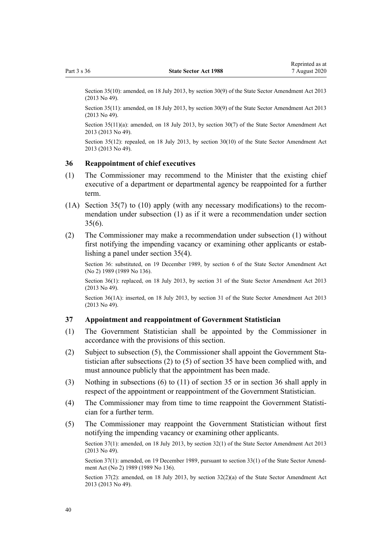<span id="page-39-0"></span>Section 35(10): amended, on 18 July 2013, by [section 30\(9\)](http://legislation.govt.nz/pdflink.aspx?id=DLM4598854) of the State Sector Amendment Act 2013 (2013 No 49).

Section 35(11): amended, on 18 July 2013, by [section 30\(9\)](http://legislation.govt.nz/pdflink.aspx?id=DLM4598854) of the State Sector Amendment Act 2013 (2013 No 49).

Section 35(11)(a): amended, on 18 July 2013, by [section 30\(7\)](http://legislation.govt.nz/pdflink.aspx?id=DLM4598854) of the State Sector Amendment Act 2013 (2013 No 49).

Section 35(12): repealed, on 18 July 2013, by [section 30\(10\)](http://legislation.govt.nz/pdflink.aspx?id=DLM4598854) of the State Sector Amendment Act 2013 (2013 No 49).

# **36 Reappointment of chief executives**

- (1) The Commissioner may recommend to the Minister that the existing chief executive of a department or departmental agency be reappointed for a further term.
- (1A) [Section 35\(7\) to \(10\)](#page-36-0) apply (with any necessary modifications) to the recommendation under subsection (1) as if it were a recommendation under section 35(6).
- (2) The Commissioner may make a recommendation under subsection (1) without first notifying the impending vacancy or examining other applicants or establishing a panel under [section 35\(4\).](#page-36-0)

Section 36: substituted, on 19 December 1989, by [section 6](http://legislation.govt.nz/pdflink.aspx?id=DLM194707) of the State Sector Amendment Act (No 2) 1989 (1989 No 136).

Section 36(1): replaced, on 18 July 2013, by [section 31](http://legislation.govt.nz/pdflink.aspx?id=DLM4598855) of the State Sector Amendment Act 2013 (2013 No 49).

Section 36(1A): inserted, on 18 July 2013, by [section 31](http://legislation.govt.nz/pdflink.aspx?id=DLM4598855) of the State Sector Amendment Act 2013 (2013 No 49).

#### **37 Appointment and reappointment of Government Statistician**

- (1) The Government Statistician shall be appointed by the Commissioner in accordance with the provisions of this section.
- (2) Subject to subsection (5), the Commissioner shall appoint the Government Statistician after subsections (2) to (5) of [section 35](#page-36-0) have been complied with, and must announce publicly that the appointment has been made.
- (3) Nothing in subsections (6) to (11) of [section 35](#page-36-0) or in section 36 shall apply in respect of the appointment or reappointment of the Government Statistician.
- (4) The Commissioner may from time to time reappoint the Government Statistician for a further term.
- (5) The Commissioner may reappoint the Government Statistician without first notifying the impending vacancy or examining other applicants.

Section 37(1): amended, on 18 July 2013, by [section 32\(1\)](http://legislation.govt.nz/pdflink.aspx?id=DLM4598856) of the State Sector Amendment Act 2013 (2013 No 49).

Section 37(1): amended, on 19 December 1989, pursuant to [section 33\(1\)](http://legislation.govt.nz/pdflink.aspx?id=DLM194742) of the State Sector Amendment Act (No 2) 1989 (1989 No 136).

Section  $37(2)$ : amended, on 18 July 2013, by section  $32(2)(a)$  of the State Sector Amendment Act 2013 (2013 No 49).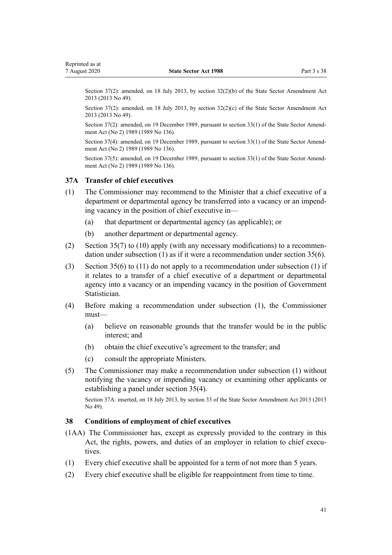<span id="page-40-0"></span>Section 37(2): amended, on 18 July 2013, by [section 32\(2\)\(b\)](http://legislation.govt.nz/pdflink.aspx?id=DLM4598856) of the State Sector Amendment Act 2013 (2013 No 49).

Section 37(2): amended, on 18 July 2013, by [section 32\(2\)\(c\)](http://legislation.govt.nz/pdflink.aspx?id=DLM4598856) of the State Sector Amendment Act 2013 (2013 No 49).

Section 37(2): amended, on 19 December 1989, pursuant to [section 33\(1\)](http://legislation.govt.nz/pdflink.aspx?id=DLM194742) of the State Sector Amendment Act (No 2) 1989 (1989 No 136).

Section 37(4): amended, on 19 December 1989, pursuant to [section 33\(1\)](http://legislation.govt.nz/pdflink.aspx?id=DLM194742) of the State Sector Amendment Act (No 2) 1989 (1989 No 136).

Section 37(5): amended, on 19 December 1989, pursuant to [section 33\(1\)](http://legislation.govt.nz/pdflink.aspx?id=DLM194742) of the State Sector Amendment Act (No 2) 1989 (1989 No 136).

#### **37A Transfer of chief executives**

- (1) The Commissioner may recommend to the Minister that a chief executive of a department or departmental agency be transferred into a vacancy or an impending vacancy in the position of chief executive in—
	- (a) that department or departmental agency (as applicable); or
	- (b) another department or departmental agency.
- (2) [Section 35\(7\) to \(10\)](#page-36-0) apply (with any necessary modifications) to a recommendation under subsection (1) as if it were a recommendation under [section 35\(6\).](#page-36-0)
- (3) [Section 35\(6\) to \(11\)](#page-36-0) do not apply to a recommendation under subsection (1) if it relates to a transfer of a chief executive of a department or departmental agency into a vacancy or an impending vacancy in the position of Government Statistician.
- (4) Before making a recommendation under subsection (1), the Commissioner must—
	- (a) believe on reasonable grounds that the transfer would be in the public interest; and
	- (b) obtain the chief executive's agreement to the transfer; and
	- (c) consult the appropriate Ministers.
- (5) The Commissioner may make a recommendation under subsection (1) without notifying the vacancy or impending vacancy or examining other applicants or establishing a panel under [section 35\(4\)](#page-36-0).

Section 37A: inserted, on 18 July 2013, by [section 33](http://legislation.govt.nz/pdflink.aspx?id=DLM4598857) of the State Sector Amendment Act 2013 (2013 No 49).

# **38 Conditions of employment of chief executives**

- (1AA) The Commissioner has, except as expressly provided to the contrary in this Act, the rights, powers, and duties of an employer in relation to chief executives.
- (1) Every chief executive shall be appointed for a term of not more than 5 years.
- (2) Every chief executive shall be eligible for reappointment from time to time.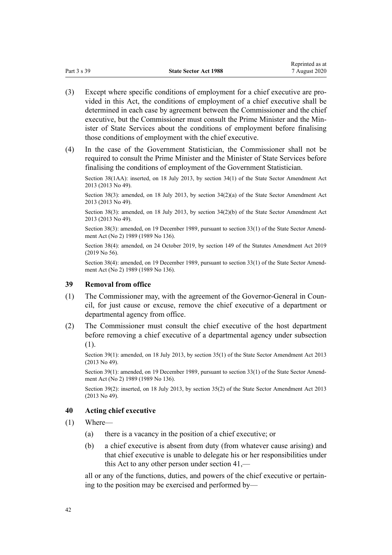- <span id="page-41-0"></span>(3) Except where specific conditions of employment for a chief executive are provided in this Act, the conditions of employment of a chief executive shall be determined in each case by agreement between the Commissioner and the chief executive, but the Commissioner must consult the Prime Minister and the Minister of State Services about the conditions of employment before finalising those conditions of employment with the chief executive.
- (4) In the case of the Government Statistician, the Commissioner shall not be required to consult the Prime Minister and the Minister of State Services before finalising the conditions of employment of the Government Statistician.

Section 38(1AA): inserted, on 18 July 2013, by [section 34\(1\)](http://legislation.govt.nz/pdflink.aspx?id=DLM4598859) of the State Sector Amendment Act 2013 (2013 No 49).

Section 38(3): amended, on 18 July 2013, by [section 34\(2\)\(a\)](http://legislation.govt.nz/pdflink.aspx?id=DLM4598859) of the State Sector Amendment Act 2013 (2013 No 49).

Section 38(3): amended, on 18 July 2013, by [section 34\(2\)\(b\)](http://legislation.govt.nz/pdflink.aspx?id=DLM4598859) of the State Sector Amendment Act 2013 (2013 No 49).

Section 38(3): amended, on 19 December 1989, pursuant to [section 33\(1\)](http://legislation.govt.nz/pdflink.aspx?id=DLM194742) of the State Sector Amendment Act (No 2) 1989 (1989 No 136).

Section 38(4): amended, on 24 October 2019, by [section 149](http://legislation.govt.nz/pdflink.aspx?id=LMS59117) of the Statutes Amendment Act 2019 (2019 No 56).

Section 38(4): amended, on 19 December 1989, pursuant to [section 33\(1\)](http://legislation.govt.nz/pdflink.aspx?id=DLM194742) of the State Sector Amendment Act (No 2) 1989 (1989 No 136).

# **39 Removal from office**

- (1) The Commissioner may, with the agreement of the Governor-General in Council, for just cause or excuse, remove the chief executive of a department or departmental agency from office.
- (2) The Commissioner must consult the chief executive of the host department before removing a chief executive of a departmental agency under subsection (1).

Section 39(1): amended, on 18 July 2013, by [section 35\(1\)](http://legislation.govt.nz/pdflink.aspx?id=DLM4598860) of the State Sector Amendment Act 2013 (2013 No 49).

Section 39(1): amended, on 19 December 1989, pursuant to [section 33\(1\)](http://legislation.govt.nz/pdflink.aspx?id=DLM194742) of the State Sector Amendment Act (No 2) 1989 (1989 No 136).

Section 39(2): inserted, on 18 July 2013, by [section 35\(2\)](http://legislation.govt.nz/pdflink.aspx?id=DLM4598860) of the State Sector Amendment Act 2013 (2013 No 49).

# **40 Acting chief executive**

- (1) Where—
	- (a) there is a vacancy in the position of a chief executive; or
	- (b) a chief executive is absent from duty (from whatever cause arising) and that chief executive is unable to delegate his or her responsibilities under this Act to any other person under [section 41,](#page-43-0)—

all or any of the functions, duties, and powers of the chief executive or pertaining to the position may be exercised and performed by—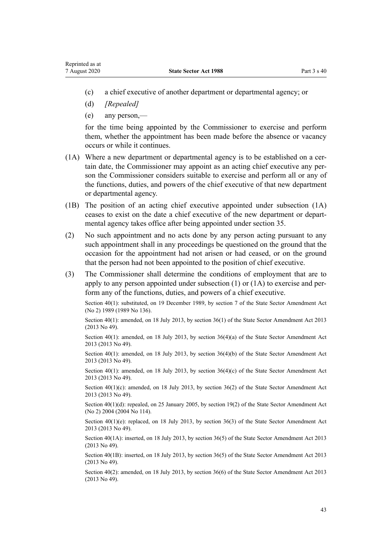- (c) a chief executive of another department or departmental agency; or
- (d) *[Repealed]*
- (e) any person,—

for the time being appointed by the Commissioner to exercise and perform them, whether the appointment has been made before the absence or vacancy occurs or while it continues.

- (1A) Where a new department or departmental agency is to be established on a certain date, the Commissioner may appoint as an acting chief executive any person the Commissioner considers suitable to exercise and perform all or any of the functions, duties, and powers of the chief executive of that new department or departmental agency.
- (1B) The position of an acting chief executive appointed under subsection (1A) ceases to exist on the date a chief executive of the new department or departmental agency takes office after being appointed under [section 35](#page-36-0).
- (2) No such appointment and no acts done by any person acting pursuant to any such appointment shall in any proceedings be questioned on the ground that the occasion for the appointment had not arisen or had ceased, or on the ground that the person had not been appointed to the position of chief executive.
- (3) The Commissioner shall determine the conditions of employment that are to apply to any person appointed under subsection (1) or (1A) to exercise and perform any of the functions, duties, and powers of a chief executive.

Section 40(1): substituted, on 19 December 1989, by [section 7](http://legislation.govt.nz/pdflink.aspx?id=DLM194708) of the State Sector Amendment Act (No 2) 1989 (1989 No 136).

Section 40(1): amended, on 18 July 2013, by [section 36\(1\)](http://legislation.govt.nz/pdflink.aspx?id=DLM4598861) of the State Sector Amendment Act 2013 (2013 No 49).

Section 40(1): amended, on 18 July 2013, by [section 36\(4\)\(a\)](http://legislation.govt.nz/pdflink.aspx?id=DLM4598861) of the State Sector Amendment Act 2013 (2013 No 49).

Section 40(1): amended, on 18 July 2013, by [section 36\(4\)\(b\)](http://legislation.govt.nz/pdflink.aspx?id=DLM4598861) of the State Sector Amendment Act 2013 (2013 No 49).

Section 40(1): amended, on 18 July 2013, by [section 36\(4\)\(c\)](http://legislation.govt.nz/pdflink.aspx?id=DLM4598861) of the State Sector Amendment Act 2013 (2013 No 49).

Section  $40(1)(c)$ : amended, on 18 July 2013, by [section 36\(2\)](http://legislation.govt.nz/pdflink.aspx?id=DLM4598861) of the State Sector Amendment Act 2013 (2013 No 49).

Section 40(1)(d): repealed, on 25 January 2005, by [section 19\(2\)](http://legislation.govt.nz/pdflink.aspx?id=DLM329600) of the State Sector Amendment Act (No 2) 2004 (2004 No 114).

Section 40(1)(e): replaced, on 18 July 2013, by [section 36\(3\)](http://legislation.govt.nz/pdflink.aspx?id=DLM4598861) of the State Sector Amendment Act 2013 (2013 No 49).

Section 40(1A): inserted, on 18 July 2013, by [section 36\(5\)](http://legislation.govt.nz/pdflink.aspx?id=DLM4598861) of the State Sector Amendment Act 2013 (2013 No 49).

Section 40(1B): inserted, on 18 July 2013, by [section 36\(5\)](http://legislation.govt.nz/pdflink.aspx?id=DLM4598861) of the State Sector Amendment Act 2013 (2013 No 49).

Section 40(2): amended, on 18 July 2013, by [section 36\(6\)](http://legislation.govt.nz/pdflink.aspx?id=DLM4598861) of the State Sector Amendment Act 2013 (2013 No 49).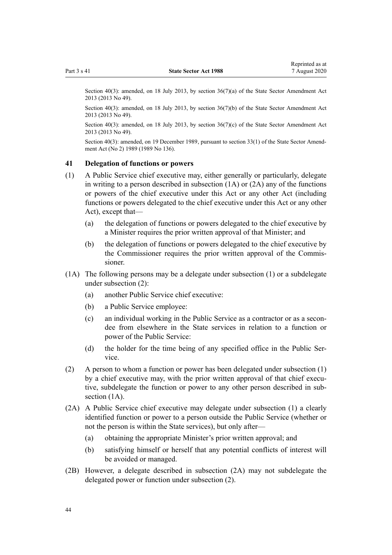<span id="page-43-0"></span>Section 40(3): amended, on 18 July 2013, by [section 36\(7\)\(a\)](http://legislation.govt.nz/pdflink.aspx?id=DLM4598861) of the State Sector Amendment Act 2013 (2013 No 49).

Section 40(3): amended, on 18 July 2013, by [section 36\(7\)\(b\)](http://legislation.govt.nz/pdflink.aspx?id=DLM4598861) of the State Sector Amendment Act 2013 (2013 No 49).

Section 40(3): amended, on 18 July 2013, by [section 36\(7\)\(c\)](http://legislation.govt.nz/pdflink.aspx?id=DLM4598861) of the State Sector Amendment Act 2013 (2013 No 49).

Section 40(3): amended, on 19 December 1989, pursuant to [section 33\(1\)](http://legislation.govt.nz/pdflink.aspx?id=DLM194742) of the State Sector Amendment Act (No 2) 1989 (1989 No 136).

# **41 Delegation of functions or powers**

- (1) A Public Service chief executive may, either generally or particularly, delegate in writing to a person described in subsection (1A) or (2A) any of the functions or powers of the chief executive under this Act or any other Act (including functions or powers delegated to the chief executive under this Act or any other Act), except that—
	- (a) the delegation of functions or powers delegated to the chief executive by a Minister requires the prior written approval of that Minister; and
	- (b) the delegation of functions or powers delegated to the chief executive by the Commissioner requires the prior written approval of the Commissioner.
- (1A) The following persons may be a delegate under subsection (1) or a subdelegate under subsection (2):
	- (a) another Public Service chief executive:
	- (b) a Public Service employee:
	- (c) an individual working in the Public Service as a contractor or as a secondee from elsewhere in the State services in relation to a function or power of the Public Service:
	- (d) the holder for the time being of any specified office in the Public Service.
- (2) A person to whom a function or power has been delegated under subsection (1) by a chief executive may, with the prior written approval of that chief executive, subdelegate the function or power to any other person described in subsection  $(1A)$ .
- (2A) A Public Service chief executive may delegate under subsection (1) a clearly identified function or power to a person outside the Public Service (whether or not the person is within the State services), but only after—
	- (a) obtaining the appropriate Minister's prior written approval; and
	- (b) satisfying himself or herself that any potential conflicts of interest will be avoided or managed.
- (2B) However, a delegate described in subsection (2A) may not subdelegate the delegated power or function under subsection (2).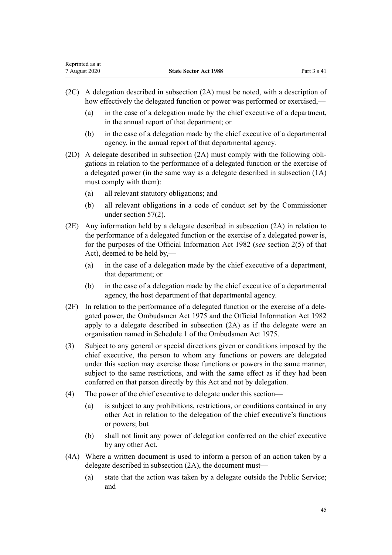- (2C) A delegation described in subsection (2A) must be noted, with a description of how effectively the delegated function or power was performed or exercised,—
	- (a) in the case of a delegation made by the chief executive of a department, in the annual report of that department; or
	- (b) in the case of a delegation made by the chief executive of a departmental agency, in the annual report of that departmental agency.
- (2D) A delegate described in subsection (2A) must comply with the following obligations in relation to the performance of a delegated function or the exercise of a delegated power (in the same way as a delegate described in subsection (1A) must comply with them):
	- (a) all relevant statutory obligations; and
	- (b) all relevant obligations in a code of conduct set by the Commissioner under [section 57\(2\).](#page-52-0)
- (2E) Any information held by a delegate described in subsection (2A) in relation to the performance of a delegated function or the exercise of a delegated power is, for the purposes of the [Official Information Act 1982](http://legislation.govt.nz/pdflink.aspx?id=DLM64784) (*see* [section 2\(5\)](http://legislation.govt.nz/pdflink.aspx?id=DLM64790) of that Act), deemed to be held by,—
	- (a) in the case of a delegation made by the chief executive of a department, that department; or
	- (b) in the case of a delegation made by the chief executive of a departmental agency, the host department of that departmental agency.
- (2F) In relation to the performance of a delegated function or the exercise of a delegated power, the [Ombudsmen Act 1975](http://legislation.govt.nz/pdflink.aspx?id=DLM430983) and the [Official Information Act 1982](http://legislation.govt.nz/pdflink.aspx?id=DLM64784) apply to a delegate described in subsection (2A) as if the delegate were an organisation named in [Schedule 1](http://legislation.govt.nz/pdflink.aspx?id=DLM431204) of the Ombudsmen Act 1975.
- (3) Subject to any general or special directions given or conditions imposed by the chief executive, the person to whom any functions or powers are delegated under this section may exercise those functions or powers in the same manner, subject to the same restrictions, and with the same effect as if they had been conferred on that person directly by this Act and not by delegation.
- (4) The power of the chief executive to delegate under this section—
	- (a) is subject to any prohibitions, restrictions, or conditions contained in any other Act in relation to the delegation of the chief executive's functions or powers; but
	- (b) shall not limit any power of delegation conferred on the chief executive by any other Act.
- (4A) Where a written document is used to inform a person of an action taken by a delegate described in subsection (2A), the document must—
	- (a) state that the action was taken by a delegate outside the Public Service; and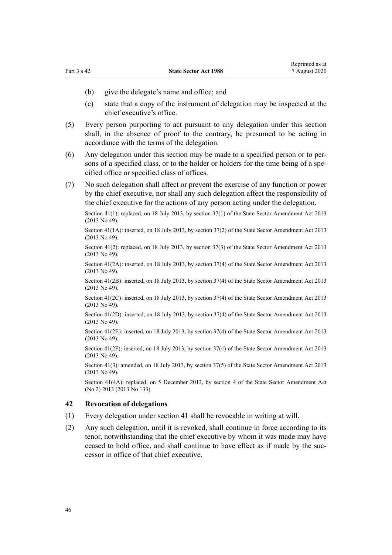- (b) give the delegate's name and office; and
- (c) state that a copy of the instrument of delegation may be inspected at the chief executive's office.
- (5) Every person purporting to act pursuant to any delegation under this section shall, in the absence of proof to the contrary, be presumed to be acting in accordance with the terms of the delegation.
- (6) Any delegation under this section may be made to a specified person or to persons of a specified class, or to the holder or holders for the time being of a specified office or specified class of offices.
- (7) No such delegation shall affect or prevent the exercise of any function or power by the chief executive, nor shall any such delegation affect the responsibility of the chief executive for the actions of any person acting under the delegation.

Section 41(1): replaced, on 18 July 2013, by [section 37\(1\)](http://legislation.govt.nz/pdflink.aspx?id=DLM4598862) of the State Sector Amendment Act 2013 (2013 No 49).

Section 41(1A): inserted, on 18 July 2013, by [section 37\(2\)](http://legislation.govt.nz/pdflink.aspx?id=DLM4598862) of the State Sector Amendment Act 2013 (2013 No 49).

Section 41(2): replaced, on 18 July 2013, by [section 37\(3\)](http://legislation.govt.nz/pdflink.aspx?id=DLM4598862) of the State Sector Amendment Act 2013 (2013 No 49).

Section 41(2A): inserted, on 18 July 2013, by [section 37\(4\)](http://legislation.govt.nz/pdflink.aspx?id=DLM4598862) of the State Sector Amendment Act 2013 (2013 No 49).

Section 41(2B): inserted, on 18 July 2013, by [section 37\(4\)](http://legislation.govt.nz/pdflink.aspx?id=DLM4598862) of the State Sector Amendment Act 2013 (2013 No 49).

Section 41(2C): inserted, on 18 July 2013, by [section 37\(4\)](http://legislation.govt.nz/pdflink.aspx?id=DLM4598862) of the State Sector Amendment Act 2013 (2013 No 49).

Section 41(2D): inserted, on 18 July 2013, by [section 37\(4\)](http://legislation.govt.nz/pdflink.aspx?id=DLM4598862) of the State Sector Amendment Act 2013 (2013 No 49).

Section 41(2E): inserted, on 18 July 2013, by [section 37\(4\)](http://legislation.govt.nz/pdflink.aspx?id=DLM4598862) of the State Sector Amendment Act 2013 (2013 No 49).

Section 41(2F): inserted, on 18 July 2013, by [section 37\(4\)](http://legislation.govt.nz/pdflink.aspx?id=DLM4598862) of the State Sector Amendment Act 2013 (2013 No 49).

Section 41(3): amended, on 18 July 2013, by [section 37\(5\)](http://legislation.govt.nz/pdflink.aspx?id=DLM4598862) of the State Sector Amendment Act 2013 (2013 No 49).

Section 41(4A): replaced, on 5 December 2013, by [section 4](http://legislation.govt.nz/pdflink.aspx?id=DLM5627607) of the State Sector Amendment Act (No 2) 2013 (2013 No 133).

# **42 Revocation of delegations**

- (1) Every delegation under [section 41](#page-43-0) shall be revocable in writing at will.
- (2) Any such delegation, until it is revoked, shall continue in force according to its tenor, notwithstanding that the chief executive by whom it was made may have ceased to hold office, and shall continue to have effect as if made by the successor in office of that chief executive.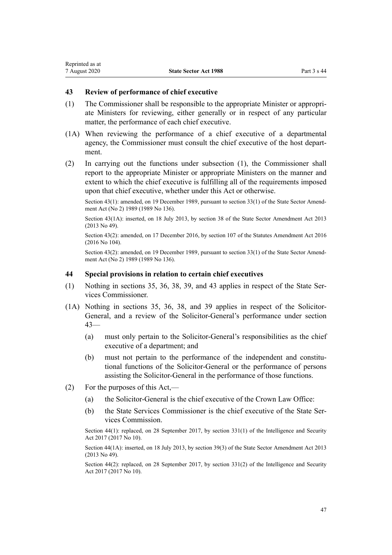# <span id="page-46-0"></span>**43 Review of performance of chief executive**

- (1) The Commissioner shall be responsible to the appropriate Minister or appropriate Ministers for reviewing, either generally or in respect of any particular matter, the performance of each chief executive.
- (1A) When reviewing the performance of a chief executive of a departmental agency, the Commissioner must consult the chief executive of the host department.
- (2) In carrying out the functions under subsection (1), the Commissioner shall report to the appropriate Minister or appropriate Ministers on the manner and extent to which the chief executive is fulfilling all of the requirements imposed upon that chief executive, whether under this Act or otherwise.

Section 43(1): amended, on 19 December 1989, pursuant to [section 33\(1\)](http://legislation.govt.nz/pdflink.aspx?id=DLM194742) of the State Sector Amendment Act (No 2) 1989 (1989 No 136).

Section 43(1A): inserted, on 18 July 2013, by [section 38](http://legislation.govt.nz/pdflink.aspx?id=DLM4598864) of the State Sector Amendment Act 2013 (2013 No 49).

Section 43(2): amended, on 17 December 2016, by [section 107](http://legislation.govt.nz/pdflink.aspx?id=DLM6623905) of the Statutes Amendment Act 2016 (2016 No 104).

Section 43(2): amended, on 19 December 1989, pursuant to [section 33\(1\)](http://legislation.govt.nz/pdflink.aspx?id=DLM194742) of the State Sector Amendment Act (No 2) 1989 (1989 No 136).

## **44 Special provisions in relation to certain chief executives**

- (1) Nothing in [sections 35,](#page-36-0) [36](#page-39-0), [38](#page-40-0), [39,](#page-41-0) and 43 applies in respect of the State Services Commissioner.
- (1A) Nothing in [sections 35,](#page-36-0) [36,](#page-39-0) [38](#page-40-0), and [39](#page-41-0) applies in respect of the Solicitor-General, and a review of the Solicitor-General's performance under section 43—
	- (a) must only pertain to the Solicitor-General's responsibilities as the chief executive of a department; and
	- (b) must not pertain to the performance of the independent and constitutional functions of the Solicitor-General or the performance of persons assisting the Solicitor-General in the performance of those functions.
- (2) For the purposes of this Act,—
	- (a) the Solicitor-General is the chief executive of the Crown Law Office:
	- (b) the State Services Commissioner is the chief executive of the State Services Commission.

Section 44(1): replaced, on 28 September 2017, by [section 331\(1\)](http://legislation.govt.nz/pdflink.aspx?id=DLM6921469) of the Intelligence and Security Act 2017 (2017 No 10).

Section 44(1A): inserted, on 18 July 2013, by [section 39\(3\)](http://legislation.govt.nz/pdflink.aspx?id=DLM4598865) of the State Sector Amendment Act 2013 (2013 No 49).

Section 44(2): replaced, on 28 September 2017, by [section 331\(2\)](http://legislation.govt.nz/pdflink.aspx?id=DLM6921469) of the Intelligence and Security Act 2017 (2017 No 10).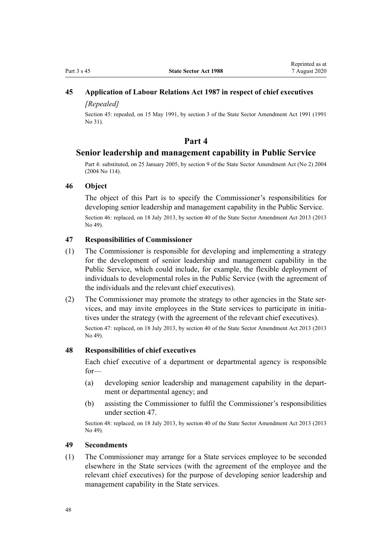# **45 Application of Labour Relations Act 1987 in respect of chief executives**

# *[Repealed]*

Section 45: repealed, on 15 May 1991, by section 3 of the State Sector Amendment Act 1991 (1991 No 31).

# **Part 4**

# **Senior leadership and management capability in Public Service**

Part 4: substituted, on 25 January 2005, by [section 9](http://legislation.govt.nz/pdflink.aspx?id=DLM329166) of the State Sector Amendment Act (No 2) 2004 (2004 No 114).

# **46 Object**

The object of this Part is to specify the Commissioner's responsibilities for developing senior leadership and management capability in the Public Service.

Section 46: replaced, on 18 July 2013, by [section 40](http://legislation.govt.nz/pdflink.aspx?id=DLM4598866) of the State Sector Amendment Act 2013 (2013 No 49).

# **47 Responsibilities of Commissioner**

- (1) The Commissioner is responsible for developing and implementing a strategy for the development of senior leadership and management capability in the Public Service, which could include, for example, the flexible deployment of individuals to developmental roles in the Public Service (with the agreement of the individuals and the relevant chief executives).
- (2) The Commissioner may promote the strategy to other agencies in the State services, and may invite employees in the State services to participate in initiatives under the strategy (with the agreement of the relevant chief executives).

Section 47: replaced, on 18 July 2013, by [section 40](http://legislation.govt.nz/pdflink.aspx?id=DLM4598866) of the State Sector Amendment Act 2013 (2013 No 49).

# **48 Responsibilities of chief executives**

Each chief executive of a department or departmental agency is responsible for—

- (a) developing senior leadership and management capability in the department or departmental agency; and
- (b) assisting the Commissioner to fulfil the Commissioner's responsibilities under section 47.

Section 48: replaced, on 18 July 2013, by [section 40](http://legislation.govt.nz/pdflink.aspx?id=DLM4598866) of the State Sector Amendment Act 2013 (2013 No 49).

# **49 Secondments**

(1) The Commissioner may arrange for a State services employee to be seconded elsewhere in the State services (with the agreement of the employee and the relevant chief executives) for the purpose of developing senior leadership and management capability in the State services.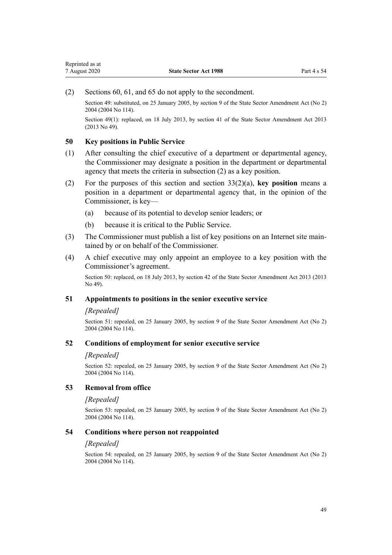<span id="page-48-0"></span>(2) [Sections 60, 61,](#page-55-0) and [65](#page-59-0) do not apply to the secondment.

Section 49: substituted, on 25 January 2005, by [section 9](http://legislation.govt.nz/pdflink.aspx?id=DLM329166) of the State Sector Amendment Act (No 2) 2004 (2004 No 114).

Section 49(1): replaced, on 18 July 2013, by [section 41](http://legislation.govt.nz/pdflink.aspx?id=DLM4598870) of the State Sector Amendment Act 2013 (2013 No 49).

# **50 Key positions in Public Service**

- (1) After consulting the chief executive of a department or departmental agency, the Commissioner may designate a position in the department or departmental agency that meets the criteria in subsection (2) as a key position.
- (2) For the purposes of this section and [section 33\(2\)\(a\),](#page-35-0) **key position** means a position in a department or departmental agency that, in the opinion of the Commissioner, is key—
	- (a) because of its potential to develop senior leaders; or
	- (b) because it is critical to the Public Service.
- (3) The Commissioner must publish a list of key positions on an Internet site maintained by or on behalf of the Commissioner.
- (4) A chief executive may only appoint an employee to a key position with the Commissioner's agreement.

Section 50: replaced, on 18 July 2013, by [section 42](http://legislation.govt.nz/pdflink.aspx?id=DLM4598871) of the State Sector Amendment Act 2013 (2013 No 49).

# **51 Appointments to positions in the senior executive service**

# *[Repealed]*

Section 51: repealed, on 25 January 2005, by [section 9](http://legislation.govt.nz/pdflink.aspx?id=DLM329166) of the State Sector Amendment Act (No 2) 2004 (2004 No 114).

# **52 Conditions of employment for senior executive service**

# *[Repealed]*

Section 52: repealed, on 25 January 2005, by [section 9](http://legislation.govt.nz/pdflink.aspx?id=DLM329166) of the State Sector Amendment Act (No 2) 2004 (2004 No 114).

# **53 Removal from office**

#### *[Repealed]*

Section 53: repealed, on 25 January 2005, by [section 9](http://legislation.govt.nz/pdflink.aspx?id=DLM329166) of the State Sector Amendment Act (No 2) 2004 (2004 No 114).

# **54 Conditions where person not reappointed**

#### *[Repealed]*

Section 54: repealed, on 25 January 2005, by [section 9](http://legislation.govt.nz/pdflink.aspx?id=DLM329166) of the State Sector Amendment Act (No 2) 2004 (2004 No 114).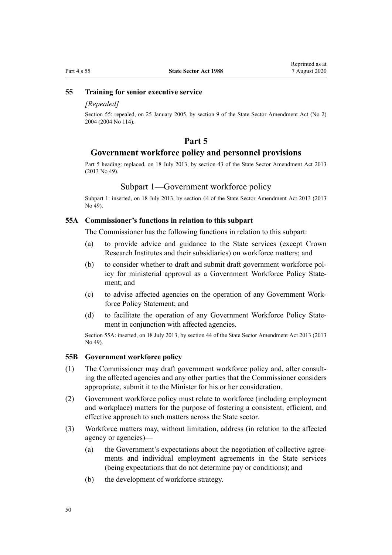## <span id="page-49-0"></span>**55 Training for senior executive service**

#### *[Repealed]*

Section 55: repealed, on 25 January 2005, by [section 9](http://legislation.govt.nz/pdflink.aspx?id=DLM329166) of the State Sector Amendment Act (No 2) 2004 (2004 No 114).

# **Part 5**

# **Government workforce policy and personnel provisions**

Part 5 heading: replaced, on 18 July 2013, by [section 43](http://legislation.govt.nz/pdflink.aspx?id=DLM4598874) of the State Sector Amendment Act 2013 (2013 No 49).

# Subpart 1—Government workforce policy

Subpart 1: inserted, on 18 July 2013, by [section 44](http://legislation.govt.nz/pdflink.aspx?id=DLM4598876) of the State Sector Amendment Act 2013 (2013 No 49).

# **55A Commissioner's functions in relation to this subpart**

The Commissioner has the following functions in relation to this subpart:

- (a) to provide advice and guidance to the State services (except Crown Research Institutes and their subsidiaries) on workforce matters; and
- (b) to consider whether to draft and submit draft government workforce policy for ministerial approval as a Government Workforce Policy Statement; and
- (c) to advise affected agencies on the operation of any Government Workforce Policy Statement; and
- (d) to facilitate the operation of any Government Workforce Policy Statement in conjunction with affected agencies.

Section 55A: inserted, on 18 July 2013, by [section 44](http://legislation.govt.nz/pdflink.aspx?id=DLM4598876) of the State Sector Amendment Act 2013 (2013 No 49).

# **55B Government workforce policy**

- (1) The Commissioner may draft government workforce policy and, after consulting the affected agencies and any other parties that the Commissioner considers appropriate, submit it to the Minister for his or her consideration.
- (2) Government workforce policy must relate to workforce (including employment and workplace) matters for the purpose of fostering a consistent, efficient, and effective approach to such matters across the State sector.
- (3) Workforce matters may, without limitation, address (in relation to the affected agency or agencies)—
	- (a) the Government's expectations about the negotiation of collective agreements and individual employment agreements in the State services (being expectations that do not determine pay or conditions); and
	- (b) the development of workforce strategy.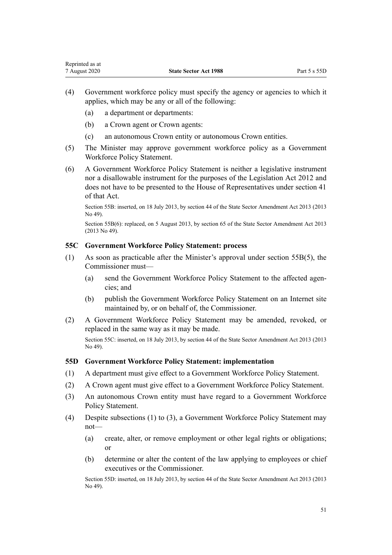- (4) Government workforce policy must specify the agency or agencies to which it applies, which may be any or all of the following:
	- (a) a department or departments:

Reprinted as at

- (b) a Crown agent or Crown agents:
- (c) an autonomous Crown entity or autonomous Crown entities.
- (5) The Minister may approve government workforce policy as a Government Workforce Policy Statement.
- (6) A Government Workforce Policy Statement is neither a legislative instrument nor a disallowable instrument for the purposes of the [Legislation Act 2012](http://legislation.govt.nz/pdflink.aspx?id=DLM2997643) and does not have to be presented to the House of Representatives under [section 41](http://legislation.govt.nz/pdflink.aspx?id=DLM2998573) of that Act.

Section 55B: inserted, on 18 July 2013, by [section 44](http://legislation.govt.nz/pdflink.aspx?id=DLM4598876) of the State Sector Amendment Act 2013 (2013 No 49).

Section 55B(6): replaced, on 5 August 2013, by [section 65](http://legislation.govt.nz/pdflink.aspx?id=DLM5047700) of the State Sector Amendment Act 2013 (2013 No 49).

# **55C Government Workforce Policy Statement: process**

- (1) As soon as practicable after the Minister's approval under [section 55B\(5\)](#page-49-0), the Commissioner must—
	- (a) send the Government Workforce Policy Statement to the affected agencies; and
	- (b) publish the Government Workforce Policy Statement on an Internet site maintained by, or on behalf of, the Commissioner.
- (2) A Government Workforce Policy Statement may be amended, revoked, or replaced in the same way as it may be made.

Section 55C: inserted, on 18 July 2013, by [section 44](http://legislation.govt.nz/pdflink.aspx?id=DLM4598876) of the State Sector Amendment Act 2013 (2013) No 49).

# **55D Government Workforce Policy Statement: implementation**

- (1) A department must give effect to a Government Workforce Policy Statement.
- (2) A Crown agent must give effect to a Government Workforce Policy Statement.
- (3) An autonomous Crown entity must have regard to a Government Workforce Policy Statement.
- (4) Despite subsections (1) to (3), a Government Workforce Policy Statement may not—
	- (a) create, alter, or remove employment or other legal rights or obligations; or
	- (b) determine or alter the content of the law applying to employees or chief executives or the Commissioner.

Section 55D: inserted, on 18 July 2013, by [section 44](http://legislation.govt.nz/pdflink.aspx?id=DLM4598876) of the State Sector Amendment Act 2013 (2013 No 49).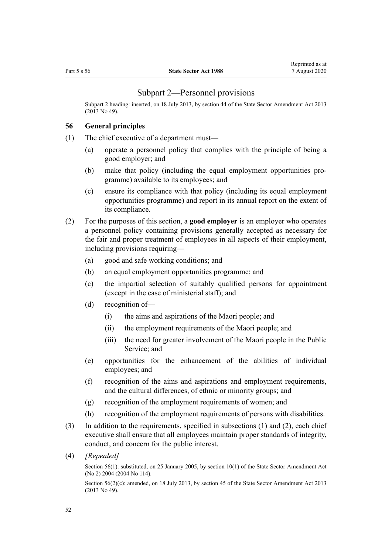# Subpart 2—Personnel provisions

<span id="page-51-0"></span>Subpart 2 heading: inserted, on 18 July 2013, by [section 44](http://legislation.govt.nz/pdflink.aspx?id=DLM4598876) of the State Sector Amendment Act 2013 (2013 No 49).

# **56 General principles**

- (1) The chief executive of a department must—
	- (a) operate a personnel policy that complies with the principle of being a good employer; and
	- (b) make that policy (including the equal employment opportunities programme) available to its employees; and
	- (c) ensure its compliance with that policy (including its equal employment opportunities programme) and report in its annual report on the extent of its compliance.
- (2) For the purposes of this section, a **good employer** is an employer who operates a personnel policy containing provisions generally accepted as necessary for the fair and proper treatment of employees in all aspects of their employment, including provisions requiring—
	- (a) good and safe working conditions; and
	- (b) an equal employment opportunities programme; and
	- (c) the impartial selection of suitably qualified persons for appointment (except in the case of ministerial staff); and
	- (d) recognition of—
		- (i) the aims and aspirations of the Maori people; and
		- (ii) the employment requirements of the Maori people; and
		- (iii) the need for greater involvement of the Maori people in the Public Service; and
	- (e) opportunities for the enhancement of the abilities of individual employees; and
	- (f) recognition of the aims and aspirations and employment requirements, and the cultural differences, of ethnic or minority groups; and
	- (g) recognition of the employment requirements of women; and
	- (h) recognition of the employment requirements of persons with disabilities.
- (3) In addition to the requirements, specified in subsections (1) and (2), each chief executive shall ensure that all employees maintain proper standards of integrity, conduct, and concern for the public interest.
- (4) *[Repealed]*

Section 56(1): substituted, on 25 January 2005, by [section 10\(1\)](http://legislation.govt.nz/pdflink.aspx?id=DLM329173) of the State Sector Amendment Act (No 2) 2004 (2004 No 114).

Section 56(2)(c): amended, on 18 July 2013, by [section 45](http://legislation.govt.nz/pdflink.aspx?id=DLM4598881) of the State Sector Amendment Act 2013 (2013 No 49).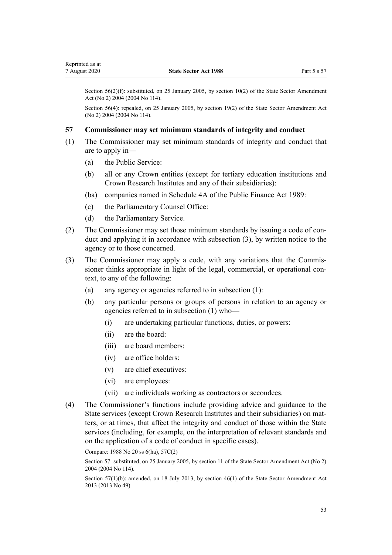<span id="page-52-0"></span>Section 56(2)(f): substituted, on 25 January 2005, by [section 10\(2\)](http://legislation.govt.nz/pdflink.aspx?id=DLM329173) of the State Sector Amendment Act (No 2) 2004 (2004 No 114).

Section 56(4): repealed, on 25 January 2005, by [section 19\(2\)](http://legislation.govt.nz/pdflink.aspx?id=DLM329600) of the State Sector Amendment Act (No 2) 2004 (2004 No 114).

# **57 Commissioner may set minimum standards of integrity and conduct**

- (1) The Commissioner may set minimum standards of integrity and conduct that are to apply in—
	- (a) the Public Service:
	- (b) all or any Crown entities (except for tertiary education institutions and Crown Research Institutes and any of their subsidiaries):
	- (ba) companies named in [Schedule 4A](http://legislation.govt.nz/pdflink.aspx?id=DLM5466801) of the Public Finance Act 1989:
	- (c) the Parliamentary Counsel Office:
	- (d) the Parliamentary Service.
- (2) The Commissioner may set those minimum standards by issuing a code of conduct and applying it in accordance with subsection (3), by written notice to the agency or to those concerned.
- (3) The Commissioner may apply a code, with any variations that the Commissioner thinks appropriate in light of the legal, commercial, or operational context, to any of the following:
	- (a) any agency or agencies referred to in subsection (1):
	- (b) any particular persons or groups of persons in relation to an agency or agencies referred to in subsection (1) who—
		- (i) are undertaking particular functions, duties, or powers:
		- (ii) are the board:
		- (iii) are board members:
		- (iv) are office holders:
		- (v) are chief executives:
		- (vi) are employees:
		- (vii) are individuals working as contractors or secondees.
- (4) The Commissioner's functions include providing advice and guidance to the State services (except Crown Research Institutes and their subsidiaries) on matters, or at times, that affect the integrity and conduct of those within the State services (including, for example, on the interpretation of relevant standards and on the application of a code of conduct in specific cases).

Compare: 1988 No 20 [ss 6\(ha\),](#page-13-0) [57C\(2\)](#page-53-0)

Section 57: substituted, on 25 January 2005, by [section 11](http://legislation.govt.nz/pdflink.aspx?id=DLM329174) of the State Sector Amendment Act (No 2) 2004 (2004 No 114).

Section 57(1)(b): amended, on 18 July 2013, by [section 46\(1\)](http://legislation.govt.nz/pdflink.aspx?id=DLM4598882) of the State Sector Amendment Act 2013 (2013 No 49).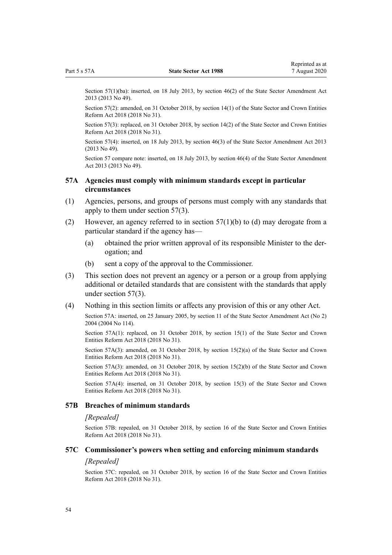<span id="page-53-0"></span>Section 57(1)(ba): inserted, on 18 July 2013, by [section 46\(2\)](http://legislation.govt.nz/pdflink.aspx?id=DLM4598882) of the State Sector Amendment Act 2013 (2013 No 49).

Section 57(2): amended, on 31 October 2018, by [section 14\(1\)](http://legislation.govt.nz/pdflink.aspx?id=LMS11218) of the State Sector and Crown Entities Reform Act 2018 (2018 No 31).

Section 57(3): replaced, on 31 October 2018, by [section 14\(2\)](http://legislation.govt.nz/pdflink.aspx?id=LMS11218) of the State Sector and Crown Entities Reform Act 2018 (2018 No 31).

Section 57(4): inserted, on 18 July 2013, by [section 46\(3\)](http://legislation.govt.nz/pdflink.aspx?id=DLM4598882) of the State Sector Amendment Act 2013 (2013 No 49).

Section 57 compare note: inserted, on 18 July 2013, by [section 46\(4\)](http://legislation.govt.nz/pdflink.aspx?id=DLM4598882) of the State Sector Amendment Act 2013 (2013 No 49).

# **57A Agencies must comply with minimum standards except in particular circumstances**

- (1) Agencies, persons, and groups of persons must comply with any standards that apply to them under [section 57\(3\).](#page-52-0)
- (2) However, an agency referred to in [section 57\(1\)\(b\) to \(d\)](#page-52-0) may derogate from a particular standard if the agency has—
	- (a) obtained the prior written approval of its responsible Minister to the derogation; and
	- (b) sent a copy of the approval to the Commissioner.
- (3) This section does not prevent an agency or a person or a group from applying additional or detailed standards that are consistent with the standards that apply under [section 57\(3\).](#page-52-0)
- (4) Nothing in this section limits or affects any provision of this or any other Act.

Section 57A: inserted, on 25 January 2005, by [section 11](http://legislation.govt.nz/pdflink.aspx?id=DLM329174) of the State Sector Amendment Act (No 2) 2004 (2004 No 114).

Section 57A(1): replaced, on 31 October 2018, by [section 15\(1\)](http://legislation.govt.nz/pdflink.aspx?id=LMS11219) of the State Sector and Crown Entities Reform Act 2018 (2018 No 31).

Section 57A(3): amended, on 31 October 2018, by [section 15\(2\)\(a\)](http://legislation.govt.nz/pdflink.aspx?id=LMS11219) of the State Sector and Crown Entities Reform Act 2018 (2018 No 31).

Section 57A(3): amended, on 31 October 2018, by [section 15\(2\)\(b\)](http://legislation.govt.nz/pdflink.aspx?id=LMS11219) of the State Sector and Crown Entities Reform Act 2018 (2018 No 31).

Section 57A(4): inserted, on 31 October 2018, by [section 15\(3\)](http://legislation.govt.nz/pdflink.aspx?id=LMS11219) of the State Sector and Crown Entities Reform Act 2018 (2018 No 31).

#### **57B Breaches of minimum standards**

## *[Repealed]*

Section 57B: repealed, on 31 October 2018, by [section 16](http://legislation.govt.nz/pdflink.aspx?id=LMS11220) of the State Sector and Crown Entities Reform Act 2018 (2018 No 31).

#### **57C Commissioner's powers when setting and enforcing minimum standards**

### *[Repealed]*

Section 57C: repealed, on 31 October 2018, by [section 16](http://legislation.govt.nz/pdflink.aspx?id=LMS11220) of the State Sector and Crown Entities Reform Act 2018 (2018 No 31).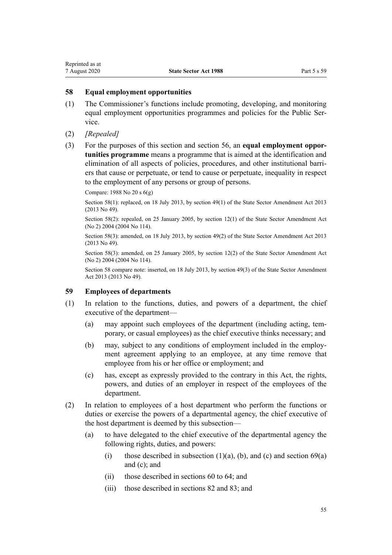# <span id="page-54-0"></span>**58 Equal employment opportunities**

- (1) The Commissioner's functions include promoting, developing, and monitoring equal employment opportunities programmes and policies for the Public Service.
- (2) *[Repealed]*
- (3) For the purposes of this section and [section 56,](#page-51-0) an **equal employment opportunities programme** means a programme that is aimed at the identification and elimination of all aspects of policies, procedures, and other institutional barriers that cause or perpetuate, or tend to cause or perpetuate, inequality in respect to the employment of any persons or group of persons.

Compare: 1988 No 20 [s 6\(g\)](#page-13-0)

Section 58(1): replaced, on 18 July 2013, by [section 49\(1\)](http://legislation.govt.nz/pdflink.aspx?id=DLM4598886) of the State Sector Amendment Act 2013 (2013 No 49).

Section 58(2): repealed, on 25 January 2005, by [section 12\(1\)](http://legislation.govt.nz/pdflink.aspx?id=DLM329179) of the State Sector Amendment Act (No 2) 2004 (2004 No 114).

Section 58(3): amended, on 18 July 2013, by [section 49\(2\)](http://legislation.govt.nz/pdflink.aspx?id=DLM4598886) of the State Sector Amendment Act 2013 (2013 No 49).

Section 58(3): amended, on 25 January 2005, by [section 12\(2\)](http://legislation.govt.nz/pdflink.aspx?id=DLM329179) of the State Sector Amendment Act (No 2) 2004 (2004 No 114).

Section 58 compare note: inserted, on 18 July 2013, by [section 49\(3\)](http://legislation.govt.nz/pdflink.aspx?id=DLM4598886) of the State Sector Amendment Act 2013 (2013 No 49).

# **59 Employees of departments**

- (1) In relation to the functions, duties, and powers of a department, the chief executive of the department—
	- (a) may appoint such employees of the department (including acting, temporary, or casual employees) as the chief executive thinks necessary; and
	- (b) may, subject to any conditions of employment included in the employment agreement applying to an employee, at any time remove that employee from his or her office or employment; and
	- (c) has, except as expressly provided to the contrary in this Act, the rights, powers, and duties of an employer in respect of the employees of the department.
- (2) In relation to employees of a host department who perform the functions or duties or exercise the powers of a departmental agency, the chief executive of the host department is deemed by this subsection—
	- (a) to have delegated to the chief executive of the departmental agency the following rights, duties, and powers:
		- (i) those described in subsection  $(1)(a)$ ,  $(b)$ , and  $(c)$  and section  $69(a)$ [and \(c\)](#page-60-0); and
		- (ii) those described in [sections 60 to 64;](#page-55-0) and
		- (iii) those described in [sections 82](#page-66-0) and [83](#page-67-0); and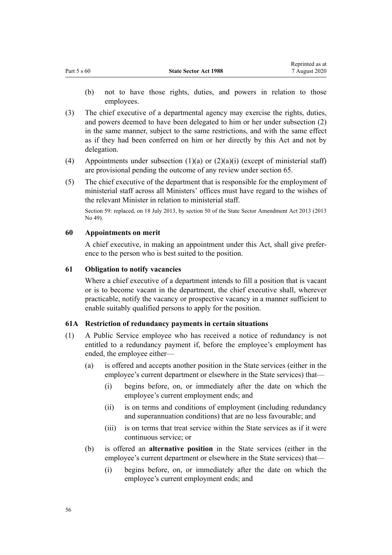<span id="page-55-0"></span>(b) not to have those rights, duties, and powers in relation to those employees.

Reprinted as at

- (3) The chief executive of a departmental agency may exercise the rights, duties, and powers deemed to have been delegated to him or her under subsection (2) in the same manner, subject to the same restrictions, and with the same effect as if they had been conferred on him or her directly by this Act and not by delegation.
- (4) Appointments under subsection  $(1)(a)$  or  $(2)(a)(i)$  (except of ministerial staff) are provisional pending the outcome of any review under [section 65](#page-59-0).
- (5) The chief executive of the department that is responsible for the employment of ministerial staff across all Ministers' offices must have regard to the wishes of the relevant Minister in relation to ministerial staff.

Section 59: replaced, on 18 July 2013, by [section 50](http://legislation.govt.nz/pdflink.aspx?id=DLM4598887) of the State Sector Amendment Act 2013 (2013 No 49).

# **60 Appointments on merit**

A chief executive, in making an appointment under this Act, shall give preference to the person who is best suited to the position.

# **61 Obligation to notify vacancies**

Where a chief executive of a department intends to fill a position that is vacant or is to become vacant in the department, the chief executive shall, wherever practicable, notify the vacancy or prospective vacancy in a manner sufficient to enable suitably qualified persons to apply for the position.

# **61A Restriction of redundancy payments in certain situations**

- (1) A Public Service employee who has received a notice of redundancy is not entitled to a redundancy payment if, before the employee's employment has ended, the employee either—
	- (a) is offered and accepts another position in the State services (either in the employee's current department or elsewhere in the State services) that—
		- (i) begins before, on, or immediately after the date on which the employee's current employment ends; and
		- (ii) is on terms and conditions of employment (including redundancy and superannuation conditions) that are no less favourable; and
		- (iii) is on terms that treat service within the State services as if it were continuous service; or
	- (b) is offered an **alternative position** in the State services (either in the employee's current department or elsewhere in the State services) that—
		- (i) begins before, on, or immediately after the date on which the employee's current employment ends; and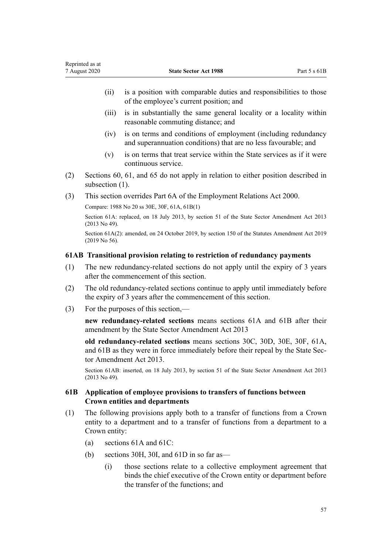- (ii) is a position with comparable duties and responsibilities to those of the employee's current position; and
- (iii) is in substantially the same general locality or a locality within reasonable commuting distance; and
- (iv) is on terms and conditions of employment (including redundancy and superannuation conditions) that are no less favourable; and
- (v) is on terms that treat service within the State services as if it were continuous service.
- (2) [Sections 60](#page-55-0), [61](#page-55-0), and [65](#page-59-0) do not apply in relation to either position described in subsection  $(1)$ .
- (3) This section overrides [Part 6A](http://legislation.govt.nz/pdflink.aspx?id=DLM59172) of the Employment Relations Act 2000.

Compare: 1988 No 20 [ss 30E](#page-30-0), [30F,](#page-30-0) 61A, 61B(1)

Section 61A: replaced, on 18 July 2013, by [section 51](http://legislation.govt.nz/pdflink.aspx?id=DLM4598890) of the State Sector Amendment Act 2013 (2013 No 49).

Section 61A(2): amended, on 24 October 2019, by [section 150](http://legislation.govt.nz/pdflink.aspx?id=LMS59118) of the Statutes Amendment Act 2019 (2019 No 56).

# **61AB Transitional provision relating to restriction of redundancy payments**

- (1) The new redundancy-related sections do not apply until the expiry of 3 years after the commencement of this section.
- (2) The old redundancy-related sections continue to apply until immediately before the expiry of 3 years after the commencement of this section.
- (3) For the purposes of this section,—

**new redundancy-related sections** means [sections 61A](#page-55-0) and 61B after their amendment by the [State Sector Amendment Act 2013](http://legislation.govt.nz/pdflink.aspx?id=DLM4598800)

**old redundancy-related sections** means [sections 30C,](#page-29-0) [30D,](#page-29-0) [30E,](#page-30-0) [30F](#page-30-0), [61A](#page-55-0), and 61B as they were in force immediately before their repeal by the [State Sec](http://legislation.govt.nz/pdflink.aspx?id=DLM4598800)[tor Amendment Act 2013](http://legislation.govt.nz/pdflink.aspx?id=DLM4598800).

Section 61AB: inserted, on 18 July 2013, by [section 51](http://legislation.govt.nz/pdflink.aspx?id=DLM4598890) of the State Sector Amendment Act 2013 (2013 No 49).

# **61B Application of employee provisions to transfers of functions between Crown entities and departments**

- (1) The following provisions apply both to a transfer of functions from a Crown entity to a department and to a transfer of functions from a department to a Crown entity:
	- (a) [sections 61A](#page-55-0) and [61C](#page-57-0):
	- (b) [sections 30H,](#page-30-0) [30I](#page-31-0), and  $61D$  in so far as—
		- (i) those sections relate to a collective employment agreement that binds the chief executive of the Crown entity or department before the transfer of the functions; and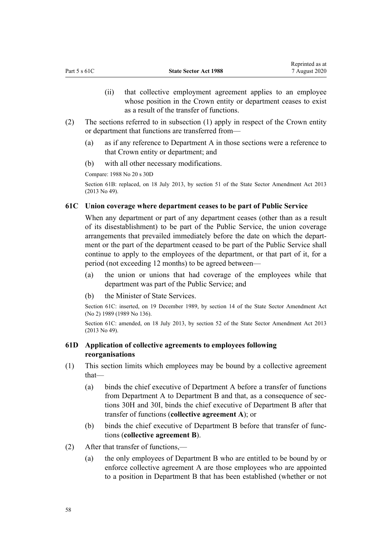- (ii) that collective employment agreement applies to an employee whose position in the Crown entity or department ceases to exist as a result of the transfer of functions.
- <span id="page-57-0"></span>(2) The sections referred to in subsection (1) apply in respect of the Crown entity or department that functions are transferred from—
	- (a) as if any reference to Department A in those sections were a reference to that Crown entity or department; and
	- (b) with all other necessary modifications.

Compare: 1988 No 20 [s 30D](#page-29-0)

Section 61B: replaced, on 18 July 2013, by [section 51](http://legislation.govt.nz/pdflink.aspx?id=DLM4598890) of the State Sector Amendment Act 2013 (2013 No 49).

# **61C Union coverage where department ceases to be part of Public Service**

When any department or part of any department ceases (other than as a result of its disestablishment) to be part of the Public Service, the union coverage arrangements that prevailed immediately before the date on which the department or the part of the department ceased to be part of the Public Service shall continue to apply to the employees of the department, or that part of it, for a period (not exceeding 12 months) to be agreed between—

- (a) the union or unions that had coverage of the employees while that department was part of the Public Service; and
- (b) the Minister of State Services.

Section 61C: inserted, on 19 December 1989, by [section 14](http://legislation.govt.nz/pdflink.aspx?id=DLM194715) of the State Sector Amendment Act (No 2) 1989 (1989 No 136).

Section 61C: amended, on 18 July 2013, by [section 52](http://legislation.govt.nz/pdflink.aspx?id=DLM5307502) of the State Sector Amendment Act 2013 (2013 No 49).

# **61D Application of collective agreements to employees following reorganisations**

- (1) This section limits which employees may be bound by a collective agreement that—
	- (a) binds the chief executive of Department A before a transfer of functions from Department A to Department B and that, as a consequence of [sec](#page-30-0)[tions 30H](#page-30-0) and [30I](#page-31-0), binds the chief executive of Department B after that transfer of functions (**collective agreement A**); or
	- (b) binds the chief executive of Department B before that transfer of functions (**collective agreement B**).
- (2) After that transfer of functions,—
	- (a) the only employees of Department B who are entitled to be bound by or enforce collective agreement A are those employees who are appointed to a position in Department B that has been established (whether or not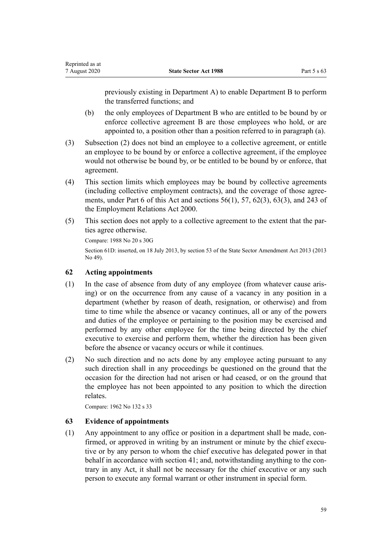previously existing in Department A) to enable Department B to perform the transferred functions; and

- (b) the only employees of Department B who are entitled to be bound by or enforce collective agreement B are those employees who hold, or are appointed to, a position other than a position referred to in paragraph (a).
- (3) Subsection (2) does not bind an employee to a collective agreement, or entitle an employee to be bound by or enforce a collective agreement, if the employee would not otherwise be bound by, or be entitled to be bound by or enforce, that agreement.
- (4) This section limits which employees may be bound by collective agreements (including collective employment contracts), and the coverage of those agreements, under [Part 6](#page-59-0) of this Act and [sections 56\(1\)](http://legislation.govt.nz/pdflink.aspx?id=DLM59118), [57](http://legislation.govt.nz/pdflink.aspx?id=DLM59124), [62\(3\)](http://legislation.govt.nz/pdflink.aspx?id=DLM59143), [63\(3\)](http://legislation.govt.nz/pdflink.aspx?id=DLM59147), and [243](http://legislation.govt.nz/pdflink.aspx?id=DLM61491) of the Employment Relations Act 2000.
- (5) This section does not apply to a collective agreement to the extent that the parties agree otherwise.

Compare: 1988 No 20 [s 30G](#page-30-0)

Section 61D: inserted, on 18 July 2013, by [section 53](http://legislation.govt.nz/pdflink.aspx?id=DLM4598895) of the State Sector Amendment Act 2013 (2013 No 49).

# **62 Acting appointments**

- (1) In the case of absence from duty of any employee (from whatever cause arising) or on the occurrence from any cause of a vacancy in any position in a department (whether by reason of death, resignation, or otherwise) and from time to time while the absence or vacancy continues, all or any of the powers and duties of the employee or pertaining to the position may be exercised and performed by any other employee for the time being directed by the chief executive to exercise and perform them, whether the direction has been given before the absence or vacancy occurs or while it continues.
- (2) No such direction and no acts done by any employee acting pursuant to any such direction shall in any proceedings be questioned on the ground that the occasion for the direction had not arisen or had ceased, or on the ground that the employee has not been appointed to any position to which the direction relates.

Compare: 1962 No 132 s 33

# **63 Evidence of appointments**

(1) Any appointment to any office or position in a department shall be made, confirmed, or approved in writing by an instrument or minute by the chief executive or by any person to whom the chief executive has delegated power in that behalf in accordance with [section 41;](#page-43-0) and, notwithstanding anything to the contrary in any Act, it shall not be necessary for the chief executive or any such person to execute any formal warrant or other instrument in special form.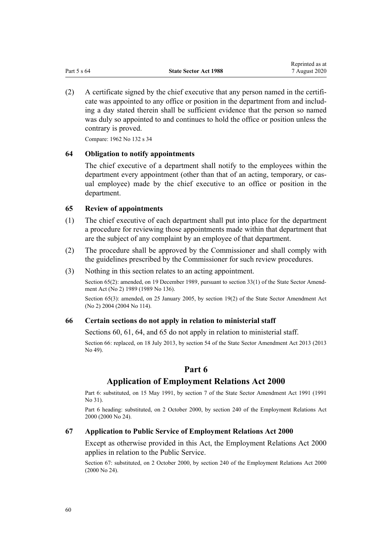<span id="page-59-0"></span>(2) A certificate signed by the chief executive that any person named in the certificate was appointed to any office or position in the department from and including a day stated therein shall be sufficient evidence that the person so named was duly so appointed to and continues to hold the office or position unless the contrary is proved.

Compare: 1962 No 132 s 34

# **64 Obligation to notify appointments**

The chief executive of a department shall notify to the employees within the department every appointment (other than that of an acting, temporary, or casual employee) made by the chief executive to an office or position in the department.

# **65 Review of appointments**

- (1) The chief executive of each department shall put into place for the department a procedure for reviewing those appointments made within that department that are the subject of any complaint by an employee of that department.
- (2) The procedure shall be approved by the Commissioner and shall comply with the guidelines prescribed by the Commissioner for such review procedures.
- (3) Nothing in this section relates to an acting appointment.

Section 65(2): amended, on 19 December 1989, pursuant to [section 33\(1\)](http://legislation.govt.nz/pdflink.aspx?id=DLM194742) of the State Sector Amendment Act (No 2) 1989 (1989 No 136).

Section 65(3): amended, on 25 January 2005, by [section 19\(2\)](http://legislation.govt.nz/pdflink.aspx?id=DLM329600) of the State Sector Amendment Act (No 2) 2004 (2004 No 114).

# **66 Certain sections do not apply in relation to ministerial staff**

[Sections 60, 61,](#page-55-0) 64, and 65 do not apply in relation to ministerial staff.

Section 66: replaced, on 18 July 2013, by [section 54](http://legislation.govt.nz/pdflink.aspx?id=DLM4598897) of the State Sector Amendment Act 2013 (2013 No 49).

# **Part 6**

# **Application of Employment Relations Act 2000**

Part 6: substituted, on 15 May 1991, by section 7 of the State Sector Amendment Act 1991 (1991 No 31).

Part 6 heading: substituted, on 2 October 2000, by [section 240](http://legislation.govt.nz/pdflink.aspx?id=DLM61487) of the Employment Relations Act 2000 (2000 No 24).

# **67 Application to Public Service of Employment Relations Act 2000**

Except as otherwise provided in this Act, the [Employment Relations Act 2000](http://legislation.govt.nz/pdflink.aspx?id=DLM58316) applies in relation to the Public Service.

Section 67: substituted, on 2 October 2000, by [section 240](http://legislation.govt.nz/pdflink.aspx?id=DLM61487) of the Employment Relations Act 2000 (2000 No 24).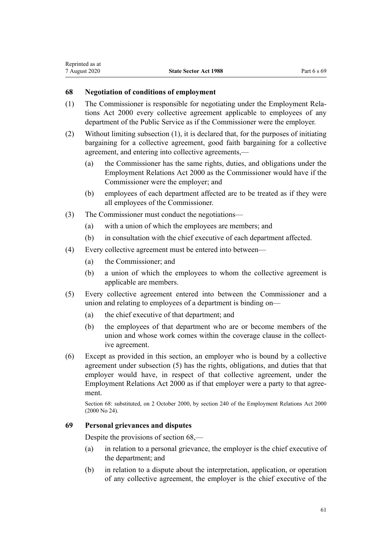- <span id="page-60-0"></span>(1) The Commissioner is responsible for negotiating under the [Employment Rela](http://legislation.govt.nz/pdflink.aspx?id=DLM58316)[tions Act 2000](http://legislation.govt.nz/pdflink.aspx?id=DLM58316) every collective agreement applicable to employees of any department of the Public Service as if the Commissioner were the employer.
- (2) Without limiting subsection (1), it is declared that, for the purposes of initiating bargaining for a collective agreement, good faith bargaining for a collective agreement, and entering into collective agreements,—
	- (a) the Commissioner has the same rights, duties, and obligations under the [Employment Relations Act 2000](http://legislation.govt.nz/pdflink.aspx?id=DLM58316) as the Commissioner would have if the Commissioner were the employer; and
	- (b) employees of each department affected are to be treated as if they were all employees of the Commissioner.
- (3) The Commissioner must conduct the negotiations—
	- (a) with a union of which the employees are members; and
	- (b) in consultation with the chief executive of each department affected.
- (4) Every collective agreement must be entered into between—
	- (a) the Commissioner; and
	- (b) a union of which the employees to whom the collective agreement is applicable are members.
- (5) Every collective agreement entered into between the Commissioner and a union and relating to employees of a department is binding on—
	- (a) the chief executive of that department; and
	- (b) the employees of that department who are or become members of the union and whose work comes within the coverage clause in the collective agreement.
- (6) Except as provided in this section, an employer who is bound by a collective agreement under subsection (5) has the rights, obligations, and duties that that employer would have, in respect of that collective agreement, under the [Employment Relations Act 2000](http://legislation.govt.nz/pdflink.aspx?id=DLM58316) as if that employer were a party to that agreement.

Section 68: substituted, on 2 October 2000, by [section 240](http://legislation.govt.nz/pdflink.aspx?id=DLM61487) of the Employment Relations Act 2000 (2000 No 24).

# **69 Personal grievances and disputes**

Despite the provisions of section 68,—

- (a) in relation to a personal grievance, the employer is the chief executive of the department; and
- (b) in relation to a dispute about the interpretation, application, or operation of any collective agreement, the employer is the chief executive of the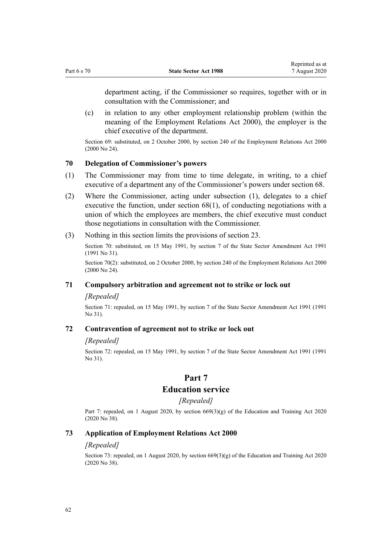department acting, if the Commissioner so requires, together with or in consultation with the Commissioner; and

(c) in relation to any other employment relationship problem (within the meaning of the [Employment Relations Act 2000](http://legislation.govt.nz/pdflink.aspx?id=DLM58316)), the employer is the chief executive of the department.

Section 69: substituted, on 2 October 2000, by [section 240](http://legislation.govt.nz/pdflink.aspx?id=DLM61487) of the Employment Relations Act 2000 (2000 No 24).

# **70 Delegation of Commissioner's powers**

- (1) The Commissioner may from time to time delegate, in writing, to a chief executive of a department any of the Commissioner's powers under [section 68](#page-60-0).
- (2) Where the Commissioner, acting under subsection (1), delegates to a chief executive the function, under [section 68\(1\)](#page-60-0), of conducting negotiations with a union of which the employees are members, the chief executive must conduct those negotiations in consultation with the Commissioner.
- (3) Nothing in this section limits the provisions of [section 23.](#page-25-0)

Section 70: substituted, on 15 May 1991, by section 7 of the State Sector Amendment Act 1991 (1991 No 31).

Section 70(2): substituted, on 2 October 2000, by [section 240](http://legislation.govt.nz/pdflink.aspx?id=DLM61487) of the Employment Relations Act 2000 (2000 No 24).

## **71 Compulsory arbitration and agreement not to strike or lock out**

#### *[Repealed]*

Section 71: repealed, on 15 May 1991, by section 7 of the State Sector Amendment Act 1991 (1991 No 31).

#### **72 Contravention of agreement not to strike or lock out**

#### *[Repealed]*

Section 72: repealed, on 15 May 1991, by section 7 of the State Sector Amendment Act 1991 (1991 No 31).

# **Part 7**

# **Education service**

# *[Repealed]*

Part 7: repealed, on 1 August 2020, by [section 669\(3\)\(g\)](http://legislation.govt.nz/pdflink.aspx?id=LMS172572) of the Education and Training Act 2020 (2020 No 38).

## **73 Application of Employment Relations Act 2000**

#### *[Repealed]*

Section 73: repealed, on 1 August 2020, by section  $669(3)(g)$  of the Education and Training Act 2020 (2020 No 38).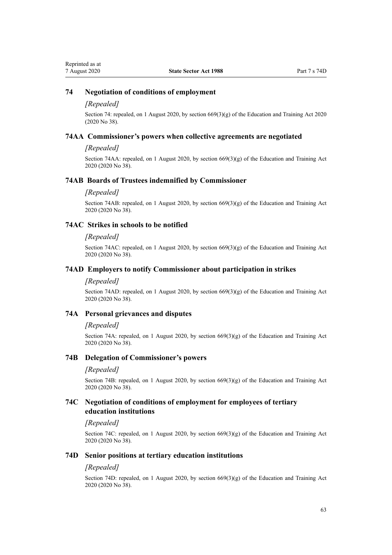# **74 Negotiation of conditions of employment**

#### *[Repealed]*

Section 74: repealed, on 1 August 2020, by section  $669(3)(g)$  of the Education and Training Act 2020 (2020 No 38).

#### **74AA Commissioner's powers when collective agreements are negotiated**

#### *[Repealed]*

Section 74AA: repealed, on 1 August 2020, by [section 669\(3\)\(g\)](http://legislation.govt.nz/pdflink.aspx?id=LMS172572) of the Education and Training Act 2020 (2020 No 38).

#### **74AB Boards of Trustees indemnified by Commissioner**

#### *[Repealed]*

Section 74AB: repealed, on 1 August 2020, by [section 669\(3\)\(g\)](http://legislation.govt.nz/pdflink.aspx?id=LMS172572) of the Education and Training Act 2020 (2020 No 38).

#### **74AC Strikes in schools to be notified**

## *[Repealed]*

Section 74AC: repealed, on 1 August 2020, by [section 669\(3\)\(g\)](http://legislation.govt.nz/pdflink.aspx?id=LMS172572) of the Education and Training Act 2020 (2020 No 38).

#### **74AD Employers to notify Commissioner about participation in strikes**

#### *[Repealed]*

Section 74AD: repealed, on 1 August 2020, by section  $669(3)(g)$  of the Education and Training Act 2020 (2020 No 38).

#### **74A Personal grievances and disputes**

#### *[Repealed]*

Section 74A: repealed, on 1 August 2020, by [section 669\(3\)\(g\)](http://legislation.govt.nz/pdflink.aspx?id=LMS172572) of the Education and Training Act 2020 (2020 No 38).

## **74B Delegation of Commissioner's powers**

#### *[Repealed]*

Section 74B: repealed, on 1 August 2020, by [section 669\(3\)\(g\)](http://legislation.govt.nz/pdflink.aspx?id=LMS172572) of the Education and Training Act 2020 (2020 No 38).

# **74C Negotiation of conditions of employment for employees of tertiary education institutions**

#### *[Repealed]*

Section 74C: repealed, on 1 August 2020, by [section 669\(3\)\(g\)](http://legislation.govt.nz/pdflink.aspx?id=LMS172572) of the Education and Training Act 2020 (2020 No 38).

#### **74D Senior positions at tertiary education institutions**

#### *[Repealed]*

Section 74D: repealed, on 1 August 2020, by section  $669(3)(g)$  of the Education and Training Act 2020 (2020 No 38).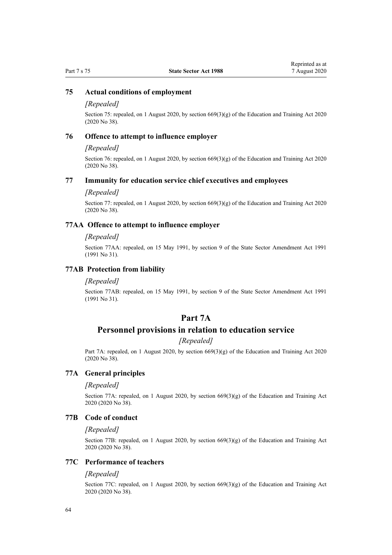# **75 Actual conditions of employment**

#### *[Repealed]*

Section 75: repealed, on 1 August 2020, by section  $669(3)(g)$  of the Education and Training Act 2020 (2020 No 38).

# **76 Offence to attempt to influence employer**

#### *[Repealed]*

Section 76: repealed, on 1 August 2020, by [section 669\(3\)\(g\)](http://legislation.govt.nz/pdflink.aspx?id=LMS172572) of the Education and Training Act 2020 (2020 No 38).

#### **77 Immunity for education service chief executives and employees**

#### *[Repealed]*

Section 77: repealed, on 1 August 2020, by [section 669\(3\)\(g\)](http://legislation.govt.nz/pdflink.aspx?id=LMS172572) of the Education and Training Act 2020 (2020 No 38).

### **77AA Offence to attempt to influence employer**

#### *[Repealed]*

Section 77AA: repealed, on 15 May 1991, by section 9 of the State Sector Amendment Act 1991 (1991 No 31).

#### **77AB Protection from liability**

## *[Repealed]*

Section 77AB: repealed, on 15 May 1991, by section 9 of the State Sector Amendment Act 1991 (1991 No 31).

# **Part 7A**

# **Personnel provisions in relation to education service**

#### *[Repealed]*

Part 7A: repealed, on 1 August 2020, by [section 669\(3\)\(g\)](http://legislation.govt.nz/pdflink.aspx?id=LMS172572) of the Education and Training Act 2020 (2020 No 38).

# **77A General principles**

## *[Repealed]*

Section 77A: repealed, on 1 August 2020, by section  $669(3)(g)$  of the Education and Training Act 2020 (2020 No 38).

# **77B Code of conduct**

#### *[Repealed]*

Section 77B: repealed, on 1 August 2020, by [section 669\(3\)\(g\)](http://legislation.govt.nz/pdflink.aspx?id=LMS172572) of the Education and Training Act 2020 (2020 No 38).

### **77C Performance of teachers**

#### *[Repealed]*

Section 77C: repealed, on 1 August 2020, by [section 669\(3\)\(g\)](http://legislation.govt.nz/pdflink.aspx?id=LMS172572) of the Education and Training Act 2020 (2020 No 38).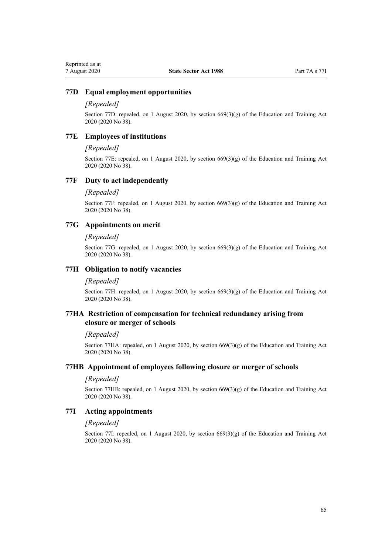#### **77D Equal employment opportunities**

#### *[Repealed]*

Section 77D: repealed, on 1 August 2020, by [section 669\(3\)\(g\)](http://legislation.govt.nz/pdflink.aspx?id=LMS172572) of the Education and Training Act 2020 (2020 No 38).

#### **77E Employees of institutions**

#### *[Repealed]*

Section 77E: repealed, on 1 August 2020, by section  $669(3)(g)$  of the Education and Training Act 2020 (2020 No 38).

#### **77F Duty to act independently**

#### *[Repealed]*

Section 77F: repealed, on 1 August 2020, by [section 669\(3\)\(g\)](http://legislation.govt.nz/pdflink.aspx?id=LMS172572) of the Education and Training Act 2020 (2020 No 38).

### **77G Appointments on merit**

#### *[Repealed]*

Section 77G: repealed, on 1 August 2020, by [section 669\(3\)\(g\)](http://legislation.govt.nz/pdflink.aspx?id=LMS172572) of the Education and Training Act 2020 (2020 No 38).

#### **77H Obligation to notify vacancies**

#### *[Repealed]*

Section 77H: repealed, on 1 August 2020, by [section 669\(3\)\(g\)](http://legislation.govt.nz/pdflink.aspx?id=LMS172572) of the Education and Training Act 2020 (2020 No 38).

# **77HA Restriction of compensation for technical redundancy arising from closure or merger of schools**

#### *[Repealed]*

Section 77HA: repealed, on 1 August 2020, by section  $669(3)(g)$  of the Education and Training Act 2020 (2020 No 38).

#### **77HB Appointment of employees following closure or merger of schools**

#### *[Repealed]*

Section 77HB: repealed, on 1 August 2020, by [section 669\(3\)\(g\)](http://legislation.govt.nz/pdflink.aspx?id=LMS172572) of the Education and Training Act 2020 (2020 No 38).

#### **77I Acting appointments**

#### *[Repealed]*

Section 77I: repealed, on 1 August 2020, by [section 669\(3\)\(g\)](http://legislation.govt.nz/pdflink.aspx?id=LMS172572) of the Education and Training Act 2020 (2020 No 38).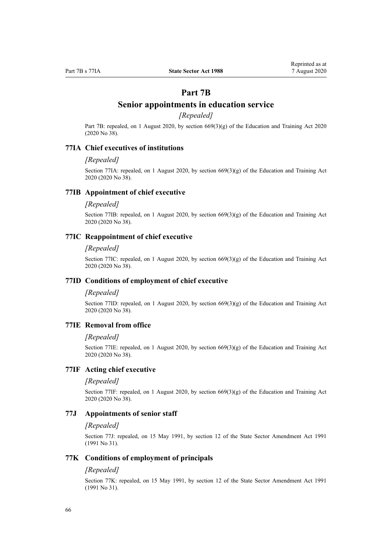# **Part 7B**

# **Senior appointments in education service**

# *[Repealed]*

Part 7B: repealed, on 1 August 2020, by [section 669\(3\)\(g\)](http://legislation.govt.nz/pdflink.aspx?id=LMS172572) of the Education and Training Act 2020 (2020 No 38).

#### **77IA Chief executives of institutions**

#### *[Repealed]*

Section 77IA: repealed, on 1 August 2020, by section  $669(3)(g)$  of the Education and Training Act 2020 (2020 No 38).

#### **77IB Appointment of chief executive**

#### *[Repealed]*

Section 77IB: repealed, on 1 August 2020, by [section 669\(3\)\(g\)](http://legislation.govt.nz/pdflink.aspx?id=LMS172572) of the Education and Training Act 2020 (2020 No 38).

#### **77IC Reappointment of chief executive**

#### *[Repealed]*

Section 77IC: repealed, on 1 August 2020, by section  $669(3)(g)$  of the Education and Training Act 2020 (2020 No 38).

#### **77ID Conditions of employment of chief executive**

#### *[Repealed]*

Section 77ID: repealed, on 1 August 2020, by [section 669\(3\)\(g\)](http://legislation.govt.nz/pdflink.aspx?id=LMS172572) of the Education and Training Act 2020 (2020 No 38).

# **77IE Removal from office**

## *[Repealed]*

Section 77IE: repealed, on 1 August 2020, by [section 669\(3\)\(g\)](http://legislation.govt.nz/pdflink.aspx?id=LMS172572) of the Education and Training Act 2020 (2020 No 38).

## **77IF Acting chief executive**

## *[Repealed]*

Section 77IF: repealed, on 1 August 2020, by [section 669\(3\)\(g\)](http://legislation.govt.nz/pdflink.aspx?id=LMS172572) of the Education and Training Act 2020 (2020 No 38).

## **77J Appointments of senior staff**

#### *[Repealed]*

Section 77J: repealed, on 15 May 1991, by section 12 of the State Sector Amendment Act 1991 (1991 No 31).

## **77K Conditions of employment of principals**

### *[Repealed]*

Section 77K: repealed, on 15 May 1991, by section 12 of the State Sector Amendment Act 1991 (1991 No 31).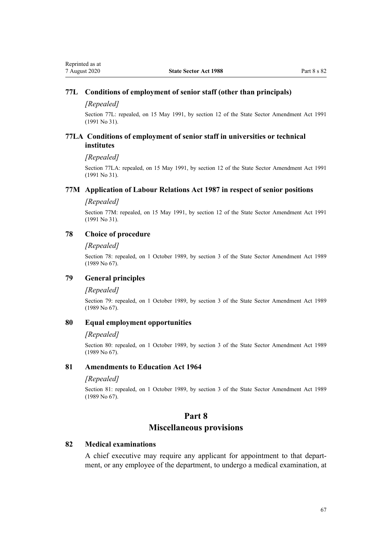# <span id="page-66-0"></span>**77L Conditions of employment of senior staff (other than principals)**

#### *[Repealed]*

Section 77L: repealed, on 15 May 1991, by section 12 of the State Sector Amendment Act 1991 (1991 No 31).

### **77LA Conditions of employment of senior staff in universities or technical institutes**

*[Repealed]*

Section 77LA: repealed, on 15 May 1991, by section 12 of the State Sector Amendment Act 1991 (1991 No 31).

#### **77M Application of Labour Relations Act 1987 in respect of senior positions**

#### *[Repealed]*

Section 77M: repealed, on 15 May 1991, by section 12 of the State Sector Amendment Act 1991 (1991 No 31).

# **78 Choice of procedure**

#### *[Repealed]*

Section 78: repealed, on 1 October 1989, by [section 3](http://legislation.govt.nz/pdflink.aspx?id=DLM169957) of the State Sector Amendment Act 1989 (1989 No 67).

# **79 General principles**

#### *[Repealed]*

Section 79: repealed, on 1 October 1989, by [section 3](http://legislation.govt.nz/pdflink.aspx?id=DLM169957) of the State Sector Amendment Act 1989 (1989 No 67).

# **80 Equal employment opportunities**

#### *[Repealed]*

Section 80: repealed, on 1 October 1989, by [section 3](http://legislation.govt.nz/pdflink.aspx?id=DLM169957) of the State Sector Amendment Act 1989 (1989 No 67).

# **81 Amendments to Education Act 1964**

## *[Repealed]*

Section 81: repealed, on 1 October 1989, by [section 3](http://legislation.govt.nz/pdflink.aspx?id=DLM169957) of the State Sector Amendment Act 1989 (1989 No 67).

#### **Part 8**

#### **Miscellaneous provisions**

# **82 Medical examinations**

A chief executive may require any applicant for appointment to that department, or any employee of the department, to undergo a medical examination, at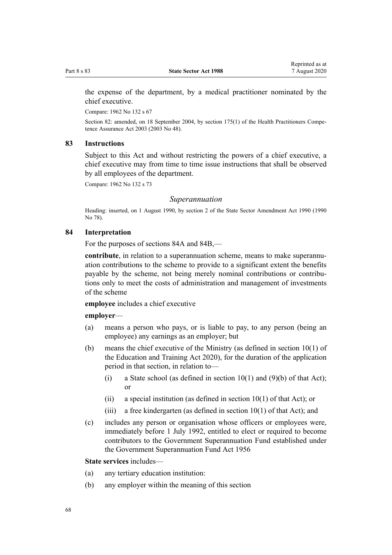<span id="page-67-0"></span>the expense of the department, by a medical practitioner nominated by the chief executive.

Compare: 1962 No 132 s 67

Section 82: amended, on 18 September 2004, by [section 175\(1\)](http://legislation.govt.nz/pdflink.aspx?id=DLM205009) of the Health Practitioners Competence Assurance Act 2003 (2003 No 48).

# **83 Instructions**

Subject to this Act and without restricting the powers of a chief executive, a chief executive may from time to time issue instructions that shall be observed by all employees of the department.

Compare: 1962 No 132 s 73

#### *Superannuation*

Heading: inserted, on 1 August 1990, by [section 2](http://legislation.govt.nz/pdflink.aspx?id=DLM214634) of the State Sector Amendment Act 1990 (1990 No 78).

# **84 Interpretation**

For the purposes of [sections 84A](#page-68-0) and [84B](#page-68-0),—

**contribute**, in relation to a superannuation scheme, means to make superannuation contributions to the scheme to provide to a significant extent the benefits payable by the scheme, not being merely nominal contributions or contributions only to meet the costs of administration and management of investments of the scheme

**employee** includes a chief executive

#### **employer**—

- (a) means a person who pays, or is liable to pay, to any person (being an employee) any earnings as an employer; but
- (b) means the chief executive of the Ministry (as defined in [section 10\(1\)](http://legislation.govt.nz/pdflink.aspx?id=LMS171311) of the Education and Training Act 2020), for the duration of the application period in that section, in relation to—
	- (i) a State school (as defined in section  $10(1)$  and  $(9)(b)$  of that Act); or
	- (ii) a special institution (as defined in section  $10(1)$  of that Act); or
	- (iii) a free kindergarten (as defined in section  $10(1)$  of that Act); and
- (c) includes any person or organisation whose officers or employees were, immediately before 1 July 1992, entitled to elect or required to become contributors to the Government Superannuation Fund established under the [Government Superannuation Fund Act 1956](http://legislation.govt.nz/pdflink.aspx?id=DLM446000)

**State services** includes—

- (a) any tertiary education institution:
- (b) any employer within the meaning of this section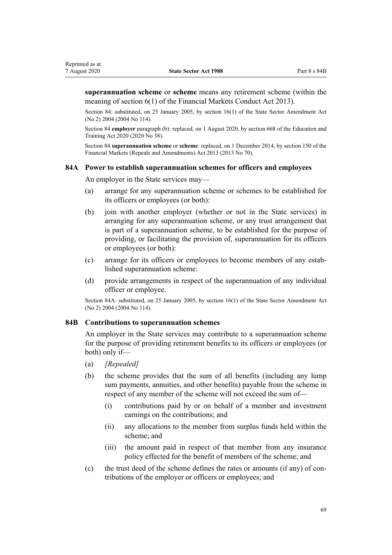<span id="page-68-0"></span>**superannuation scheme** or **scheme** means any retirement scheme (within the meaning of [section 6\(1\)](http://legislation.govt.nz/pdflink.aspx?id=DLM4090590) of the Financial Markets Conduct Act 2013).

Section 84: substituted, on 25 January 2005, by [section 16\(1\)](http://legislation.govt.nz/pdflink.aspx?id=DLM329183) of the State Sector Amendment Act (No 2) 2004 (2004 No 114).

Section 84 **employer** paragraph (b): replaced, on 1 August 2020, by [section 668](http://legislation.govt.nz/pdflink.aspx?id=LMS367713) of the Education and Training Act 2020 (2020 No 38).

Section 84 **superannuation scheme** or **scheme**: replaced, on 1 December 2014, by [section 150](http://legislation.govt.nz/pdflink.aspx?id=DLM5561603) of the Financial Markets (Repeals and Amendments) Act 2013 (2013 No 70).

#### **84A Power to establish superannuation schemes for officers and employees**

An employer in the State services may—

- (a) arrange for any superannuation scheme or schemes to be established for its officers or employees (or both):
- (b) join with another employer (whether or not in the State services) in arranging for any superannuation scheme, or any trust arrangement that is part of a superannuation scheme, to be established for the purpose of providing, or facilitating the provision of, superannuation for its officers or employees (or both):
- (c) arrange for its officers or employees to become members of any established superannuation scheme:
- (d) provide arrangements in respect of the superannuation of any individual officer or employee.

Section 84A: substituted, on 25 January 2005, by [section 16\(1\)](http://legislation.govt.nz/pdflink.aspx?id=DLM329183) of the State Sector Amendment Act (No 2) 2004 (2004 No 114).

# **84B Contributions to superannuation schemes**

An employer in the State services may contribute to a superannuation scheme for the purpose of providing retirement benefits to its officers or employees (or both) only if—

- (a) *[Repealed]*
- (b) the scheme provides that the sum of all benefits (including any lump sum payments, annuities, and other benefits) payable from the scheme in respect of any member of the scheme will not exceed the sum of—
	- (i) contributions paid by or on behalf of a member and investment earnings on the contributions; and
	- (ii) any allocations to the member from surplus funds held within the scheme; and
	- (iii) the amount paid in respect of that member from any insurance policy effected for the benefit of members of the scheme; and
- (c) the trust deed of the scheme defines the rates or amounts (if any) of contributions of the employer or officers or employees; and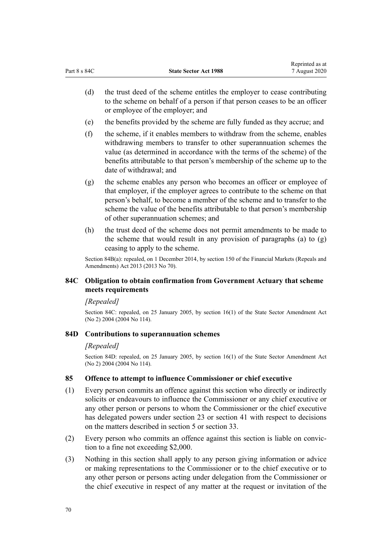- (d) the trust deed of the scheme entitles the employer to cease contributing to the scheme on behalf of a person if that person ceases to be an officer or employee of the employer; and
- (e) the benefits provided by the scheme are fully funded as they accrue; and
- (f) the scheme, if it enables members to withdraw from the scheme, enables withdrawing members to transfer to other superannuation schemes the value (as determined in accordance with the terms of the scheme) of the benefits attributable to that person's membership of the scheme up to the date of withdrawal; and
- (g) the scheme enables any person who becomes an officer or employee of that employer, if the employer agrees to contribute to the scheme on that person's behalf, to become a member of the scheme and to transfer to the scheme the value of the benefits attributable to that person's membership of other superannuation schemes; and
- (h) the trust deed of the scheme does not permit amendments to be made to the scheme that would result in any provision of paragraphs (a) to (g) ceasing to apply to the scheme.

Section 84B(a): repealed, on 1 December 2014, by [section 150](http://legislation.govt.nz/pdflink.aspx?id=DLM5561603) of the Financial Markets (Repeals and Amendments) Act 2013 (2013 No 70).

# **84C Obligation to obtain confirmation from Government Actuary that scheme meets requirements**

#### *[Repealed]*

Section 84C: repealed, on 25 January 2005, by [section 16\(1\)](http://legislation.govt.nz/pdflink.aspx?id=DLM329183) of the State Sector Amendment Act (No 2) 2004 (2004 No 114).

#### **84D Contributions to superannuation schemes**

## *[Repealed]*

Section 84D: repealed, on 25 January 2005, by [section 16\(1\)](http://legislation.govt.nz/pdflink.aspx?id=DLM329183) of the State Sector Amendment Act (No 2) 2004 (2004 No 114).

# **85 Offence to attempt to influence Commissioner or chief executive**

- (1) Every person commits an offence against this section who directly or indirectly solicits or endeavours to influence the Commissioner or any chief executive or any other person or persons to whom the Commissioner or the chief executive has delegated powers under [section 23](#page-25-0) or [section 41](#page-43-0) with respect to decisions on the matters described in [section 5](#page-13-0) or [section 33](#page-35-0).
- (2) Every person who commits an offence against this section is liable on conviction to a fine not exceeding \$2,000.
- (3) Nothing in this section shall apply to any person giving information or advice or making representations to the Commissioner or to the chief executive or to any other person or persons acting under delegation from the Commissioner or the chief executive in respect of any matter at the request or invitation of the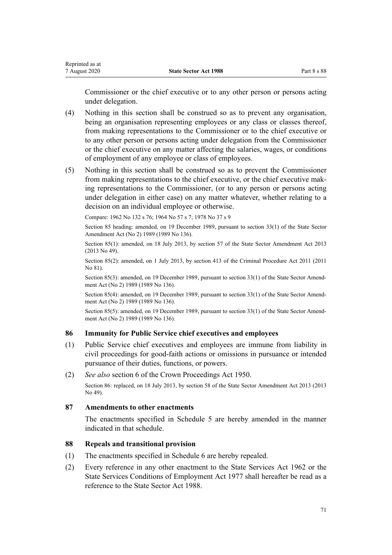Commissioner or the chief executive or to any other person or persons acting under delegation.

- (4) Nothing in this section shall be construed so as to prevent any organisation, being an organisation representing employees or any class or classes thereof, from making representations to the Commissioner or to the chief executive or to any other person or persons acting under delegation from the Commissioner or the chief executive on any matter affecting the salaries, wages, or conditions of employment of any employee or class of employees.
- (5) Nothing in this section shall be construed so as to prevent the Commissioner from making representations to the chief executive, or the chief executive making representations to the Commissioner, (or to any person or persons acting under delegation in either case) on any matter whatever, whether relating to a decision on an individual employee or otherwise.

Compare: 1962 No 132 s 76; 1964 No 57 s 7; 1978 No 37 s 9

Section 85 heading: amended, on 19 December 1989, pursuant to [section 33\(1\)](http://legislation.govt.nz/pdflink.aspx?id=DLM194742) of the State Sector Amendment Act (No 2) 1989 (1989 No 136).

Section 85(1): amended, on 18 July 2013, by [section 57](http://legislation.govt.nz/pdflink.aspx?id=DLM4598902) of the State Sector Amendment Act 2013 (2013 No 49).

Section 85(2): amended, on 1 July 2013, by [section 413](http://legislation.govt.nz/pdflink.aspx?id=DLM3360714) of the Criminal Procedure Act 2011 (2011 No 81).

Section 85(3): amended, on 19 December 1989, pursuant to [section 33\(1\)](http://legislation.govt.nz/pdflink.aspx?id=DLM194742) of the State Sector Amendment Act (No 2) 1989 (1989 No 136).

Section 85(4): amended, on 19 December 1989, pursuant to [section 33\(1\)](http://legislation.govt.nz/pdflink.aspx?id=DLM194742) of the State Sector Amendment Act (No 2) 1989 (1989 No 136).

Section 85(5): amended, on 19 December 1989, pursuant to [section 33\(1\)](http://legislation.govt.nz/pdflink.aspx?id=DLM194742) of the State Sector Amendment Act (No 2) 1989 (1989 No 136).

# **86 Immunity for Public Service chief executives and employees**

- (1) Public Service chief executives and employees are immune from liability in civil proceedings for good-faith actions or omissions in pursuance or intended pursuance of their duties, functions, or powers.
- (2) *See also* [section 6](http://legislation.govt.nz/pdflink.aspx?id=DLM261924) of the Crown Proceedings Act 1950. Section 86: replaced, on 18 July 2013, by [section 58](http://legislation.govt.nz/pdflink.aspx?id=DLM4598903) of the State Sector Amendment Act 2013 (2013 No 49).

# **87 Amendments to other enactments**

The enactments specified in [Schedule 5](#page-82-0) are hereby amended in the manner indicated in that schedule.

# **88 Repeals and transitional provision**

- (1) The enactments specified in [Schedule 6](#page-85-0) are hereby repealed.
- (2) Every reference in any other enactment to the State Services Act 1962 or the State Services Conditions of Employment Act 1977 shall hereafter be read as a reference to the State Sector Act 1988.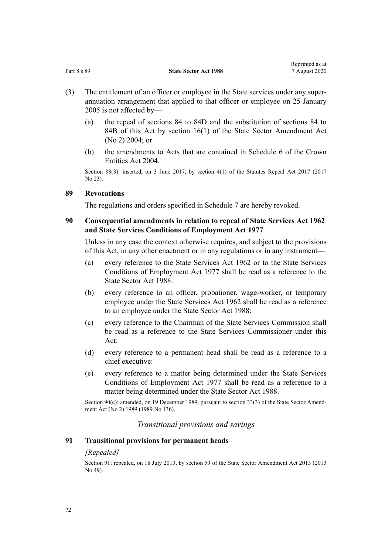| Part 8 s 89 | <b>State Sector Act 1988</b> | <i>iveprinted as at</i><br>7 August 2020 |
|-------------|------------------------------|------------------------------------------|
|             |                              |                                          |

Reprinted as at

- (3) The entitlement of an officer or employee in the State services under any superannuation arrangement that applied to that officer or employee on 25 January 2005 is not affected by—
	- (a) the repeal of sections 84 to 84D and the substitution of [sections 84 to](#page-67-0) [84B](#page-67-0) of this Act by [section 16\(1\)](http://legislation.govt.nz/pdflink.aspx?id=DLM329183) of the State Sector Amendment Act (No 2) 2004; or
	- (b) the amendments to Acts that are contained in [Schedule 6](http://legislation.govt.nz/pdflink.aspx?id=DLM1928304) of the Crown Entities Act 2004.

Section 88(3): inserted, on 3 June 2017, by [section 4\(1\)](http://legislation.govt.nz/pdflink.aspx?id=DLM6807613) of the Statutes Repeal Act 2017 (2017) No 23).

# **89 Revocations**

The regulations and orders specified in [Schedule 7](#page-87-0) are hereby revoked.

# **90 Consequential amendments in relation to repeal of State Services Act 1962 and State Services Conditions of Employment Act 1977**

Unless in any case the context otherwise requires, and subject to the provisions of this Act, in any other enactment or in any regulations or in any instrument—

- (a) every reference to the State Services Act 1962 or to the State Services Conditions of Employment Act 1977 shall be read as a reference to the State Sector Act 1988:
- (b) every reference to an officer, probationer, wage-worker, or temporary employee under the State Services Act 1962 shall be read as a reference to an employee under the State Sector Act 1988:
- (c) every reference to the Chairman of the State Services Commission shall be read as a reference to the State Services Commissioner under this Act:
- (d) every reference to a permanent head shall be read as a reference to a chief executive:
- (e) every reference to a matter being determined under the State Services Conditions of Employment Act 1977 shall be read as a reference to a matter being determined under the State Sector Act 1988.

Section 90(c): amended, on 19 December 1989, pursuant to [section 33\(3\)](http://legislation.govt.nz/pdflink.aspx?id=DLM194742) of the State Sector Amendment Act (No 2) 1989 (1989 No 136).

# *Transitional provisions and savings*

# **91 Transitional provisions for permanent heads**

#### *[Repealed]*

Section 91: repealed, on 18 July 2013, by [section 59](http://legislation.govt.nz/pdflink.aspx?id=DLM4598906) of the State Sector Amendment Act 2013 (2013 No 49).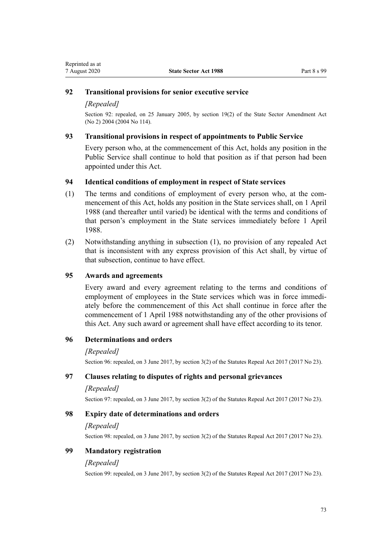### **92 Transitional provisions for senior executive service**

#### *[Repealed]*

Section 92: repealed, on 25 January 2005, by [section 19\(2\)](http://legislation.govt.nz/pdflink.aspx?id=DLM329600) of the State Sector Amendment Act (No 2) 2004 (2004 No 114).

#### **93 Transitional provisions in respect of appointments to Public Service**

Every person who, at the commencement of this Act, holds any position in the Public Service shall continue to hold that position as if that person had been appointed under this Act.

### **94 Identical conditions of employment in respect of State services**

- (1) The terms and conditions of employment of every person who, at the commencement of this Act, holds any position in the State services shall, on 1 April 1988 (and thereafter until varied) be identical with the terms and conditions of that person's employment in the State services immediately before 1 April 1988.
- (2) Notwithstanding anything in subsection (1), no provision of any repealed Act that is inconsistent with any express provision of this Act shall, by virtue of that subsection, continue to have effect.

#### **95 Awards and agreements**

Every award and every agreement relating to the terms and conditions of employment of employees in the State services which was in force immediately before the commencement of this Act shall continue in force after the commencement of 1 April 1988 notwithstanding any of the other provisions of this Act. Any such award or agreement shall have effect according to its tenor.

#### **96 Determinations and orders**

#### *[Repealed]*

Section 96: repealed, on 3 June 2017, by [section 3\(2\)](http://legislation.govt.nz/pdflink.aspx?id=DLM6807612) of the Statutes Repeal Act 2017 (2017 No 23).

### **97 Clauses relating to disputes of rights and personal grievances**

#### *[Repealed]*

Section 97: repealed, on 3 June 2017, by [section 3\(2\)](http://legislation.govt.nz/pdflink.aspx?id=DLM6807612) of the Statutes Repeal Act 2017 (2017 No 23).

### **98 Expiry date of determinations and orders**

#### *[Repealed]*

Section 98: repealed, on 3 June 2017, by [section 3\(2\)](http://legislation.govt.nz/pdflink.aspx?id=DLM6807612) of the Statutes Repeal Act 2017 (2017 No 23).

### **99 Mandatory registration**

#### *[Repealed]*

Section 99: repealed, on 3 June 2017, by [section 3\(2\)](http://legislation.govt.nz/pdflink.aspx?id=DLM6807612) of the Statutes Repeal Act 2017 (2017 No 23).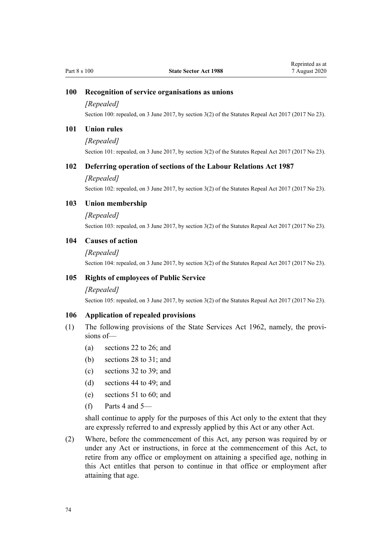#### **100 Recognition of service organisations as unions**

*[Repealed]*

Section 100: repealed, on 3 June 2017, by [section 3\(2\)](http://legislation.govt.nz/pdflink.aspx?id=DLM6807612) of the Statutes Repeal Act 2017 (2017 No 23).

#### **101 Union rules**

*[Repealed]*

Section 101: repealed, on 3 June 2017, by [section 3\(2\)](http://legislation.govt.nz/pdflink.aspx?id=DLM6807612) of the Statutes Repeal Act 2017 (2017 No 23).

#### **102 Deferring operation of sections of the Labour Relations Act 1987**

*[Repealed]*

Section 102: repealed, on 3 June 2017, by [section 3\(2\)](http://legislation.govt.nz/pdflink.aspx?id=DLM6807612) of the Statutes Repeal Act 2017 (2017 No 23).

#### **103 Union membership**

*[Repealed]*

Section 103: repealed, on 3 June 2017, by [section 3\(2\)](http://legislation.govt.nz/pdflink.aspx?id=DLM6807612) of the Statutes Repeal Act 2017 (2017 No 23).

#### **104 Causes of action**

*[Repealed]*

Section 104: repealed, on 3 June 2017, by [section 3\(2\)](http://legislation.govt.nz/pdflink.aspx?id=DLM6807612) of the Statutes Repeal Act 2017 (2017 No 23).

### **105 Rights of employees of Public Service**

*[Repealed]* Section 105: repealed, on 3 June 2017, by [section 3\(2\)](http://legislation.govt.nz/pdflink.aspx?id=DLM6807612) of the Statutes Repeal Act 2017 (2017 No 23).

#### **106 Application of repealed provisions**

- (1) The following provisions of the State Services Act 1962, namely, the provisions of—
	- (a) sections 22 to 26; and
	- (b) sections 28 to 31; and
	- (c) sections 32 to 39; and
	- (d) sections 44 to 49; and
	- (e) sections 51 to 60; and
	- $(f)$  Parts 4 and 5—

shall continue to apply for the purposes of this Act only to the extent that they are expressly referred to and expressly applied by this Act or any other Act.

(2) Where, before the commencement of this Act, any person was required by or under any Act or instructions, in force at the commencement of this Act, to retire from any office or employment on attaining a specified age, nothing in this Act entitles that person to continue in that office or employment after attaining that age.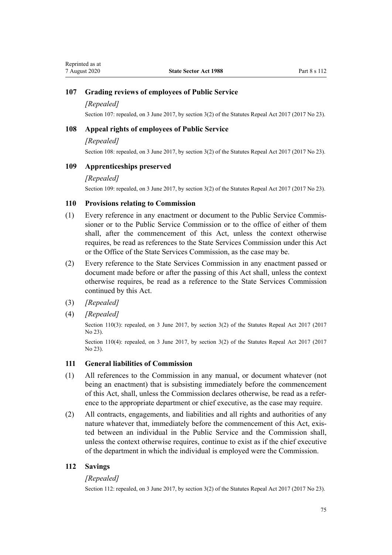### **107 Grading reviews of employees of Public Service**

#### *[Repealed]*

Section 107: repealed, on 3 June 2017, by [section 3\(2\)](http://legislation.govt.nz/pdflink.aspx?id=DLM6807612) of the Statutes Repeal Act 2017 (2017 No 23).

#### **108 Appeal rights of employees of Public Service**

### *[Repealed]*

Section 108: repealed, on 3 June 2017, by [section 3\(2\)](http://legislation.govt.nz/pdflink.aspx?id=DLM6807612) of the Statutes Repeal Act 2017 (2017 No 23).

#### **109 Apprenticeships preserved**

#### *[Repealed]*

Section 109: repealed, on 3 June 2017, by [section 3\(2\)](http://legislation.govt.nz/pdflink.aspx?id=DLM6807612) of the Statutes Repeal Act 2017 (2017 No 23).

### **110 Provisions relating to Commission**

- (1) Every reference in any enactment or document to the Public Service Commissioner or to the Public Service Commission or to the office of either of them shall, after the commencement of this Act, unless the context otherwise requires, be read as references to the State Services Commission under this Act or the Office of the State Services Commission, as the case may be.
- (2) Every reference to the State Services Commission in any enactment passed or document made before or after the passing of this Act shall, unless the context otherwise requires, be read as a reference to the State Services Commission continued by this Act.
- (3) *[Repealed]*
- (4) *[Repealed]*

Section 110(3): repealed, on 3 June 2017, by [section 3\(2\)](http://legislation.govt.nz/pdflink.aspx?id=DLM6807612) of the Statutes Repeal Act 2017 (2017) No 23).

Section 110(4): repealed, on 3 June 2017, by [section 3\(2\)](http://legislation.govt.nz/pdflink.aspx?id=DLM6807612) of the Statutes Repeal Act 2017 (2017) No 23).

### **111 General liabilities of Commission**

- (1) All references to the Commission in any manual, or document whatever (not being an enactment) that is subsisting immediately before the commencement of this Act, shall, unless the Commission declares otherwise, be read as a reference to the appropriate department or chief executive, as the case may require.
- (2) All contracts, engagements, and liabilities and all rights and authorities of any nature whatever that, immediately before the commencement of this Act, existed between an individual in the Public Service and the Commission shall, unless the context otherwise requires, continue to exist as if the chief executive of the department in which the individual is employed were the Commission.

#### **112 Savings**

### *[Repealed]*

Section 112: repealed, on 3 June 2017, by [section 3\(2\)](http://legislation.govt.nz/pdflink.aspx?id=DLM6807612) of the Statutes Repeal Act 2017 (2017 No 23).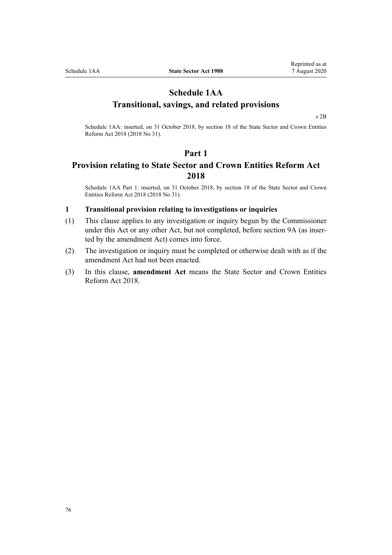## **Schedule 1AA Transitional, savings, and related provisions**

[s 2B](#page-12-0)

Schedule 1AA: inserted, on 31 October 2018, by [section 18](http://legislation.govt.nz/pdflink.aspx?id=LMS11222) of the State Sector and Crown Entities Reform Act 2018 (2018 No 31).

### **Part 1**

## **Provision relating to State Sector and Crown Entities Reform Act 2018**

Schedule 1AA Part 1: inserted, on 31 October 2018, by [section 18](http://legislation.govt.nz/pdflink.aspx?id=LMS11222) of the State Sector and Crown Entities Reform Act 2018 (2018 No 31).

### **1 Transitional provision relating to investigations or inquiries**

- (1) This clause applies to any investigation or inquiry begun by the Commissioner under this Act or any other Act, but not completed, before [section 9A](#page-15-0) (as inserted by the amendment Act) comes into force.
- (2) The investigation or inquiry must be completed or otherwise dealt with as if the amendment Act had not been enacted.
- (3) In this clause, **amendment Act** means the [State Sector and Crown Entities](http://legislation.govt.nz/pdflink.aspx?id=LMS11196) [Reform Act 2018.](http://legislation.govt.nz/pdflink.aspx?id=LMS11196)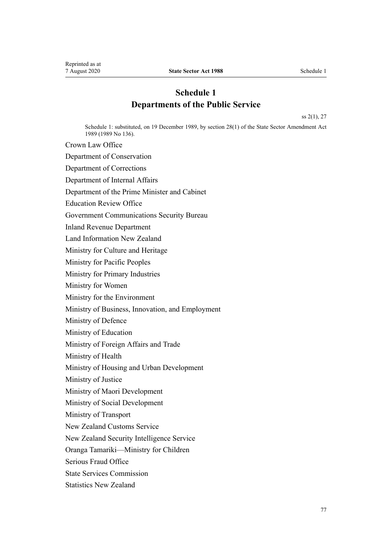# **Schedule 1 Departments of the Public Service**

[ss 2\(1\),](#page-7-0) [27](#page-27-0)

Schedule 1: substituted, on 19 December 1989, by [section 28\(1\)](http://legislation.govt.nz/pdflink.aspx?id=DLM194735) of the State Sector Amendment Act 1989 (1989 No 136).

Crown Law Office

Department of Conservation

Department of Corrections

Department of Internal Affairs

Department of the Prime Minister and Cabinet

Education Review Office

Government Communications Security Bureau

Inland Revenue Department

Land Information New Zealand

Ministry for Culture and Heritage

Ministry for Pacific Peoples

Ministry for Primary Industries

Ministry for Women

Ministry for the Environment

Ministry of Business, Innovation, and Employment

Ministry of Defence

Ministry of Education

Ministry of Foreign Affairs and Trade

Ministry of Health

Ministry of Housing and Urban Development

Ministry of Justice

Ministry of Maori Development

Ministry of Social Development

Ministry of Transport

New Zealand Customs Service

New Zealand Security Intelligence Service

Oranga Tamariki—Ministry for Children

Serious Fraud Office

State Services Commission

Statistics New Zealand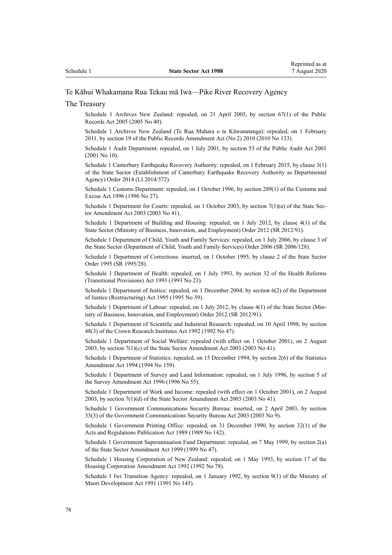#### Te Kāhui Whakamana Rua Tekau mā Iwa—Pike River Recovery Agency

#### The Treasury

Schedule 1 Archives New Zealand: repealed, on 21 April 2005, by [section 67\(1\)](http://legislation.govt.nz/pdflink.aspx?id=DLM346105) of the Public Records Act 2005 (2005 No 40).

Schedule 1 Archives New Zealand (Te Rua Mahara o te Kāwanatanga): repealed, on 1 February 2011, by [section 19](http://legislation.govt.nz/pdflink.aspx?id=DLM3431136) of the Public Records Amendment Act (No 2) 2010 (2010 No 133).

Schedule 1 Audit Department: repealed, on 1 July 2001, by [section 53](http://legislation.govt.nz/pdflink.aspx?id=DLM88957) of the Public Audit Act 2001 (2001 No 10).

Schedule 1 Canterbury Earthquake Recovery Authority: repealed, on 1 February 2015, by [clause 3\(1\)](http://legislation.govt.nz/pdflink.aspx?id=DLM6326545) of the State Sector (Establishment of Canterbury Earthquake Recovery Authority as Departmental Agency) Order 2014 (LI 2014/372).

Schedule 1 Customs Department: repealed, on 1 October 1996, by [section 289\(1\)](http://legislation.govt.nz/pdflink.aspx?id=DLM380185) of the Customs and Excise Act 1996 (1996 No 27).

Schedule 1 Department for Courts: repealed, on 1 October 2003, by [section 7\(1\)\(a\)](http://legislation.govt.nz/pdflink.aspx?id=DLM201368) of the State Sector Amendment Act 2003 (2003 No 41).

Schedule 1 Department of Building and Housing: repealed, on 1 July 2012, by [clause 4\(1\)](http://legislation.govt.nz/pdflink.aspx?id=DLM4442808) of the State Sector (Ministry of Business, Innovation, and Employment) Order 2012 (SR 2012/91).

Schedule 1 Department of Child, Youth and Family Services: repealed, on 1 July 2006, by [clause 3](http://legislation.govt.nz/pdflink.aspx?id=DLM382460) of the State Sector (Department of Child, Youth and Family Services) Order 2006 (SR 2006/128).

Schedule 1 Department of Corrections: inserted, on 1 October 1995, by [clause 2](http://legislation.govt.nz/pdflink.aspx?id=DLM198869) of the State Sector Order 1995 (SR 1995/28).

Schedule 1 Department of Health: repealed, on 1 July 1993, by [section 32](http://legislation.govt.nz/pdflink.aspx?id=DLM295182) of the Health Reforms (Transitional Provisions) Act 1993 (1993 No 23).

Schedule 1 Department of Justice: repealed, on 1 December 2004, by [section 6\(2\)](http://legislation.govt.nz/pdflink.aspx?id=DLM367231) of the Department of Justice (Restructuring) Act 1995 (1995 No 39).

Schedule 1 Department of Labour: repealed, on 1 July 2012, by [clause 4\(1\)](http://legislation.govt.nz/pdflink.aspx?id=DLM4442808) of the State Sector (Ministry of Business, Innovation, and Employment) Order 2012 (SR 2012/91).

Schedule 1 Department of Scientific and Industrial Research: repealed, on 10 April 1998, by [section](http://legislation.govt.nz/pdflink.aspx?id=DLM265669) [48\(3\)](http://legislation.govt.nz/pdflink.aspx?id=DLM265669) of the Crown Research Institutes Act 1992 (1992 No 47).

Schedule 1 Department of Social Welfare: repealed (with effect on 1 October 2001), on 2 August 2003, by [section 7\(1\)\(c\)](http://legislation.govt.nz/pdflink.aspx?id=DLM201368) of the State Sector Amendment Act 2003 (2003 No 41).

Schedule 1 Department of Statistics: repealed, on 15 December 1994, by [section 2\(6\)](http://legislation.govt.nz/pdflink.aspx?id=DLM347442) of the Statistics Amendment Act 1994 (1994 No 159).

Schedule 1 Department of Survey and Land Information: repealed, on 1 July 1996, by section 5 of the Survey Amendment Act 1996 (1996 No 55).

Schedule 1 Department of Work and Income: repealed (with effect on 1 October 2001), on 2 August 2003, by [section 7\(1\)\(d\)](http://legislation.govt.nz/pdflink.aspx?id=DLM201368) of the State Sector Amendment Act 2003 (2003 No 41).

Schedule 1 Government Communications Security Bureau: inserted, on 2 April 2003, by [section](http://legislation.govt.nz/pdflink.aspx?id=DLM187866) [33\(3\)](http://legislation.govt.nz/pdflink.aspx?id=DLM187866) of the Government Communications Security Bureau Act 2003 (2003 No 9).

Schedule 1 Government Printing Office: repealed, on 31 December 1990, by [section 32\(1\)](http://legislation.govt.nz/pdflink.aspx?id=DLM195524) of the Acts and Regulations Publication Act 1989 (1989 No 142).

Schedule 1 Government Superannuation Fund Department: repealed, on 7 May 1999, by [section 2\(a\)](http://legislation.govt.nz/pdflink.aspx?id=DLM24785) of the State Sector Amendment Act 1999 (1999 No 47).

Schedule 1 Housing Corporation of New Zealand: repealed, on 1 May 1993, by section 17 of the Housing Corporation Amendment Act 1992 (1992 No 78).

Schedule 1 Iwi Transition Agency: repealed, on 1 January 1992, by [section 9\(1\)](http://legislation.govt.nz/pdflink.aspx?id=DLM257786) of the Ministry of Maori Development Act 1991 (1991 No 145).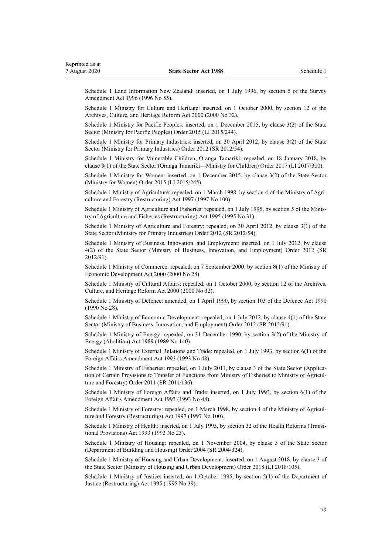Schedule 1 Land Information New Zealand: inserted, on 1 July 1996, by section 5 of the Survey Amendment Act 1996 (1996 No 55).

Schedule 1 Ministry for Culture and Heritage: inserted, on 1 October 2000, by [section 12](http://legislation.govt.nz/pdflink.aspx?id=DLM67196) of the Archives, Culture, and Heritage Reform Act 2000 (2000 No 32).

Schedule 1 Ministry for Pacific Peoples: inserted, on 1 December 2015, by [clause 3\(2\)](http://legislation.govt.nz/pdflink.aspx?id=DLM6627145) of the State Sector (Ministry for Pacific Peoples) Order 2015 (LI 2015/244).

Schedule 1 Ministry for Primary Industries: inserted, on 30 April 2012, by [clause 3\(2\)](http://legislation.govt.nz/pdflink.aspx?id=DLM4362115) of the State Sector (Ministry for Primary Industries) Order 2012 (SR 2012/54).

Schedule 1 Ministry for Vulnerable Children, Oranga Tamariki: repealed, on 18 January 2018, by [clause 3\(1\)](http://legislation.govt.nz/pdflink.aspx?id=DLM7518119) of the State Sector (Oranga Tamariki—Ministry for Children) Order 2017 (LI 2017/300).

Schedule 1 Ministry for Women: inserted, on 1 December 2015, by [clause 3\(2\)](http://legislation.govt.nz/pdflink.aspx?id=DLM6627167) of the State Sector (Ministry for Women) Order 2015 (LI 2015/245).

Schedule 1 Ministry of Agriculture: repealed, on 1 March 1998, by [section 4](http://legislation.govt.nz/pdflink.aspx?id=DLM418617) of the Ministry of Agriculture and Forestry (Restructuring) Act 1997 (1997 No 100).

Schedule 1 Ministry of Agriculture and Fisheries: repealed, on 1 July 1995, by [section 5](http://legislation.govt.nz/pdflink.aspx?id=DLM366836) of the Ministry of Agriculture and Fisheries (Restructuring) Act 1995 (1995 No 31).

Schedule 1 Ministry of Agriculture and Forestry: repealed, on 30 April 2012, by [clause 3\(1\)](http://legislation.govt.nz/pdflink.aspx?id=DLM4362115) of the State Sector (Ministry for Primary Industries) Order 2012 (SR 2012/54).

Schedule 1 Ministry of Business, Innovation, and Employment: inserted, on 1 July 2012, by [clause](http://legislation.govt.nz/pdflink.aspx?id=DLM4442808) [4\(2\)](http://legislation.govt.nz/pdflink.aspx?id=DLM4442808) of the State Sector (Ministry of Business, Innovation, and Employment) Order 2012 (SR 2012/91).

Schedule 1 Ministry of Commerce: repealed, on 7 September 2000, by [section 8\(1\)](http://legislation.govt.nz/pdflink.aspx?id=DLM67109) of the Ministry of Economic Development Act 2000 (2000 No 28).

Schedule 1 Ministry of Cultural Affairs: repealed, on 1 October 2000, by [section 12](http://legislation.govt.nz/pdflink.aspx?id=DLM67196) of the Archives, Culture, and Heritage Reform Act 2000 (2000 No 32).

Schedule 1 Ministry of Defence: amended, on 1 April 1990, by [section 103](http://legislation.govt.nz/pdflink.aspx?id=DLM206944) of the Defence Act 1990 (1990 No 28).

Schedule 1 Ministry of Economic Development: repealed, on 1 July 2012, by [clause 4\(1\)](http://legislation.govt.nz/pdflink.aspx?id=DLM4442808) of the State Sector (Ministry of Business, Innovation, and Employment) Order 2012 (SR 2012/91).

Schedule 1 Ministry of Energy: repealed, on 31 December 1990, by [section 3\(2\)](http://legislation.govt.nz/pdflink.aspx?id=DLM194765) of the Ministry of Energy (Abolition) Act 1989 (1989 No 140).

Schedule 1 Ministry of External Relations and Trade: repealed, on 1 July 1993, by [section 6\(1\)](http://legislation.govt.nz/pdflink.aspx?id=DLM302525) of the Foreign Affairs Amendment Act 1993 (1993 No 48).

Schedule 1 Ministry of Fisheries: repealed, on 1 July 2011, by [clause 3](http://legislation.govt.nz/pdflink.aspx?id=DLM3698406) of the State Sector (Application of Certain Provisions to Transfer of Functions from Ministry of Fisheries to Ministry of Agriculture and Forestry) Order 2011 (SR 2011/136).

Schedule 1 Ministry of Foreign Affairs and Trade: inserted, on 1 July 1993, by [section 6\(1\)](http://legislation.govt.nz/pdflink.aspx?id=DLM302525) of the Foreign Affairs Amendment Act 1993 (1993 No 48).

Schedule 1 Ministry of Forestry: repealed, on 1 March 1998, by [section 4](http://legislation.govt.nz/pdflink.aspx?id=DLM418617) of the Ministry of Agriculture and Forestry (Restructuring) Act 1997 (1997 No 100).

Schedule 1 Ministry of Health: inserted, on 1 July 1993, by [section 32](http://legislation.govt.nz/pdflink.aspx?id=DLM295182) of the Health Reforms (Transitional Provisions) Act 1993 (1993 No 23).

Schedule 1 Ministry of Housing: repealed, on 1 November 2004, by [clause 3](http://legislation.govt.nz/pdflink.aspx?id=DLM290026) of the State Sector (Department of Building and Housing) Order 2004 (SR 2004/324).

Schedule 1 Ministry of Housing and Urban Development: inserted, on 1 August 2018, by [clause 3](http://legislation.govt.nz/pdflink.aspx?id=LMS53020) of the State Sector (Ministry of Housing and Urban Development) Order 2018 (LI 2018/105).

Schedule 1 Ministry of Justice: inserted, on 1 October 1995, by [section 5\(1\)](http://legislation.govt.nz/pdflink.aspx?id=DLM367230) of the Department of Justice (Restructuring) Act 1995 (1995 No 39).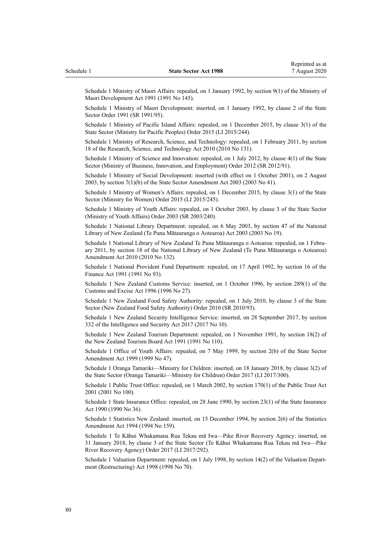Schedule 1 Ministry of Maori Affairs: repealed, on 1 January 1992, by [section 9\(1\)](http://legislation.govt.nz/pdflink.aspx?id=DLM257786) of the Ministry of Maori Development Act 1991 (1991 No 145).

Schedule 1 Ministry of Maori Development: inserted, on 1 January 1992, by [clause 2](http://legislation.govt.nz/pdflink.aspx?id=DLM147257) of the State Sector Order 1991 (SR 1991/95).

Schedule 1 Ministry of Pacific Island Affairs: repealed, on 1 December 2015, by [clause 3\(1\)](http://legislation.govt.nz/pdflink.aspx?id=DLM6627145) of the State Sector (Ministry for Pacific Peoples) Order 2015 (LI 2015/244).

Schedule 1 Ministry of Research, Science, and Technology: repealed, on 1 February 2011, by [section](http://legislation.govt.nz/pdflink.aspx?id=DLM3431046) [18](http://legislation.govt.nz/pdflink.aspx?id=DLM3431046) of the Research, Science, and Technology Act 2010 (2010 No 131).

Schedule 1 Ministry of Science and Innovation: repealed, on 1 July 2012, by [clause 4\(1\)](http://legislation.govt.nz/pdflink.aspx?id=DLM4442808) of the State Sector (Ministry of Business, Innovation, and Employment) Order 2012 (SR 2012/91).

Schedule 1 Ministry of Social Development: inserted (with effect on 1 October 2001), on 2 August 2003, by [section 7\(1\)\(b\)](http://legislation.govt.nz/pdflink.aspx?id=DLM201368) of the State Sector Amendment Act 2003 (2003 No 41).

Schedule 1 Ministry of Women's Affairs: repealed, on 1 December 2015, by [clause 3\(1\)](http://legislation.govt.nz/pdflink.aspx?id=DLM6627167) of the State Sector (Ministry for Women) Order 2015 (LI 2015/245).

Schedule 1 Ministry of Youth Affairs: repealed, on 1 October 2003, by [clause 3](http://legislation.govt.nz/pdflink.aspx?id=DLM211123) of the State Sector (Ministry of Youth Affairs) Order 2003 (SR 2003/240).

Schedule 1 National Library Department: repealed, on 6 May 2003, by [section 47](http://legislation.govt.nz/pdflink.aspx?id=DLM192277) of the National Library of New Zealand (Te Puna Mātauranga o Aotearoa) Act 2003 (2003 No 19).

Schedule 1 National Library of New Zealand Te Puna Mātauranga o Aotearoa: repealed, on 1 February 2011, by [section 18](http://legislation.govt.nz/pdflink.aspx?id=DLM3430033) of the National Library of New Zealand (Te Puna Mātauranga o Aotearoa) Amendment Act 2010 (2010 No 132).

Schedule 1 National Provident Fund Department: repealed, on 17 April 1992, by [section 16](http://legislation.govt.nz/pdflink.aspx?id=DLM248715) of the Finance Act 1991 (1991 No 93).

Schedule 1 New Zealand Customs Service: inserted, on 1 October 1996, by [section 289\(1\)](http://legislation.govt.nz/pdflink.aspx?id=DLM380185) of the Customs and Excise Act 1996 (1996 No 27).

Schedule 1 New Zealand Food Safety Authority: repealed, on 1 July 2010, by [clause 3](http://legislation.govt.nz/pdflink.aspx?id=DLM2894855) of the State Sector (New Zealand Food Safety Authority) Order 2010 (SR 2010/93).

Schedule 1 New Zealand Security Intelligence Service: inserted, on 28 September 2017, by [section](http://legislation.govt.nz/pdflink.aspx?id=DLM6921470) [332](http://legislation.govt.nz/pdflink.aspx?id=DLM6921470) of the Intelligence and Security Act 2017 (2017 No 10).

Schedule 1 New Zealand Tourism Department: repealed, on 1 November 1991, by [section 18\(2\)](http://legislation.govt.nz/pdflink.aspx?id=DLM249395) of the New Zealand Tourism Board Act 1991 (1991 No 110).

Schedule 1 Office of Youth Affairs: repealed, on 7 May 1999, by [section 2\(b\)](http://legislation.govt.nz/pdflink.aspx?id=DLM24785) of the State Sector Amendment Act 1999 (1999 No 47).

Schedule 1 Oranga Tamariki—Ministry for Children: inserted, on 18 January 2018, by [clause 3\(2\)](http://legislation.govt.nz/pdflink.aspx?id=DLM7518119) of the State Sector (Oranga Tamariki—Ministry for Children) Order 2017 (LI 2017/300).

Schedule 1 Public Trust Office: repealed, on 1 March 2002, by [section 170\(1\)](http://legislation.govt.nz/pdflink.aspx?id=DLM124529) of the Public Trust Act 2001 (2001 No 100).

Schedule 1 State Insurance Office: repealed, on 28 June 1990, by [section 23\(1\)](http://legislation.govt.nz/pdflink.aspx?id=DLM210427) of the State Insurance Act 1990 (1990 No 36).

Schedule 1 Statistics New Zealand: inserted, on 15 December 1994, by [section 2\(6\)](http://legislation.govt.nz/pdflink.aspx?id=DLM347442) of the Statistics Amendment Act 1994 (1994 No 159).

Schedule 1 Te Kāhui Whakamana Rua Tekau mā Iwa—Pike River Recovery Agency: inserted, on 31 January 2018, by [clause 3](http://legislation.govt.nz/pdflink.aspx?id=DLM7495406) of the State Sector (Te Kāhui Whakamana Rua Tekau mā Iwa—Pike River Recovery Agency) Order 2017 (LI 2017/292).

Schedule 1 Valuation Department: repealed, on 1 July 1998, by [section 14\(2\)](http://legislation.govt.nz/pdflink.aspx?id=DLM427790) of the Valuation Department (Restructuring) Act 1998 (1998 No 70).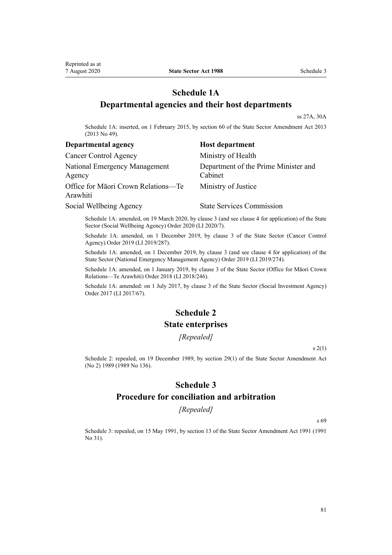# **Schedule 1A Departmental agencies and their host departments**

[ss 27A](#page-27-0), [30A](#page-29-0)

Schedule 1A: inserted, on 1 February 2015, by [section 60](http://legislation.govt.nz/pdflink.aspx?id=DLM4598907) of the State Sector Amendment Act 2013 (2013 No 49).

| <b>Departmental agency</b>                      | <b>Host department</b>                          |
|-------------------------------------------------|-------------------------------------------------|
| <b>Cancer Control Agency</b>                    | Ministry of Health                              |
| <b>National Emergency Management</b><br>Agency  | Department of the Prime Minister and<br>Cabinet |
| Office for Māori Crown Relations-Te<br>Arawhiti | Ministry of Justice                             |
| Social Wellbeing Agency                         | <b>State Services Commission</b>                |

Schedule 1A: amended, on 19 March 2020, by [clause 3](http://legislation.govt.nz/pdflink.aspx?id=LMS286215) (and see [clause 4](http://legislation.govt.nz/pdflink.aspx?id=LMS286216) for application) of the State Sector (Social Wellbeing Agency) Order 2020 (LI 2020/7).

Schedule 1A: amended, on 1 December 2019, by [clause 3](http://legislation.govt.nz/pdflink.aspx?id=LMS283858) of the State Sector (Cancer Control Agency) Order 2019 (LI 2019/287).

Schedule 1A: amended, on 1 December 2019, by [clause 3](http://legislation.govt.nz/pdflink.aspx?id=LMS283986) (and see [clause 4](http://legislation.govt.nz/pdflink.aspx?id=LMS283987) for application) of the State Sector (National Emergency Management Agency) Order 2019 (LI 2019/274).

Schedule 1A: amended, on 1 January 2019, by [clause 3](http://legislation.govt.nz/pdflink.aspx?id=LMS131100) of the State Sector (Office for Māori Crown Relations—Te Arawhiti) Order 2018 (LI 2018/246).

Schedule 1A: amended: on 1 July 2017, by [clause 3](http://legislation.govt.nz/pdflink.aspx?id=DLM7219206) of the State Sector (Social Investment Agency) Order 2017 (LI 2017/67).

# **Schedule 2 State enterprises**

*[Repealed]*

 $s(2(1)$ 

Schedule 2: repealed, on 19 December 1989, by [section 29\(1\)](http://legislation.govt.nz/pdflink.aspx?id=DLM194736) of the State Sector Amendment Act (No 2) 1989 (1989 No 136).

### **Schedule 3**

### **Procedure for conciliation and arbitration**

### *[Repealed]*

[s 69](#page-60-0)

Schedule 3: repealed, on 15 May 1991, by section 13 of the State Sector Amendment Act 1991 (1991 No 31).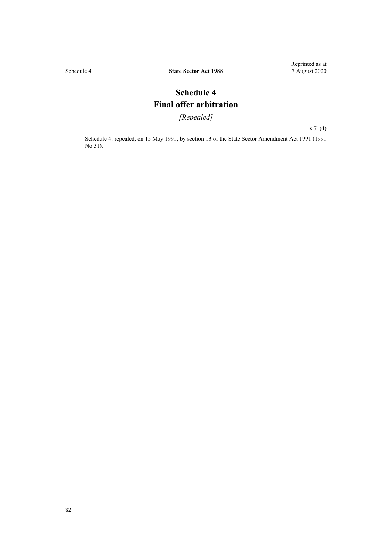# **Schedule 4 Final offer arbitration**

*[Repealed]*

[s 71\(4\)](#page-61-0)

Schedule 4: repealed, on 15 May 1991, by section 13 of the State Sector Amendment Act 1991 (1991 No 31).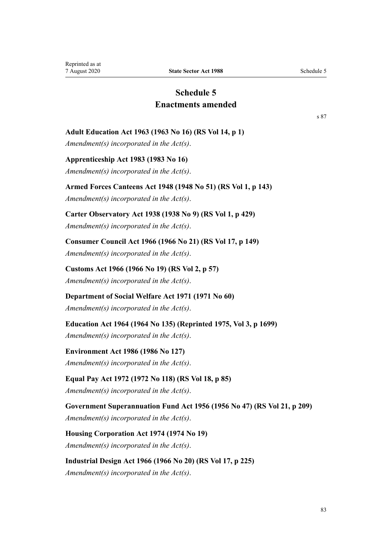# **Schedule 5 Enactments amended**

[s 87](#page-70-0)

### **Adult Education Act 1963 (1963 No 16) (RS Vol 14, p 1)**

*Amendment(s) incorporated in the Act(s)*.

### **Apprenticeship Act 1983 (1983 No 16)**

*Amendment(s) incorporated in the Act(s)*.

**Armed Forces Canteens Act 1948 (1948 No 51) (RS Vol 1, p 143)**

*Amendment(s) incorporated in the [Act\(s\)](http://legislation.govt.nz/pdflink.aspx?id=DLM249699)*.

**Carter Observatory Act 1938 (1938 No 9) (RS Vol 1, p 429)**

*Amendment(s) incorporated in the Act(s)*.

### **Consumer Council Act 1966 (1966 No 21) (RS Vol 17, p 149)**

*Amendment(s) incorporated in the Act(s)*.

#### **Customs Act 1966 (1966 No 19) (RS Vol 2, p 57)**

*Amendment(s) incorporated in the Act(s)*.

### **Department of Social Welfare Act 1971 (1971 No 60)**

*Amendment(s) incorporated in the Act(s)*.

### **Education Act 1964 (1964 No 135) (Reprinted 1975, Vol 3, p 1699)**

*Amendment(s) incorporated in the [Act\(s\)](http://legislation.govt.nz/pdflink.aspx?id=DLM358807)*.

### **Environment Act 1986 (1986 No 127)**

*Amendment(s) incorporated in the Act(s)*.

### **Equal Pay Act 1972 (1972 No 118) (RS Vol 18, p 85)**

*Amendment(s) incorporated in the [Act\(s\)](http://legislation.govt.nz/pdflink.aspx?id=DLM407775)*.

## **Government Superannuation Fund Act 1956 (1956 No 47) (RS Vol 21, p 209)** *Amendment(s) incorporated in the [Act\(s\)](http://legislation.govt.nz/pdflink.aspx?id=DLM446007)*.

**Housing Corporation Act 1974 (1974 No 19)** *Amendment(s) incorporated in the Act(s)*.

### **Industrial Design Act 1966 (1966 No 20) (RS Vol 17, p 225)**

*Amendment(s) incorporated in the Act(s)*.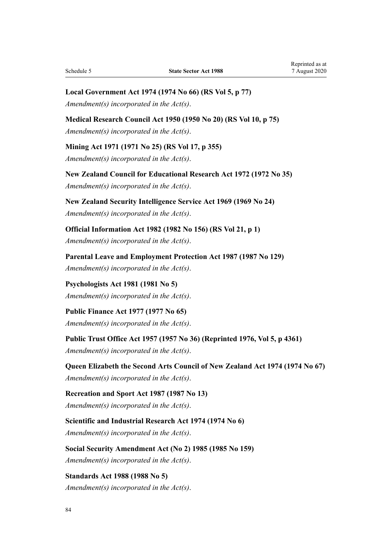### **Local Government Act 1974 (1974 No 66) (RS Vol 5, p 77)**

*Amendment(s) incorporated in the Act(s)*.

**Medical Research Council Act 1950 (1950 No 20) (RS Vol 10, p 75)** *Amendment(s) incorporated in the Act(s)*.

**Mining Act 1971 (1971 No 25) (RS Vol 17, p 355)**

*Amendment(s) incorporated in the Act(s)*.

**New Zealand Council for Educational Research Act 1972 (1972 No 35)** *Amendment(s) incorporated in the [Act\(s\)](http://legislation.govt.nz/pdflink.aspx?id=DLM407049)*.

**New Zealand Security Intelligence Service Act 1969 (1969 No 24)** *Amendment(s) incorporated in the [Act\(s\)](http://legislation.govt.nz/pdflink.aspx?id=DLM391898)*.

**Official Information Act 1982 (1982 No 156) (RS Vol 21, p 1)** *Amendment(s) incorporated in the [Act\(s\)](http://legislation.govt.nz/pdflink.aspx?id=DLM66502)*.

**Parental Leave and Employment Protection Act 1987 (1987 No 129)** *Amendment(s) incorporated in the Act(s)*.

**Psychologists Act 1981 (1981 No 5)** *Amendment(s) incorporated in the Act(s)*.

**Public Finance Act 1977 (1977 No 65)** *Amendment(s) incorporated in the Act(s)*.

**Public Trust Office Act 1957 (1957 No 36) (Reprinted 1976, Vol 5, p 4361)** *Amendment(s) incorporated in the Act(s)*.

**Queen Elizabeth the Second Arts Council of New Zealand Act 1974 (1974 No 67)** *Amendment(s) incorporated in the Act(s)*.

# **Recreation and Sport Act 1987 (1987 No 13)**

*Amendment(s) incorporated in the Act(s)*.

**Scientific and Industrial Research Act 1974 (1974 No 6)** *Amendment(s) incorporated in the Act(s)*.

**Social Security Amendment Act (No 2) 1985 (1985 No 159)** *Amendment(s) incorporated in the Act(s)*.

**Standards Act 1988 (1988 No 5)** *Amendment(s) incorporated in the [Act\(s\)](http://legislation.govt.nz/pdflink.aspx?id=DLM128711)*.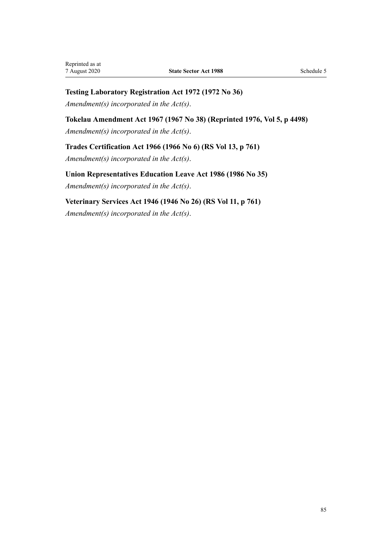### **Testing Laboratory Registration Act 1972 (1972 No 36)**

*Amendment(s) incorporated in the [Act\(s\)](http://legislation.govt.nz/pdflink.aspx?id=DLM407578)*.

**Tokelau Amendment Act 1967 (1967 No 38) (Reprinted 1976, Vol 5, p 4498)** *Amendment(s) incorporated in the Act(s)*.

**Trades Certification Act 1966 (1966 No 6) (RS Vol 13, p 761)** *Amendment(s) incorporated in the Act(s)*.

**Union Representatives Education Leave Act 1986 (1986 No 35)** *Amendment(s) incorporated in the Act(s)*.

**Veterinary Services Act 1946 (1946 No 26) (RS Vol 11, p 761)** *Amendment(s) incorporated in the Act(s)*.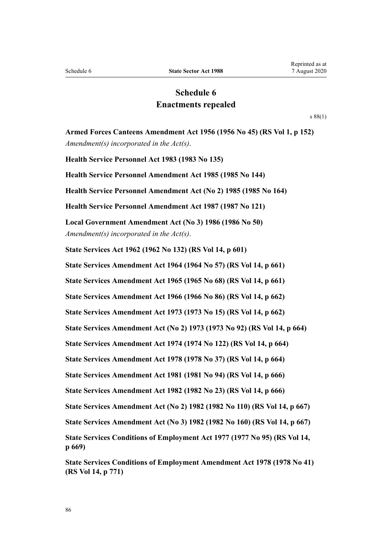# **Schedule 6 Enactments repealed**

[s 88\(1\)](#page-70-0)

**Armed Forces Canteens Amendment Act 1956 (1956 No 45) (RS Vol 1, p 152)** *Amendment(s) incorporated in the Act(s)*.

**Health Service Personnel Act 1983 (1983 No 135) Health Service Personnel Amendment Act 1985 (1985 No 144) Health Service Personnel Amendment Act (No 2) 1985 (1985 No 164) Health Service Personnel Amendment Act 1987 (1987 No 121) Local Government Amendment Act (No 3) 1986 (1986 No 50)** *Amendment(s) incorporated in the [Act\(s\)](http://legislation.govt.nz/pdflink.aspx?id=DLM93847)*. **State Services Act 1962 (1962 No 132) (RS Vol 14, p 601) State Services Amendment Act 1964 (1964 No 57) (RS Vol 14, p 661) State Services Amendment Act 1965 (1965 No 68) (RS Vol 14, p 661) State Services Amendment Act 1966 (1966 No 86) (RS Vol 14, p 662) State Services Amendment Act 1973 (1973 No 15) (RS Vol 14, p 662) State Services Amendment Act (No 2) 1973 (1973 No 92) (RS Vol 14, p 664) State Services Amendment Act 1974 (1974 No 122) (RS Vol 14, p 664) State Services Amendment Act 1978 (1978 No 37) (RS Vol 14, p 664) State Services Amendment Act 1981 (1981 No 94) (RS Vol 14, p 666) State Services Amendment Act 1982 (1982 No 23) (RS Vol 14, p 666) State Services Amendment Act (No 2) 1982 (1982 No 110) (RS Vol 14, p 667) State Services Amendment Act (No 3) 1982 (1982 No 160) (RS Vol 14, p 667) State Services Conditions of Employment Act 1977 (1977 No 95) (RS Vol 14, p 669) State Services Conditions of Employment Amendment Act 1978 (1978 No 41)**

**(RS Vol 14, p 771)**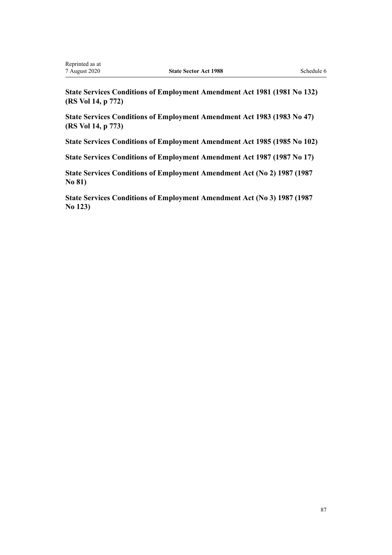**State Services Conditions of Employment Amendment Act 1981 (1981 No 132) (RS Vol 14, p 772)**

**State Services Conditions of Employment Amendment Act 1983 (1983 No 47) (RS Vol 14, p 773)**

**State Services Conditions of Employment Amendment Act 1985 (1985 No 102)**

**State Services Conditions of Employment Amendment Act 1987 (1987 No 17)**

**State Services Conditions of Employment Amendment Act (No 2) 1987 (1987 No 81)**

**State Services Conditions of Employment Amendment Act (No 3) 1987 (1987 No 123)**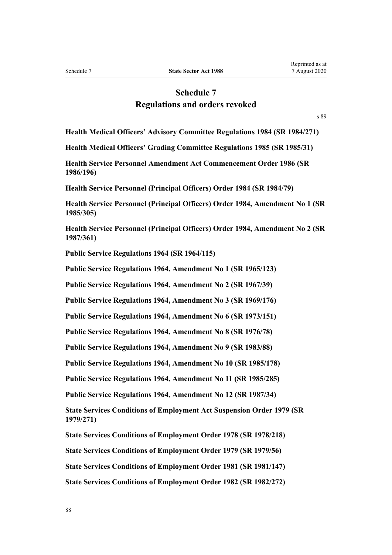# **Schedule 7 Regulations and orders revoked**

[s 89](#page-71-0)

**Health Medical Officers' Advisory Committee Regulations 1984 (SR 1984/271)**

**Health Medical Officers' Grading Committee Regulations 1985 (SR 1985/31)**

**Health Service Personnel Amendment Act Commencement Order 1986 (SR 1986/196)**

**Health Service Personnel (Principal Officers) Order 1984 (SR 1984/79)**

**Health Service Personnel (Principal Officers) Order 1984, Amendment No 1 (SR 1985/305)**

**Health Service Personnel (Principal Officers) Order 1984, Amendment No 2 (SR 1987/361)**

**Public Service Regulations 1964 (SR 1964/115)**

**Public Service Regulations 1964, Amendment No 1 (SR 1965/123)**

**Public Service Regulations 1964, Amendment No 2 (SR 1967/39)**

**Public Service Regulations 1964, Amendment No 3 (SR 1969/176)**

**Public Service Regulations 1964, Amendment No 6 (SR 1973/151)**

**Public Service Regulations 1964, Amendment No 8 (SR 1976/78)**

**Public Service Regulations 1964, Amendment No 9 (SR 1983/88)**

**Public Service Regulations 1964, Amendment No 10 (SR 1985/178)**

**Public Service Regulations 1964, Amendment No 11 (SR 1985/285)**

**Public Service Regulations 1964, Amendment No 12 (SR 1987/34)**

**State Services Conditions of Employment Act Suspension Order 1979 (SR 1979/271)**

**State Services Conditions of Employment Order 1978 (SR 1978/218)**

**State Services Conditions of Employment Order 1979 (SR 1979/56)**

**State Services Conditions of Employment Order 1981 (SR 1981/147)**

**State Services Conditions of Employment Order 1982 (SR 1982/272)**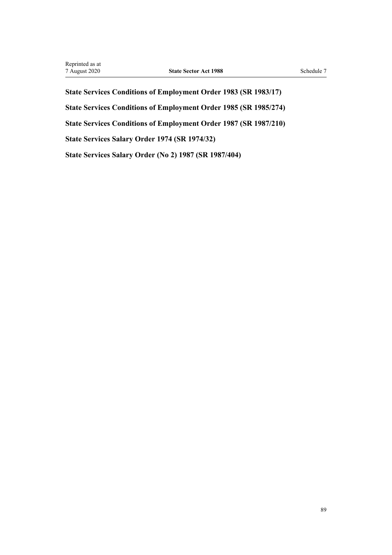**State Services Conditions of Employment Order 1983 (SR 1983/17) State Services Conditions of Employment Order 1985 (SR 1985/274) State Services Conditions of Employment Order 1987 (SR 1987/210) State Services Salary Order 1974 (SR 1974/32) State Services Salary Order (No 2) 1987 (SR 1987/404)**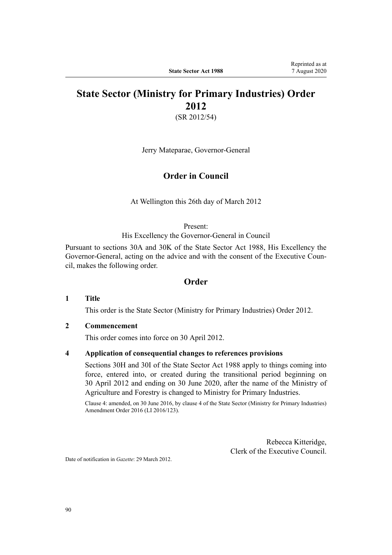# **State Sector (Ministry for Primary Industries) Order 2012**

(SR 2012/54)

Jerry Mateparae, Governor-General

### **Order in Council**

At Wellington this 26th day of March 2012

#### Present:

His Excellency the Governor-General in Council

Pursuant to sections 30A and 30K of the State Sector Act 1988, His Excellency the Governor-General, acting on the advice and with the consent of the Executive Council, makes the following order.

### **Order**

#### **1 Title**

This order is the [State Sector \(Ministry for Primary Industries\) Order 2012.](http://legislation.govt.nz/pdflink.aspx?id=DLM4362109)

### **2 Commencement**

This order comes into force on 30 April 2012.

### **4 Application of consequential changes to references provisions**

Sections 30H and 30I of the State Sector Act 1988 apply to things coming into force, entered into, or created during the transitional period beginning on 30 April 2012 and ending on 30 June 2020, after the name of the Ministry of Agriculture and Forestry is changed to Ministry for Primary Industries.

Clause 4: amended, on 30 June 2016, by [clause 4](http://legislation.govt.nz/pdflink.aspx?id=DLM6854914) of the State Sector (Ministry for Primary Industries) Amendment Order 2016 (LI 2016/123).

> Rebecca Kitteridge, Clerk of the Executive Council.

Date of notification in *Gazette*: 29 March 2012.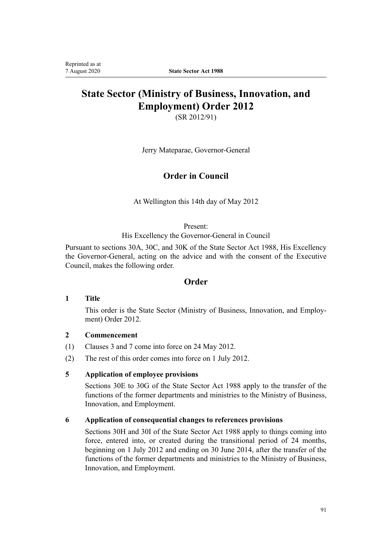# **State Sector (Ministry of Business, Innovation, and Employment) Order 2012**

(SR 2012/91)

Jerry Mateparae, Governor-General

# **Order in Council**

At Wellington this 14th day of May 2012

### Present:

His Excellency the Governor-General in Council

Pursuant to sections 30A, 30C, and 30K of the State Sector Act 1988, His Excellency the Governor-General, acting on the advice and with the consent of the Executive Council, makes the following order.

### **Order**

### **1 Title**

This order is the [State Sector \(Ministry of Business, Innovation, and Employ](http://legislation.govt.nz/pdflink.aspx?id=DLM4442800)[ment\) Order 2012.](http://legislation.govt.nz/pdflink.aspx?id=DLM4442800)

### **2 Commencement**

- (1) Clauses 3 and 7 come into force on 24 May 2012.
- (2) The rest of this order comes into force on 1 July 2012.

### **5 Application of employee provisions**

Sections 30E to 30G of the State Sector Act 1988 apply to the transfer of the functions of the former departments and ministries to the Ministry of Business, Innovation, and Employment.

### **6 Application of consequential changes to references provisions**

Sections 30H and 30I of the State Sector Act 1988 apply to things coming into force, entered into, or created during the transitional period of 24 months, beginning on 1 July 2012 and ending on 30 June 2014, after the transfer of the functions of the former departments and ministries to the Ministry of Business, Innovation, and Employment.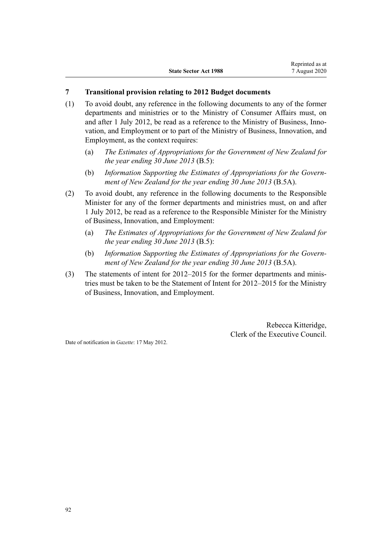### **7 Transitional provision relating to 2012 Budget documents**

- (1) To avoid doubt, any reference in the following documents to any of the former departments and ministries or to the Ministry of Consumer Affairs must, on and after 1 July 2012, be read as a reference to the Ministry of Business, Innovation, and Employment or to part of the Ministry of Business, Innovation, and Employment, as the context requires:
	- (a) *The Estimates of Appropriations for the Government of New Zealand for the year ending 30 June 2013* (B.5):
	- (b) *Information Supporting the Estimates of Appropriations for the Government of New Zealand for the year ending 30 June 2013* (B.5A).
- (2) To avoid doubt, any reference in the following documents to the Responsible Minister for any of the former departments and ministries must, on and after 1 July 2012, be read as a reference to the Responsible Minister for the Ministry of Business, Innovation, and Employment:
	- (a) *The Estimates of Appropriations for the Government of New Zealand for the year ending 30 June 2013* (B.5):
	- (b) *Information Supporting the Estimates of Appropriations for the Government of New Zealand for the year ending 30 June 2013* (B.5A).
- (3) The statements of intent for 2012–2015 for the former departments and ministries must be taken to be the Statement of Intent for 2012–2015 for the Ministry of Business, Innovation, and Employment.

Rebecca Kitteridge, Clerk of the Executive Council.

Date of notification in *Gazette*: 17 May 2012.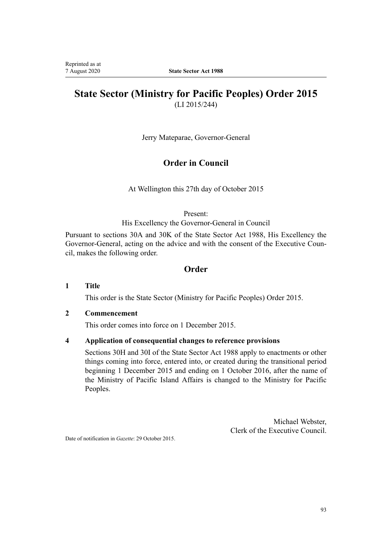# **State Sector (Ministry for Pacific Peoples) Order 2015** (LI 2015/244)

Jerry Mateparae, Governor-General

# **Order in Council**

At Wellington this 27th day of October 2015

Present:

His Excellency the Governor-General in Council

Pursuant to sections 30A and 30K of the State Sector Act 1988, His Excellency the Governor-General, acting on the advice and with the consent of the Executive Council, makes the following order.

## **Order**

### **1 Title**

This order is the [State Sector \(Ministry for Pacific Peoples\) Order 2015.](http://legislation.govt.nz/pdflink.aspx?id=DLM6627139)

### **2 Commencement**

This order comes into force on 1 December 2015.

### **4 Application of consequential changes to reference provisions**

Sections 30H and 30I of the State Sector Act 1988 apply to enactments or other things coming into force, entered into, or created during the transitional period beginning 1 December 2015 and ending on 1 October 2016, after the name of the Ministry of Pacific Island Affairs is changed to the Ministry for Pacific Peoples.

> Michael Webster, Clerk of the Executive Council.

Date of notification in *Gazette*: 29 October 2015.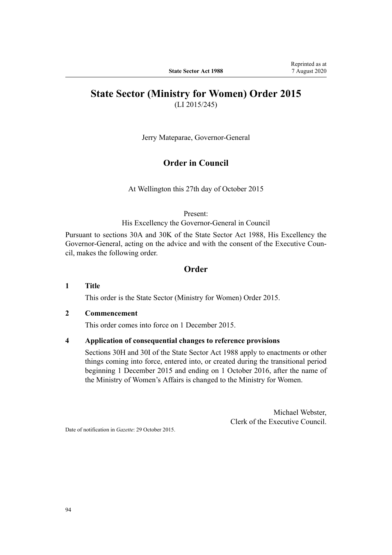# **State Sector (Ministry for Women) Order 2015**

(LI 2015/245)

Jerry Mateparae, Governor-General

### **Order in Council**

At Wellington this 27th day of October 2015

Present:

His Excellency the Governor-General in Council

Pursuant to sections 30A and 30K of the State Sector Act 1988, His Excellency the Governor-General, acting on the advice and with the consent of the Executive Council, makes the following order.

### **Order**

#### **1 Title**

This order is the [State Sector \(Ministry for Women\) Order 2015.](http://legislation.govt.nz/pdflink.aspx?id=DLM6627161)

### **2 Commencement**

This order comes into force on 1 December 2015.

### **4 Application of consequential changes to reference provisions**

Sections 30H and 30I of the State Sector Act 1988 apply to enactments or other things coming into force, entered into, or created during the transitional period beginning 1 December 2015 and ending on 1 October 2016, after the name of the Ministry of Women's Affairs is changed to the Ministry for Women.

> Michael Webster, Clerk of the Executive Council.

Date of notification in *Gazette*: 29 October 2015.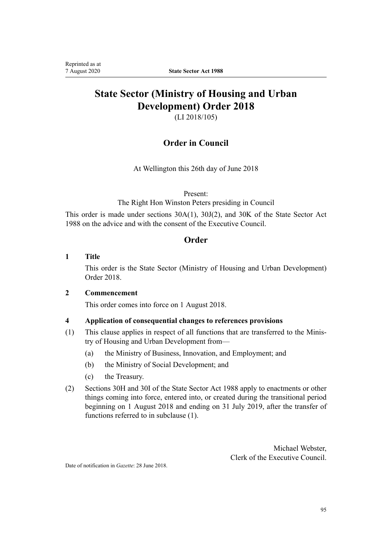# **State Sector (Ministry of Housing and Urban Development) Order 2018**

(LI 2018/105)

# **Order in Council**

At Wellington this 26th day of June 2018

Present:

The Right Hon Winston Peters presiding in Council

This order is made under sections 30A(1), 30J(2), and 30K of the State Sector Act 1988 on the advice and with the consent of the Executive Council.

# **Order**

### **1 Title**

This order is the [State Sector \(Ministry of Housing and Urban Development\)](http://legislation.govt.nz/pdflink.aspx?id=LMS53015) [Order 2018.](http://legislation.govt.nz/pdflink.aspx?id=LMS53015)

### **2 Commencement**

This order comes into force on 1 August 2018.

### **4 Application of consequential changes to references provisions**

- (1) This clause applies in respect of all functions that are transferred to the Ministry of Housing and Urban Development from—
	- (a) the Ministry of Business, Innovation, and Employment; and
	- (b) the Ministry of Social Development; and
	- (c) the Treasury.
- (2) Sections 30H and 30I of the State Sector Act 1988 apply to enactments or other things coming into force, entered into, or created during the transitional period beginning on 1 August 2018 and ending on 31 July 2019, after the transfer of functions referred to in subclause (1).

Michael Webster, Clerk of the Executive Council.

Date of notification in *Gazette*: 28 June 2018.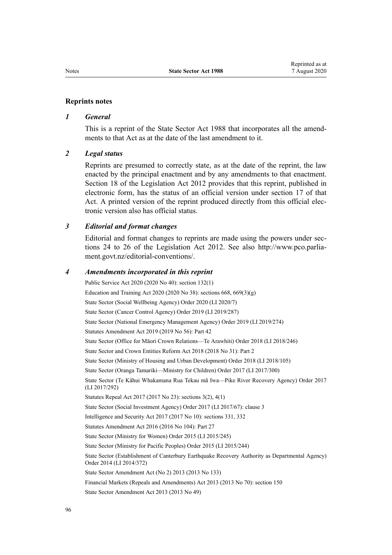#### **Reprints notes**

#### *1 General*

This is a reprint of the State Sector Act 1988 that incorporates all the amendments to that Act as at the date of the last amendment to it.

#### *2 Legal status*

Reprints are presumed to correctly state, as at the date of the reprint, the law enacted by the principal enactment and by any amendments to that enactment. [Section 18](http://legislation.govt.nz/pdflink.aspx?id=DLM2998516) of the Legislation Act 2012 provides that this reprint, published in electronic form, has the status of an official version under [section 17](http://legislation.govt.nz/pdflink.aspx?id=DLM2998515) of that Act. A printed version of the reprint produced directly from this official electronic version also has official status.

#### *3 Editorial and format changes*

Editorial and format changes to reprints are made using the powers under [sec](http://legislation.govt.nz/pdflink.aspx?id=DLM2998532)[tions 24 to 26](http://legislation.govt.nz/pdflink.aspx?id=DLM2998532) of the Legislation Act 2012. See also [http://www.pco.parlia](http://www.pco.parliament.govt.nz/editorial-conventions/)[ment.govt.nz/editorial-conventions/](http://www.pco.parliament.govt.nz/editorial-conventions/).

#### *4 Amendments incorporated in this reprint*

Public Service Act 2020 (2020 No 40): [section 132\(1\)](http://legislation.govt.nz/pdflink.aspx?id=LMS176958) Education and Training Act 2020 (2020 No 38): [sections 668,](http://legislation.govt.nz/pdflink.aspx?id=LMS367713) [669\(3\)\(g\)](http://legislation.govt.nz/pdflink.aspx?id=LMS172572) [State Sector \(Social Wellbeing Agency\) Order 2020](http://legislation.govt.nz/pdflink.aspx?id=LMS286210) (LI 2020/7) [State Sector \(Cancer Control Agency\) Order 2019](http://legislation.govt.nz/pdflink.aspx?id=LMS283852) (LI 2019/287) [State Sector \(National Emergency Management Agency\) Order 2019](http://legislation.govt.nz/pdflink.aspx?id=LMS283980) (LI 2019/274) Statutes Amendment Act 2019 (2019 No 56): [Part 42](http://legislation.govt.nz/pdflink.aspx?id=LMS59120) [State Sector \(Office for Māori Crown Relations—Te Arawhiti\) Order 2018](http://legislation.govt.nz/pdflink.aspx?id=LMS131094) (LI 2018/246) State Sector and Crown Entities Reform Act 2018 (2018 No 31): [Part 2](http://legislation.govt.nz/pdflink.aspx?id=LMS11224) [State Sector \(Ministry of Housing and Urban Development\) Order 2018](http://legislation.govt.nz/pdflink.aspx?id=LMS53015) (LI 2018/105) [State Sector \(Oranga Tamariki—Ministry for Children\) Order 2017](http://legislation.govt.nz/pdflink.aspx?id=DLM7518113) (LI 2017/300) [State Sector \(Te Kāhui Whakamana Rua Tekau mā Iwa—Pike River Recovery Agency\) Order 2017](http://legislation.govt.nz/pdflink.aspx?id=DLM7495400) (LI 2017/292) Statutes Repeal Act 2017 (2017 No 23): [sections 3\(2\)](http://legislation.govt.nz/pdflink.aspx?id=DLM6807612), [4\(1\)](http://legislation.govt.nz/pdflink.aspx?id=DLM6807613) State Sector (Social Investment Agency) Order 2017 (LI 2017/67): [clause 3](http://legislation.govt.nz/pdflink.aspx?id=DLM7219206) Intelligence and Security Act 2017 (2017 No 10): [sections 331,](http://legislation.govt.nz/pdflink.aspx?id=DLM6921469) [332](http://legislation.govt.nz/pdflink.aspx?id=DLM6921470) Statutes Amendment Act 2016 (2016 No 104): [Part 27](http://legislation.govt.nz/pdflink.aspx?id=DLM6623899) [State Sector \(Ministry for Women\) Order 2015](http://legislation.govt.nz/pdflink.aspx?id=DLM6627161) (LI 2015/245) [State Sector \(Ministry for Pacific Peoples\) Order 2015](http://legislation.govt.nz/pdflink.aspx?id=DLM6627139) (LI 2015/244) [State Sector \(Establishment of Canterbury Earthquake Recovery Authority as Departmental Agency\)](http://legislation.govt.nz/pdflink.aspx?id=DLM6326539) [Order 2014](http://legislation.govt.nz/pdflink.aspx?id=DLM6326539) (LI 2014/372) [State Sector Amendment Act \(No 2\) 2013](http://legislation.govt.nz/pdflink.aspx?id=DLM5627600) (2013 No 133) Financial Markets (Repeals and Amendments) Act 2013 (2013 No 70): [section 150](http://legislation.govt.nz/pdflink.aspx?id=DLM5561603) [State Sector Amendment Act 2013](http://legislation.govt.nz/pdflink.aspx?id=DLM4598800) (2013 No 49)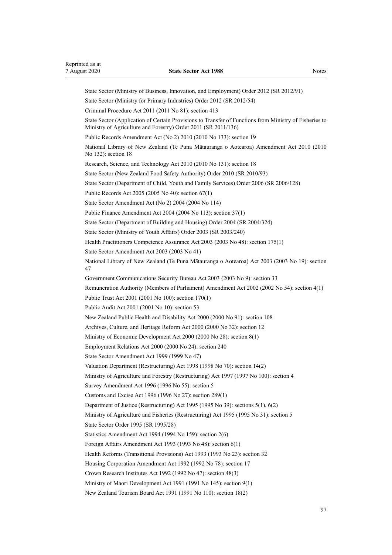[State Sector \(Ministry of Business, Innovation, and Employment\) Order 2012](http://legislation.govt.nz/pdflink.aspx?id=DLM4442800) (SR 2012/91) [State Sector \(Ministry for Primary Industries\) Order 2012](http://legislation.govt.nz/pdflink.aspx?id=DLM4362109) (SR 2012/54) Criminal Procedure Act 2011 (2011 No 81): [section 413](http://legislation.govt.nz/pdflink.aspx?id=DLM3360714) [State Sector \(Application of Certain Provisions to Transfer of Functions from Ministry of Fisheries to](http://legislation.govt.nz/pdflink.aspx?id=DLM3698400) [Ministry of Agriculture and Forestry\) Order 2011](http://legislation.govt.nz/pdflink.aspx?id=DLM3698400) (SR 2011/136) Public Records Amendment Act (No 2) 2010 (2010 No 133): [section 19](http://legislation.govt.nz/pdflink.aspx?id=DLM3431136) National Library of New Zealand (Te Puna Mātauranga o Aotearoa) Amendment Act 2010 (2010 No 132): [section 18](http://legislation.govt.nz/pdflink.aspx?id=DLM3430033) Research, Science, and Technology Act 2010 (2010 No 131): [section 18](http://legislation.govt.nz/pdflink.aspx?id=DLM3431046) [State Sector \(New Zealand Food Safety Authority\) Order 2010](http://legislation.govt.nz/pdflink.aspx?id=DLM2894849) (SR 2010/93) [State Sector \(Department of Child, Youth and Family Services\) Order 2006](http://legislation.govt.nz/pdflink.aspx?id=DLM382452) (SR 2006/128) Public Records Act 2005 (2005 No 40): [section 67\(1\)](http://legislation.govt.nz/pdflink.aspx?id=DLM346105) [State Sector Amendment Act \(No 2\) 2004](http://legislation.govt.nz/pdflink.aspx?id=DLM329144) (2004 No 114) Public Finance Amendment Act 2004 (2004 No 113): [section 37\(1\)](http://legislation.govt.nz/pdflink.aspx?id=DLM328867) [State Sector \(Department of Building and Housing\) Order 2004](http://legislation.govt.nz/pdflink.aspx?id=DLM290020) (SR 2004/324) [State Sector \(Ministry of Youth Affairs\) Order 2003](http://legislation.govt.nz/pdflink.aspx?id=DLM211117) (SR 2003/240) Health Practitioners Competence Assurance Act 2003 (2003 No 48): [section 175\(1\)](http://legislation.govt.nz/pdflink.aspx?id=DLM205009) [State Sector Amendment Act 2003](http://legislation.govt.nz/pdflink.aspx?id=DLM201330) (2003 No 41) National Library of New Zealand (Te Puna Mātauranga o Aotearoa) Act 2003 (2003 No 19): [section](http://legislation.govt.nz/pdflink.aspx?id=DLM192277) [47](http://legislation.govt.nz/pdflink.aspx?id=DLM192277) Government Communications Security Bureau Act 2003 (2003 No 9): [section 33](http://legislation.govt.nz/pdflink.aspx?id=DLM187866) Remuneration Authority (Members of Parliament) Amendment Act 2002 (2002 No 54): [section 4\(1\)](http://legislation.govt.nz/pdflink.aspx?id=DLM167443) Public Trust Act 2001 (2001 No 100): [section 170\(1\)](http://legislation.govt.nz/pdflink.aspx?id=DLM124529) Public Audit Act 2001 (2001 No 10): [section 53](http://legislation.govt.nz/pdflink.aspx?id=DLM88957) New Zealand Public Health and Disability Act 2000 (2000 No 91): [section 108](http://legislation.govt.nz/pdflink.aspx?id=DLM81640) Archives, Culture, and Heritage Reform Act 2000 (2000 No 32): [section 12](http://legislation.govt.nz/pdflink.aspx?id=DLM67196) Ministry of Economic Development Act 2000 (2000 No 28): [section 8\(1\)](http://legislation.govt.nz/pdflink.aspx?id=DLM67109) Employment Relations Act 2000 (2000 No 24): [section 240](http://legislation.govt.nz/pdflink.aspx?id=DLM61487) [State Sector Amendment Act 1999](http://legislation.govt.nz/pdflink.aspx?id=DLM24779) (1999 No 47) Valuation Department (Restructuring) Act 1998 (1998 No 70): [section 14\(2\)](http://legislation.govt.nz/pdflink.aspx?id=DLM427790) Ministry of Agriculture and Forestry (Restructuring) Act 1997 (1997 No 100): [section 4](http://legislation.govt.nz/pdflink.aspx?id=DLM418617) Survey Amendment Act 1996 (1996 No 55): section 5 Customs and Excise Act 1996 (1996 No 27): [section 289\(1\)](http://legislation.govt.nz/pdflink.aspx?id=DLM380185) Department of Justice (Restructuring) Act 1995 (1995 No 39): [sections 5\(1\),](http://legislation.govt.nz/pdflink.aspx?id=DLM367230) [6\(2\)](http://legislation.govt.nz/pdflink.aspx?id=DLM367231) Ministry of Agriculture and Fisheries (Restructuring) Act 1995 (1995 No 31): [section 5](http://legislation.govt.nz/pdflink.aspx?id=DLM366836) [State Sector Order 1995](http://legislation.govt.nz/pdflink.aspx?id=DLM198864) (SR 1995/28) Statistics Amendment Act 1994 (1994 No 159): [section 2\(6\)](http://legislation.govt.nz/pdflink.aspx?id=DLM347442) Foreign Affairs Amendment Act 1993 (1993 No 48): [section 6\(1\)](http://legislation.govt.nz/pdflink.aspx?id=DLM302525) Health Reforms (Transitional Provisions) Act 1993 (1993 No 23): [section 32](http://legislation.govt.nz/pdflink.aspx?id=DLM295182) Housing Corporation Amendment Act 1992 (1992 No 78): section 17 Crown Research Institutes Act 1992 (1992 No 47): [section 48\(3\)](http://legislation.govt.nz/pdflink.aspx?id=DLM265669) Ministry of Maori Development Act 1991 (1991 No 145): [section 9\(1\)](http://legislation.govt.nz/pdflink.aspx?id=DLM257786) New Zealand Tourism Board Act 1991 (1991 No 110): [section 18\(2\)](http://legislation.govt.nz/pdflink.aspx?id=DLM249395)